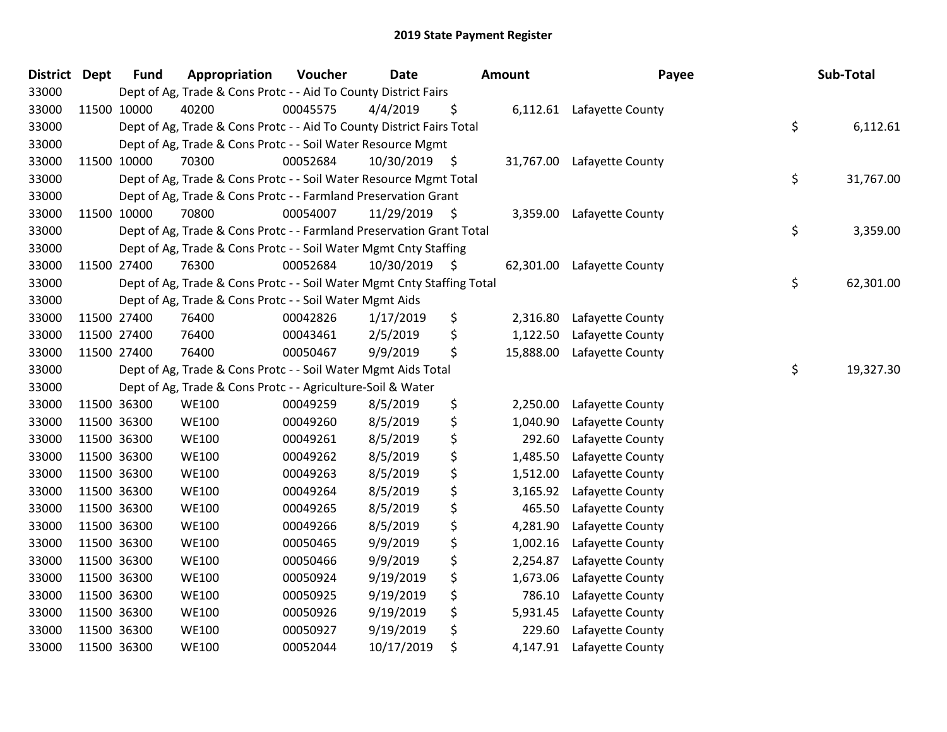| <b>District</b> | <b>Dept</b> | <b>Fund</b> | Appropriation                                                          | Voucher  | Date       |    | <b>Amount</b> | Payee                     | Sub-Total       |
|-----------------|-------------|-------------|------------------------------------------------------------------------|----------|------------|----|---------------|---------------------------|-----------------|
| 33000           |             |             | Dept of Ag, Trade & Cons Protc - - Aid To County District Fairs        |          |            |    |               |                           |                 |
| 33000           |             | 11500 10000 | 40200                                                                  | 00045575 | 4/4/2019   | \$ |               | 6,112.61 Lafayette County |                 |
| 33000           |             |             | Dept of Ag, Trade & Cons Protc - - Aid To County District Fairs Total  |          |            |    |               |                           | \$<br>6,112.61  |
| 33000           |             |             | Dept of Ag, Trade & Cons Protc - - Soil Water Resource Mgmt            |          |            |    |               |                           |                 |
| 33000           |             | 11500 10000 | 70300                                                                  | 00052684 | 10/30/2019 | \$ | 31,767.00     | Lafayette County          |                 |
| 33000           |             |             | Dept of Ag, Trade & Cons Protc - - Soil Water Resource Mgmt Total      |          |            |    |               |                           | \$<br>31,767.00 |
| 33000           |             |             | Dept of Ag, Trade & Cons Protc - - Farmland Preservation Grant         |          |            |    |               |                           |                 |
| 33000           |             | 11500 10000 | 70800                                                                  | 00054007 | 11/29/2019 | \$ | 3,359.00      | Lafayette County          |                 |
| 33000           |             |             | Dept of Ag, Trade & Cons Protc - - Farmland Preservation Grant Total   |          |            |    |               |                           | \$<br>3,359.00  |
| 33000           |             |             | Dept of Ag, Trade & Cons Protc - - Soil Water Mgmt Cnty Staffing       |          |            |    |               |                           |                 |
| 33000           |             | 11500 27400 | 76300                                                                  | 00052684 | 10/30/2019 | S  | 62,301.00     | Lafayette County          |                 |
| 33000           |             |             | Dept of Ag, Trade & Cons Protc - - Soil Water Mgmt Cnty Staffing Total |          |            |    |               |                           | \$<br>62,301.00 |
| 33000           |             |             | Dept of Ag, Trade & Cons Protc - - Soil Water Mgmt Aids                |          |            |    |               |                           |                 |
| 33000           |             | 11500 27400 | 76400                                                                  | 00042826 | 1/17/2019  | \$ | 2,316.80      | Lafayette County          |                 |
| 33000           | 11500 27400 |             | 76400                                                                  | 00043461 | 2/5/2019   | \$ | 1,122.50      | Lafayette County          |                 |
| 33000           | 11500 27400 |             | 76400                                                                  | 00050467 | 9/9/2019   | \$ | 15,888.00     | Lafayette County          |                 |
| 33000           |             |             | Dept of Ag, Trade & Cons Protc - - Soil Water Mgmt Aids Total          |          |            |    |               |                           | \$<br>19,327.30 |
| 33000           |             |             | Dept of Ag, Trade & Cons Protc - - Agriculture-Soil & Water            |          |            |    |               |                           |                 |
| 33000           |             | 11500 36300 | <b>WE100</b>                                                           | 00049259 | 8/5/2019   | \$ | 2,250.00      | Lafayette County          |                 |
| 33000           | 11500 36300 |             | <b>WE100</b>                                                           | 00049260 | 8/5/2019   | \$ | 1,040.90      | Lafayette County          |                 |
| 33000           | 11500 36300 |             | <b>WE100</b>                                                           | 00049261 | 8/5/2019   | \$ | 292.60        | Lafayette County          |                 |
| 33000           | 11500 36300 |             | <b>WE100</b>                                                           | 00049262 | 8/5/2019   | \$ | 1,485.50      | Lafayette County          |                 |
| 33000           | 11500 36300 |             | <b>WE100</b>                                                           | 00049263 | 8/5/2019   | \$ | 1,512.00      | Lafayette County          |                 |
| 33000           | 11500 36300 |             | <b>WE100</b>                                                           | 00049264 | 8/5/2019   | \$ | 3,165.92      | Lafayette County          |                 |
| 33000           | 11500 36300 |             | <b>WE100</b>                                                           | 00049265 | 8/5/2019   | \$ | 465.50        | Lafayette County          |                 |
| 33000           | 11500 36300 |             | <b>WE100</b>                                                           | 00049266 | 8/5/2019   | \$ | 4,281.90      | Lafayette County          |                 |
| 33000           | 11500 36300 |             | <b>WE100</b>                                                           | 00050465 | 9/9/2019   | \$ | 1,002.16      | Lafayette County          |                 |
| 33000           | 11500 36300 |             | <b>WE100</b>                                                           | 00050466 | 9/9/2019   | \$ | 2,254.87      | Lafayette County          |                 |
| 33000           | 11500 36300 |             | <b>WE100</b>                                                           | 00050924 | 9/19/2019  | \$ | 1,673.06      | Lafayette County          |                 |
| 33000           | 11500 36300 |             | <b>WE100</b>                                                           | 00050925 | 9/19/2019  | \$ | 786.10        | Lafayette County          |                 |
| 33000           | 11500 36300 |             | <b>WE100</b>                                                           | 00050926 | 9/19/2019  | \$ | 5,931.45      | Lafayette County          |                 |
| 33000           | 11500 36300 |             | <b>WE100</b>                                                           | 00050927 | 9/19/2019  | \$ | 229.60        | Lafayette County          |                 |
| 33000           | 11500 36300 |             | <b>WE100</b>                                                           | 00052044 | 10/17/2019 | \$ | 4,147.91      | Lafayette County          |                 |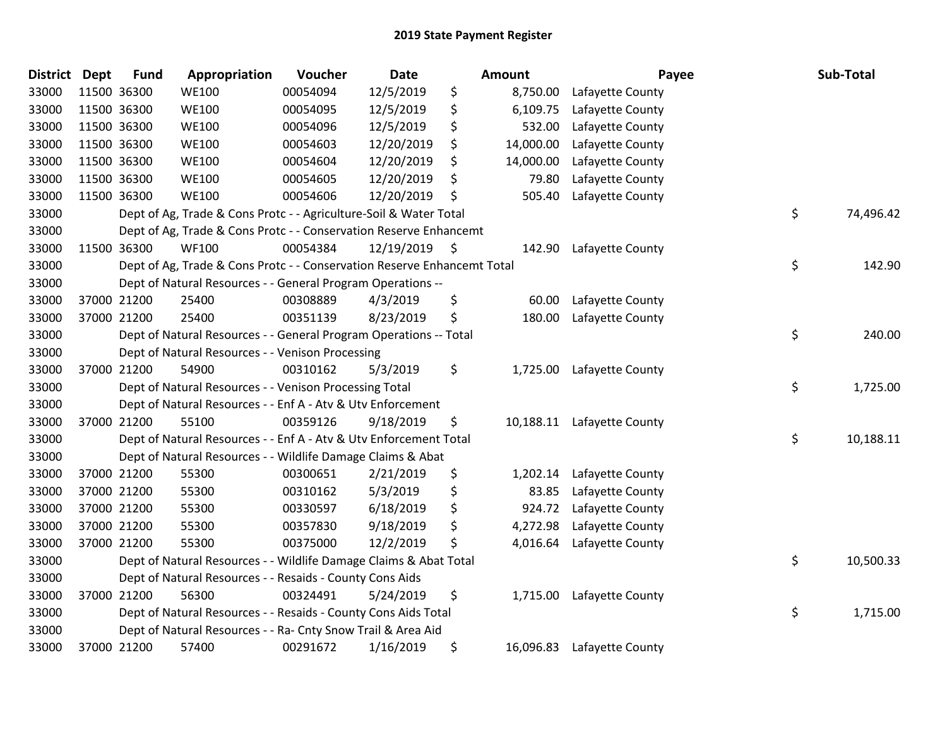| <b>District</b> | <b>Dept</b> | <b>Fund</b> | Appropriation                                                           | Voucher  | <b>Date</b> |      | Amount    | Payee            | Sub-Total       |
|-----------------|-------------|-------------|-------------------------------------------------------------------------|----------|-------------|------|-----------|------------------|-----------------|
| 33000           |             | 11500 36300 | <b>WE100</b>                                                            | 00054094 | 12/5/2019   | \$   | 8,750.00  | Lafayette County |                 |
| 33000           |             | 11500 36300 | <b>WE100</b>                                                            | 00054095 | 12/5/2019   | \$   | 6,109.75  | Lafayette County |                 |
| 33000           | 11500 36300 |             | <b>WE100</b>                                                            | 00054096 | 12/5/2019   | \$   | 532.00    | Lafayette County |                 |
| 33000           |             | 11500 36300 | <b>WE100</b>                                                            | 00054603 | 12/20/2019  | \$   | 14,000.00 | Lafayette County |                 |
| 33000           |             | 11500 36300 | <b>WE100</b>                                                            | 00054604 | 12/20/2019  | \$   | 14,000.00 | Lafayette County |                 |
| 33000           |             | 11500 36300 | <b>WE100</b>                                                            | 00054605 | 12/20/2019  | \$   | 79.80     | Lafayette County |                 |
| 33000           |             | 11500 36300 | <b>WE100</b>                                                            | 00054606 | 12/20/2019  | \$   | 505.40    | Lafayette County |                 |
| 33000           |             |             | Dept of Ag, Trade & Cons Protc - - Agriculture-Soil & Water Total       |          |             |      |           |                  | \$<br>74,496.42 |
| 33000           |             |             | Dept of Ag, Trade & Cons Protc - - Conservation Reserve Enhancemt       |          |             |      |           |                  |                 |
| 33000           |             | 11500 36300 | <b>WF100</b>                                                            | 00054384 | 12/19/2019  | - \$ | 142.90    | Lafayette County |                 |
| 33000           |             |             | Dept of Ag, Trade & Cons Protc - - Conservation Reserve Enhancemt Total |          |             |      |           |                  | \$<br>142.90    |
| 33000           |             |             | Dept of Natural Resources - - General Program Operations --             |          |             |      |           |                  |                 |
| 33000           |             | 37000 21200 | 25400                                                                   | 00308889 | 4/3/2019    | \$   | 60.00     | Lafayette County |                 |
| 33000           |             | 37000 21200 | 25400                                                                   | 00351139 | 8/23/2019   | \$   | 180.00    | Lafayette County |                 |
| 33000           |             |             | Dept of Natural Resources - - General Program Operations -- Total       |          |             |      |           |                  | \$<br>240.00    |
| 33000           |             |             | Dept of Natural Resources - - Venison Processing                        |          |             |      |           |                  |                 |
| 33000           |             | 37000 21200 | 54900                                                                   | 00310162 | 5/3/2019    | \$   | 1,725.00  | Lafayette County |                 |
| 33000           |             |             | Dept of Natural Resources - - Venison Processing Total                  |          |             |      |           |                  | \$<br>1,725.00  |
| 33000           |             |             | Dept of Natural Resources - - Enf A - Atv & Utv Enforcement             |          |             |      |           |                  |                 |
| 33000           |             | 37000 21200 | 55100                                                                   | 00359126 | 9/18/2019   | \$   | 10,188.11 | Lafayette County |                 |
| 33000           |             |             | Dept of Natural Resources - - Enf A - Atv & Utv Enforcement Total       |          |             |      |           |                  | \$<br>10,188.11 |
| 33000           |             |             | Dept of Natural Resources - - Wildlife Damage Claims & Abat             |          |             |      |           |                  |                 |
| 33000           |             | 37000 21200 | 55300                                                                   | 00300651 | 2/21/2019   | \$   | 1,202.14  | Lafayette County |                 |
| 33000           |             | 37000 21200 | 55300                                                                   | 00310162 | 5/3/2019    | \$   | 83.85     | Lafayette County |                 |
| 33000           |             | 37000 21200 | 55300                                                                   | 00330597 | 6/18/2019   | \$   | 924.72    | Lafayette County |                 |
| 33000           |             | 37000 21200 | 55300                                                                   | 00357830 | 9/18/2019   | \$   | 4,272.98  | Lafayette County |                 |
| 33000           |             | 37000 21200 | 55300                                                                   | 00375000 | 12/2/2019   | \$   | 4,016.64  | Lafayette County |                 |
| 33000           |             |             | Dept of Natural Resources - - Wildlife Damage Claims & Abat Total       |          |             |      |           |                  | \$<br>10,500.33 |
| 33000           |             |             | Dept of Natural Resources - - Resaids - County Cons Aids                |          |             |      |           |                  |                 |
| 33000           |             | 37000 21200 | 56300                                                                   | 00324491 | 5/24/2019   | \$   | 1,715.00  | Lafayette County |                 |
| 33000           |             |             | Dept of Natural Resources - - Resaids - County Cons Aids Total          |          |             |      |           |                  | \$<br>1,715.00  |
| 33000           |             |             | Dept of Natural Resources - - Ra- Cnty Snow Trail & Area Aid            |          |             |      |           |                  |                 |
| 33000           |             | 37000 21200 | 57400                                                                   | 00291672 | 1/16/2019   | \$   | 16,096.83 | Lafayette County |                 |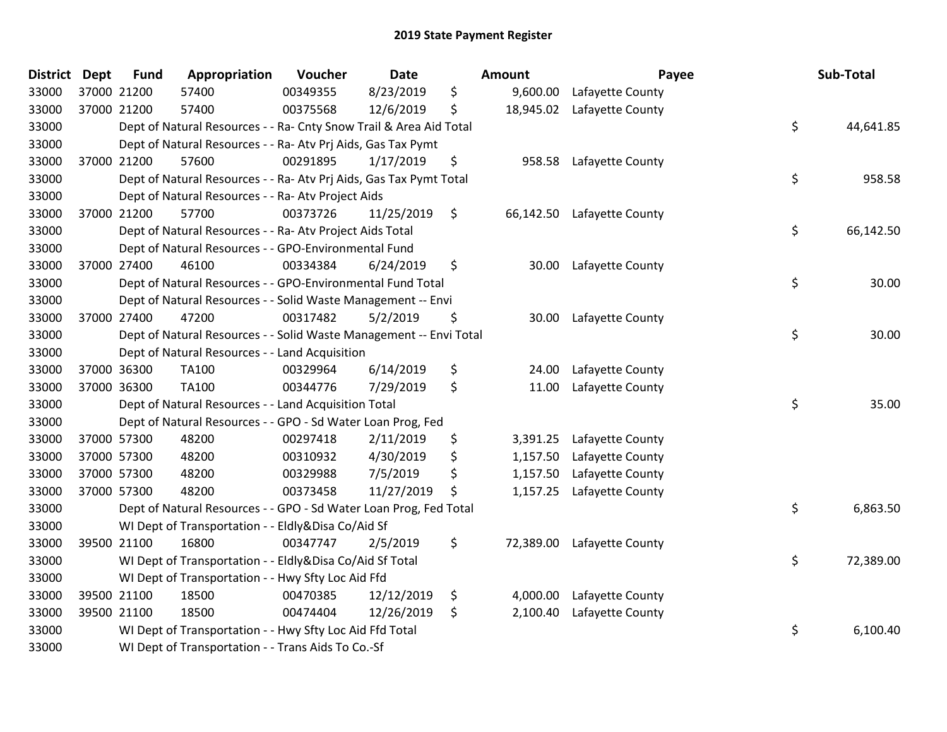| District | <b>Dept</b> | Fund | Appropriation                                                      | Voucher  | <b>Date</b> | <b>Amount</b>   | Payee                      | Sub-Total       |
|----------|-------------|------|--------------------------------------------------------------------|----------|-------------|-----------------|----------------------------|-----------------|
| 33000    | 37000 21200 |      | 57400                                                              | 00349355 | 8/23/2019   | \$<br>9,600.00  | Lafayette County           |                 |
| 33000    | 37000 21200 |      | 57400                                                              | 00375568 | 12/6/2019   | \$              | 18,945.02 Lafayette County |                 |
| 33000    |             |      | Dept of Natural Resources - - Ra- Cnty Snow Trail & Area Aid Total |          |             |                 |                            | \$<br>44,641.85 |
| 33000    |             |      | Dept of Natural Resources - - Ra- Atv Prj Aids, Gas Tax Pymt       |          |             |                 |                            |                 |
| 33000    | 37000 21200 |      | 57600                                                              | 00291895 | 1/17/2019   | \$<br>958.58    | Lafayette County           |                 |
| 33000    |             |      | Dept of Natural Resources - - Ra- Atv Prj Aids, Gas Tax Pymt Total |          |             |                 |                            | \$<br>958.58    |
| 33000    |             |      | Dept of Natural Resources - - Ra- Atv Project Aids                 |          |             |                 |                            |                 |
| 33000    | 37000 21200 |      | 57700                                                              | 00373726 | 11/25/2019  | \$<br>66,142.50 | Lafayette County           |                 |
| 33000    |             |      | Dept of Natural Resources - - Ra- Atv Project Aids Total           |          |             |                 |                            | \$<br>66,142.50 |
| 33000    |             |      | Dept of Natural Resources - - GPO-Environmental Fund               |          |             |                 |                            |                 |
| 33000    | 37000 27400 |      | 46100                                                              | 00334384 | 6/24/2019   | \$              | 30.00 Lafayette County     |                 |
| 33000    |             |      | Dept of Natural Resources - - GPO-Environmental Fund Total         |          |             |                 |                            | \$<br>30.00     |
| 33000    |             |      | Dept of Natural Resources - - Solid Waste Management -- Envi       |          |             |                 |                            |                 |
| 33000    | 37000 27400 |      | 47200                                                              | 00317482 | 5/2/2019    | \$<br>30.00     | Lafayette County           |                 |
| 33000    |             |      | Dept of Natural Resources - - Solid Waste Management -- Envi Total |          |             |                 |                            | \$<br>30.00     |
| 33000    |             |      | Dept of Natural Resources - - Land Acquisition                     |          |             |                 |                            |                 |
| 33000    | 37000 36300 |      | TA100                                                              | 00329964 | 6/14/2019   | \$<br>24.00     | Lafayette County           |                 |
| 33000    | 37000 36300 |      | TA100                                                              | 00344776 | 7/29/2019   | \$<br>11.00     | Lafayette County           |                 |
| 33000    |             |      | Dept of Natural Resources - - Land Acquisition Total               |          |             |                 |                            | \$<br>35.00     |
| 33000    |             |      | Dept of Natural Resources - - GPO - Sd Water Loan Prog, Fed        |          |             |                 |                            |                 |
| 33000    | 37000 57300 |      | 48200                                                              | 00297418 | 2/11/2019   | \$<br>3,391.25  | Lafayette County           |                 |
| 33000    | 37000 57300 |      | 48200                                                              | 00310932 | 4/30/2019   | \$<br>1,157.50  | Lafayette County           |                 |
| 33000    | 37000 57300 |      | 48200                                                              | 00329988 | 7/5/2019    | \$<br>1,157.50  | Lafayette County           |                 |
| 33000    | 37000 57300 |      | 48200                                                              | 00373458 | 11/27/2019  | \$<br>1,157.25  | Lafayette County           |                 |
| 33000    |             |      | Dept of Natural Resources - - GPO - Sd Water Loan Prog, Fed Total  |          |             |                 |                            | \$<br>6,863.50  |
| 33000    |             |      | WI Dept of Transportation - - Eldly&Disa Co/Aid Sf                 |          |             |                 |                            |                 |
| 33000    | 39500 21100 |      | 16800                                                              | 00347747 | 2/5/2019    | \$<br>72,389.00 | Lafayette County           |                 |
| 33000    |             |      | WI Dept of Transportation - - Eldly&Disa Co/Aid Sf Total           |          |             |                 |                            | \$<br>72,389.00 |
| 33000    |             |      | WI Dept of Transportation - - Hwy Sfty Loc Aid Ffd                 |          |             |                 |                            |                 |
| 33000    | 39500 21100 |      | 18500                                                              | 00470385 | 12/12/2019  | \$<br>4,000.00  | Lafayette County           |                 |
| 33000    | 39500 21100 |      | 18500                                                              | 00474404 | 12/26/2019  | \$<br>2,100.40  | Lafayette County           |                 |
| 33000    |             |      | WI Dept of Transportation - - Hwy Sfty Loc Aid Ffd Total           |          |             |                 |                            | \$<br>6,100.40  |
| 33000    |             |      | WI Dept of Transportation - - Trans Aids To Co.-Sf                 |          |             |                 |                            |                 |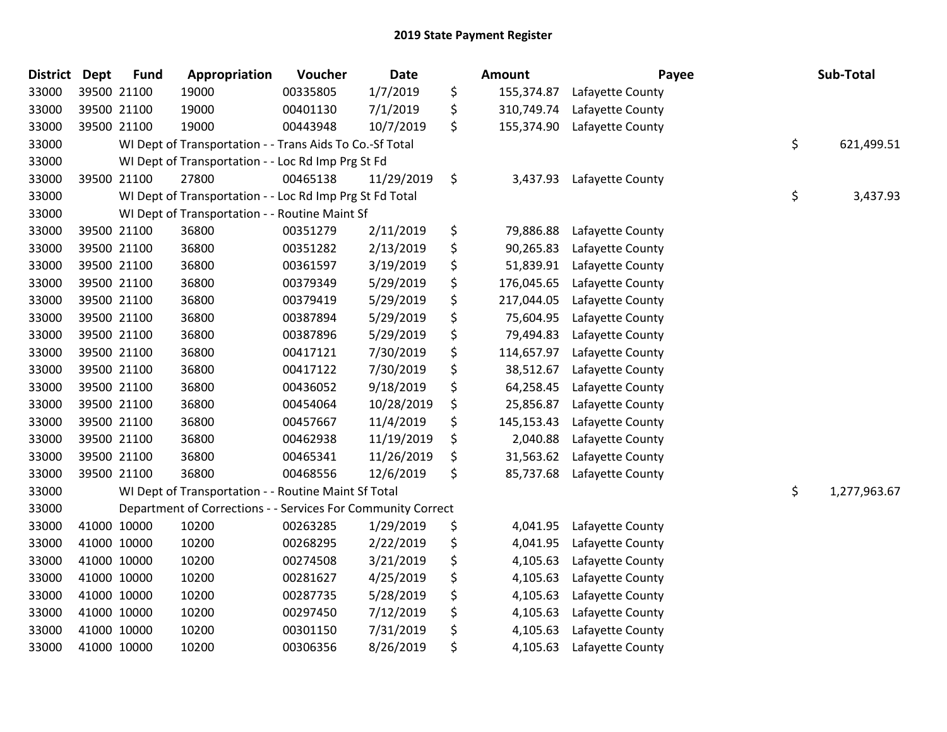| <b>District</b> | <b>Dept</b> | <b>Fund</b> | Appropriation                                                | Voucher  | <b>Date</b> | <b>Amount</b>    | Payee            | Sub-Total          |
|-----------------|-------------|-------------|--------------------------------------------------------------|----------|-------------|------------------|------------------|--------------------|
| 33000           |             | 39500 21100 | 19000                                                        | 00335805 | 1/7/2019    | \$<br>155,374.87 | Lafayette County |                    |
| 33000           |             | 39500 21100 | 19000                                                        | 00401130 | 7/1/2019    | \$<br>310,749.74 | Lafayette County |                    |
| 33000           |             | 39500 21100 | 19000                                                        | 00443948 | 10/7/2019   | \$<br>155,374.90 | Lafayette County |                    |
| 33000           |             |             | WI Dept of Transportation - - Trans Aids To Co.-Sf Total     |          |             |                  |                  | \$<br>621,499.51   |
| 33000           |             |             | WI Dept of Transportation - - Loc Rd Imp Prg St Fd           |          |             |                  |                  |                    |
| 33000           |             | 39500 21100 | 27800                                                        | 00465138 | 11/29/2019  | \$<br>3,437.93   | Lafayette County |                    |
| 33000           |             |             | WI Dept of Transportation - - Loc Rd Imp Prg St Fd Total     |          |             |                  |                  | \$<br>3,437.93     |
| 33000           |             |             | WI Dept of Transportation - - Routine Maint Sf               |          |             |                  |                  |                    |
| 33000           |             | 39500 21100 | 36800                                                        | 00351279 | 2/11/2019   | \$<br>79,886.88  | Lafayette County |                    |
| 33000           |             | 39500 21100 | 36800                                                        | 00351282 | 2/13/2019   | \$<br>90,265.83  | Lafayette County |                    |
| 33000           |             | 39500 21100 | 36800                                                        | 00361597 | 3/19/2019   | \$<br>51,839.91  | Lafayette County |                    |
| 33000           |             | 39500 21100 | 36800                                                        | 00379349 | 5/29/2019   | \$<br>176,045.65 | Lafayette County |                    |
| 33000           |             | 39500 21100 | 36800                                                        | 00379419 | 5/29/2019   | \$<br>217,044.05 | Lafayette County |                    |
| 33000           |             | 39500 21100 | 36800                                                        | 00387894 | 5/29/2019   | \$<br>75,604.95  | Lafayette County |                    |
| 33000           |             | 39500 21100 | 36800                                                        | 00387896 | 5/29/2019   | \$<br>79,494.83  | Lafayette County |                    |
| 33000           |             | 39500 21100 | 36800                                                        | 00417121 | 7/30/2019   | \$<br>114,657.97 | Lafayette County |                    |
| 33000           |             | 39500 21100 | 36800                                                        | 00417122 | 7/30/2019   | \$<br>38,512.67  | Lafayette County |                    |
| 33000           |             | 39500 21100 | 36800                                                        | 00436052 | 9/18/2019   | \$<br>64,258.45  | Lafayette County |                    |
| 33000           |             | 39500 21100 | 36800                                                        | 00454064 | 10/28/2019  | \$<br>25,856.87  | Lafayette County |                    |
| 33000           |             | 39500 21100 | 36800                                                        | 00457667 | 11/4/2019   | \$<br>145,153.43 | Lafayette County |                    |
| 33000           |             | 39500 21100 | 36800                                                        | 00462938 | 11/19/2019  | \$<br>2,040.88   | Lafayette County |                    |
| 33000           |             | 39500 21100 | 36800                                                        | 00465341 | 11/26/2019  | \$<br>31,563.62  | Lafayette County |                    |
| 33000           |             | 39500 21100 | 36800                                                        | 00468556 | 12/6/2019   | \$<br>85,737.68  | Lafayette County |                    |
| 33000           |             |             | WI Dept of Transportation - - Routine Maint Sf Total         |          |             |                  |                  | \$<br>1,277,963.67 |
| 33000           |             |             | Department of Corrections - - Services For Community Correct |          |             |                  |                  |                    |
| 33000           |             | 41000 10000 | 10200                                                        | 00263285 | 1/29/2019   | \$<br>4,041.95   | Lafayette County |                    |
| 33000           |             | 41000 10000 | 10200                                                        | 00268295 | 2/22/2019   | \$<br>4,041.95   | Lafayette County |                    |
| 33000           |             | 41000 10000 | 10200                                                        | 00274508 | 3/21/2019   | \$<br>4,105.63   | Lafayette County |                    |
| 33000           |             | 41000 10000 | 10200                                                        | 00281627 | 4/25/2019   | \$<br>4,105.63   | Lafayette County |                    |
| 33000           |             | 41000 10000 | 10200                                                        | 00287735 | 5/28/2019   | \$<br>4,105.63   | Lafayette County |                    |
| 33000           | 41000 10000 |             | 10200                                                        | 00297450 | 7/12/2019   | \$<br>4,105.63   | Lafayette County |                    |
| 33000           |             | 41000 10000 | 10200                                                        | 00301150 | 7/31/2019   | \$<br>4,105.63   | Lafayette County |                    |
| 33000           |             | 41000 10000 | 10200                                                        | 00306356 | 8/26/2019   | \$<br>4,105.63   | Lafayette County |                    |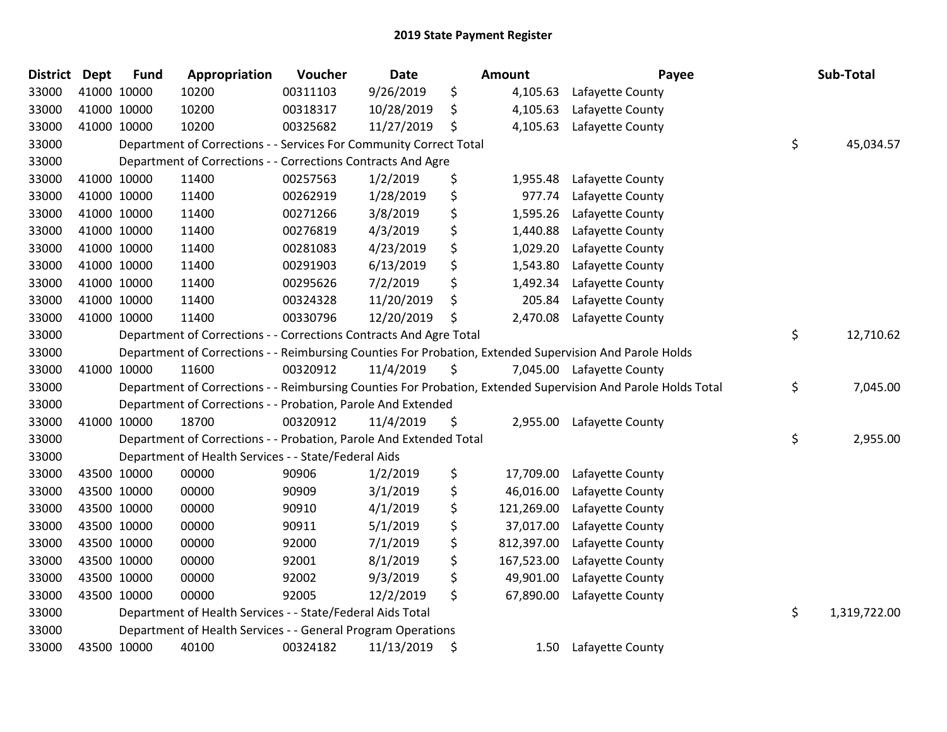| District Dept |             | <b>Fund</b> | Appropriation                                                      | Voucher  | <b>Date</b> | Amount           | Payee                                                                                                         | Sub-Total          |
|---------------|-------------|-------------|--------------------------------------------------------------------|----------|-------------|------------------|---------------------------------------------------------------------------------------------------------------|--------------------|
| 33000         |             | 41000 10000 | 10200                                                              | 00311103 | 9/26/2019   | \$<br>4,105.63   | Lafayette County                                                                                              |                    |
| 33000         |             | 41000 10000 | 10200                                                              | 00318317 | 10/28/2019  | \$<br>4,105.63   | Lafayette County                                                                                              |                    |
| 33000         |             | 41000 10000 | 10200                                                              | 00325682 | 11/27/2019  | \$<br>4,105.63   | Lafayette County                                                                                              |                    |
| 33000         |             |             | Department of Corrections - - Services For Community Correct Total |          |             |                  |                                                                                                               | \$<br>45,034.57    |
| 33000         |             |             | Department of Corrections - - Corrections Contracts And Agre       |          |             |                  |                                                                                                               |                    |
| 33000         |             | 41000 10000 | 11400                                                              | 00257563 | 1/2/2019    | \$<br>1,955.48   | Lafayette County                                                                                              |                    |
| 33000         |             | 41000 10000 | 11400                                                              | 00262919 | 1/28/2019   | \$<br>977.74     | Lafayette County                                                                                              |                    |
| 33000         |             | 41000 10000 | 11400                                                              | 00271266 | 3/8/2019    | \$<br>1,595.26   | Lafayette County                                                                                              |                    |
| 33000         |             | 41000 10000 | 11400                                                              | 00276819 | 4/3/2019    | \$<br>1,440.88   | Lafayette County                                                                                              |                    |
| 33000         |             | 41000 10000 | 11400                                                              | 00281083 | 4/23/2019   | \$<br>1,029.20   | Lafayette County                                                                                              |                    |
| 33000         |             | 41000 10000 | 11400                                                              | 00291903 | 6/13/2019   | \$<br>1,543.80   | Lafayette County                                                                                              |                    |
| 33000         | 41000 10000 |             | 11400                                                              | 00295626 | 7/2/2019    | \$<br>1,492.34   | Lafayette County                                                                                              |                    |
| 33000         |             | 41000 10000 | 11400                                                              | 00324328 | 11/20/2019  | \$<br>205.84     | Lafayette County                                                                                              |                    |
| 33000         |             | 41000 10000 | 11400                                                              | 00330796 | 12/20/2019  | \$<br>2,470.08   | Lafayette County                                                                                              |                    |
| 33000         |             |             | Department of Corrections - - Corrections Contracts And Agre Total |          |             |                  |                                                                                                               | \$<br>12,710.62    |
| 33000         |             |             |                                                                    |          |             |                  | Department of Corrections - - Reimbursing Counties For Probation, Extended Supervision And Parole Holds       |                    |
| 33000         |             | 41000 10000 | 11600                                                              | 00320912 | 11/4/2019   | \$               | 7,045.00 Lafayette County                                                                                     |                    |
| 33000         |             |             |                                                                    |          |             |                  | Department of Corrections - - Reimbursing Counties For Probation, Extended Supervision And Parole Holds Total | \$<br>7,045.00     |
| 33000         |             |             | Department of Corrections - - Probation, Parole And Extended       |          |             |                  |                                                                                                               |                    |
| 33000         |             | 41000 10000 | 18700                                                              | 00320912 | 11/4/2019   | \$               | 2,955.00 Lafayette County                                                                                     |                    |
| 33000         |             |             | Department of Corrections - - Probation, Parole And Extended Total |          |             |                  |                                                                                                               | \$<br>2,955.00     |
| 33000         |             |             | Department of Health Services - - State/Federal Aids               |          |             |                  |                                                                                                               |                    |
| 33000         |             | 43500 10000 | 00000                                                              | 90906    | 1/2/2019    | \$<br>17,709.00  | Lafayette County                                                                                              |                    |
| 33000         |             | 43500 10000 | 00000                                                              | 90909    | 3/1/2019    | \$<br>46,016.00  | Lafayette County                                                                                              |                    |
| 33000         |             | 43500 10000 | 00000                                                              | 90910    | 4/1/2019    | \$<br>121,269.00 | Lafayette County                                                                                              |                    |
| 33000         |             | 43500 10000 | 00000                                                              | 90911    | 5/1/2019    | \$<br>37,017.00  | Lafayette County                                                                                              |                    |
| 33000         |             | 43500 10000 | 00000                                                              | 92000    | 7/1/2019    | \$<br>812,397.00 | Lafayette County                                                                                              |                    |
| 33000         |             | 43500 10000 | 00000                                                              | 92001    | 8/1/2019    | \$<br>167,523.00 | Lafayette County                                                                                              |                    |
| 33000         |             | 43500 10000 | 00000                                                              | 92002    | 9/3/2019    | \$<br>49,901.00  | Lafayette County                                                                                              |                    |
| 33000         |             | 43500 10000 | 00000                                                              | 92005    | 12/2/2019   | \$<br>67,890.00  | Lafayette County                                                                                              |                    |
| 33000         |             |             | Department of Health Services - - State/Federal Aids Total         |          |             |                  |                                                                                                               | \$<br>1,319,722.00 |
| 33000         |             |             | Department of Health Services - - General Program Operations       |          |             |                  |                                                                                                               |                    |
| 33000         |             | 43500 10000 | 40100                                                              | 00324182 | 11/13/2019  | \$<br>1.50       | Lafayette County                                                                                              |                    |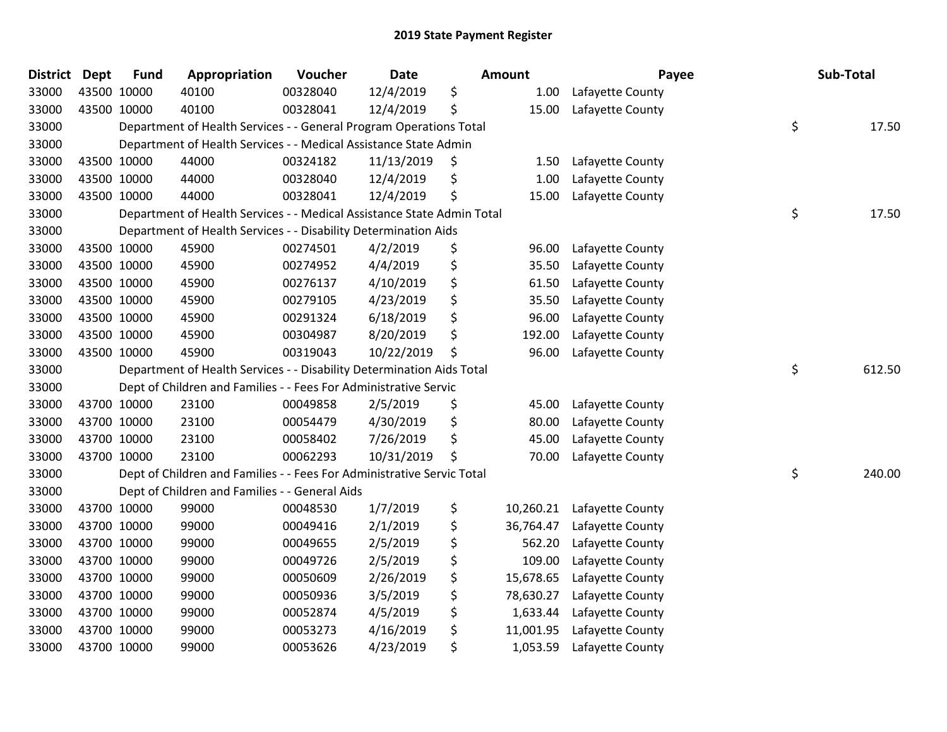| <b>District</b> | <b>Dept</b> | <b>Fund</b> | Appropriation                                                          | Voucher  | <b>Date</b> | Amount          | Payee            | Sub-Total    |
|-----------------|-------------|-------------|------------------------------------------------------------------------|----------|-------------|-----------------|------------------|--------------|
| 33000           |             | 43500 10000 | 40100                                                                  | 00328040 | 12/4/2019   | \$<br>1.00      | Lafayette County |              |
| 33000           |             | 43500 10000 | 40100                                                                  | 00328041 | 12/4/2019   | \$<br>15.00     | Lafayette County |              |
| 33000           |             |             | Department of Health Services - - General Program Operations Total     |          |             |                 |                  | \$<br>17.50  |
| 33000           |             |             | Department of Health Services - - Medical Assistance State Admin       |          |             |                 |                  |              |
| 33000           |             | 43500 10000 | 44000                                                                  | 00324182 | 11/13/2019  | \$<br>1.50      | Lafayette County |              |
| 33000           |             | 43500 10000 | 44000                                                                  | 00328040 | 12/4/2019   | \$<br>1.00      | Lafayette County |              |
| 33000           |             | 43500 10000 | 44000                                                                  | 00328041 | 12/4/2019   | \$<br>15.00     | Lafayette County |              |
| 33000           |             |             | Department of Health Services - - Medical Assistance State Admin Total |          |             |                 |                  | \$<br>17.50  |
| 33000           |             |             | Department of Health Services - - Disability Determination Aids        |          |             |                 |                  |              |
| 33000           |             | 43500 10000 | 45900                                                                  | 00274501 | 4/2/2019    | \$<br>96.00     | Lafayette County |              |
| 33000           |             | 43500 10000 | 45900                                                                  | 00274952 | 4/4/2019    | \$<br>35.50     | Lafayette County |              |
| 33000           |             | 43500 10000 | 45900                                                                  | 00276137 | 4/10/2019   | \$<br>61.50     | Lafayette County |              |
| 33000           |             | 43500 10000 | 45900                                                                  | 00279105 | 4/23/2019   | \$<br>35.50     | Lafayette County |              |
| 33000           |             | 43500 10000 | 45900                                                                  | 00291324 | 6/18/2019   | \$<br>96.00     | Lafayette County |              |
| 33000           |             | 43500 10000 | 45900                                                                  | 00304987 | 8/20/2019   | \$<br>192.00    | Lafayette County |              |
| 33000           |             | 43500 10000 | 45900                                                                  | 00319043 | 10/22/2019  | \$<br>96.00     | Lafayette County |              |
| 33000           |             |             | Department of Health Services - - Disability Determination Aids Total  |          |             |                 |                  | \$<br>612.50 |
| 33000           |             |             | Dept of Children and Families - - Fees For Administrative Servic       |          |             |                 |                  |              |
| 33000           |             | 43700 10000 | 23100                                                                  | 00049858 | 2/5/2019    | \$<br>45.00     | Lafayette County |              |
| 33000           |             | 43700 10000 | 23100                                                                  | 00054479 | 4/30/2019   | \$<br>80.00     | Lafayette County |              |
| 33000           |             | 43700 10000 | 23100                                                                  | 00058402 | 7/26/2019   | \$<br>45.00     | Lafayette County |              |
| 33000           |             | 43700 10000 | 23100                                                                  | 00062293 | 10/31/2019  | \$<br>70.00     | Lafayette County |              |
| 33000           |             |             | Dept of Children and Families - - Fees For Administrative Servic Total |          |             |                 |                  | \$<br>240.00 |
| 33000           |             |             | Dept of Children and Families - - General Aids                         |          |             |                 |                  |              |
| 33000           |             | 43700 10000 | 99000                                                                  | 00048530 | 1/7/2019    | \$<br>10,260.21 | Lafayette County |              |
| 33000           |             | 43700 10000 | 99000                                                                  | 00049416 | 2/1/2019    | \$<br>36,764.47 | Lafayette County |              |
| 33000           |             | 43700 10000 | 99000                                                                  | 00049655 | 2/5/2019    | \$<br>562.20    | Lafayette County |              |
| 33000           |             | 43700 10000 | 99000                                                                  | 00049726 | 2/5/2019    | \$<br>109.00    | Lafayette County |              |
| 33000           |             | 43700 10000 | 99000                                                                  | 00050609 | 2/26/2019   | \$<br>15,678.65 | Lafayette County |              |
| 33000           |             | 43700 10000 | 99000                                                                  | 00050936 | 3/5/2019    | \$<br>78,630.27 | Lafayette County |              |
| 33000           |             | 43700 10000 | 99000                                                                  | 00052874 | 4/5/2019    | \$<br>1,633.44  | Lafayette County |              |
| 33000           |             | 43700 10000 | 99000                                                                  | 00053273 | 4/16/2019   | \$<br>11,001.95 | Lafayette County |              |
| 33000           |             | 43700 10000 | 99000                                                                  | 00053626 | 4/23/2019   | \$<br>1,053.59  | Lafayette County |              |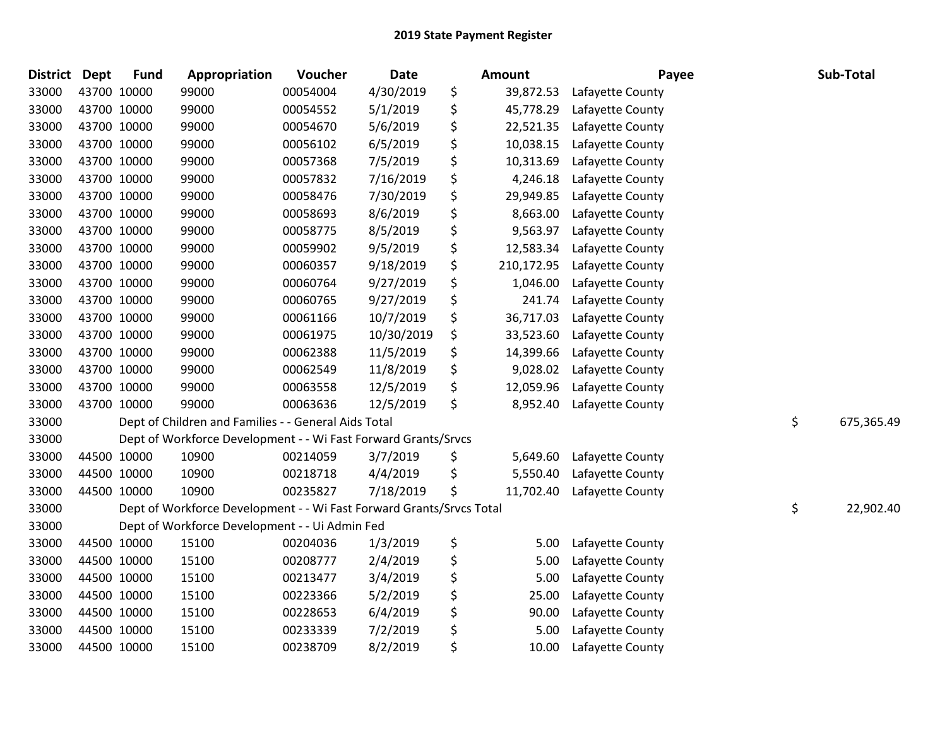| <b>District</b> | <b>Dept</b> | <b>Fund</b> | Appropriation                                                        | Voucher  | Date       | <b>Amount</b>    | Payee            | Sub-Total        |
|-----------------|-------------|-------------|----------------------------------------------------------------------|----------|------------|------------------|------------------|------------------|
| 33000           | 43700 10000 |             | 99000                                                                | 00054004 | 4/30/2019  | \$<br>39,872.53  | Lafayette County |                  |
| 33000           | 43700 10000 |             | 99000                                                                | 00054552 | 5/1/2019   | \$<br>45,778.29  | Lafayette County |                  |
| 33000           | 43700 10000 |             | 99000                                                                | 00054670 | 5/6/2019   | \$<br>22,521.35  | Lafayette County |                  |
| 33000           | 43700 10000 |             | 99000                                                                | 00056102 | 6/5/2019   | \$<br>10,038.15  | Lafayette County |                  |
| 33000           | 43700 10000 |             | 99000                                                                | 00057368 | 7/5/2019   | \$<br>10,313.69  | Lafayette County |                  |
| 33000           | 43700 10000 |             | 99000                                                                | 00057832 | 7/16/2019  | \$<br>4,246.18   | Lafayette County |                  |
| 33000           | 43700 10000 |             | 99000                                                                | 00058476 | 7/30/2019  | \$<br>29,949.85  | Lafayette County |                  |
| 33000           | 43700 10000 |             | 99000                                                                | 00058693 | 8/6/2019   | \$<br>8,663.00   | Lafayette County |                  |
| 33000           | 43700 10000 |             | 99000                                                                | 00058775 | 8/5/2019   | \$<br>9,563.97   | Lafayette County |                  |
| 33000           | 43700 10000 |             | 99000                                                                | 00059902 | 9/5/2019   | \$<br>12,583.34  | Lafayette County |                  |
| 33000           | 43700 10000 |             | 99000                                                                | 00060357 | 9/18/2019  | \$<br>210,172.95 | Lafayette County |                  |
| 33000           | 43700 10000 |             | 99000                                                                | 00060764 | 9/27/2019  | \$<br>1,046.00   | Lafayette County |                  |
| 33000           | 43700 10000 |             | 99000                                                                | 00060765 | 9/27/2019  | \$<br>241.74     | Lafayette County |                  |
| 33000           | 43700 10000 |             | 99000                                                                | 00061166 | 10/7/2019  | \$<br>36,717.03  | Lafayette County |                  |
| 33000           | 43700 10000 |             | 99000                                                                | 00061975 | 10/30/2019 | \$<br>33,523.60  | Lafayette County |                  |
| 33000           | 43700 10000 |             | 99000                                                                | 00062388 | 11/5/2019  | \$<br>14,399.66  | Lafayette County |                  |
| 33000           | 43700 10000 |             | 99000                                                                | 00062549 | 11/8/2019  | \$<br>9,028.02   | Lafayette County |                  |
| 33000           | 43700 10000 |             | 99000                                                                | 00063558 | 12/5/2019  | \$<br>12,059.96  | Lafayette County |                  |
| 33000           | 43700 10000 |             | 99000                                                                | 00063636 | 12/5/2019  | \$<br>8,952.40   | Lafayette County |                  |
| 33000           |             |             | Dept of Children and Families - - General Aids Total                 |          |            |                  |                  | \$<br>675,365.49 |
| 33000           |             |             | Dept of Workforce Development - - Wi Fast Forward Grants/Srvcs       |          |            |                  |                  |                  |
| 33000           | 44500 10000 |             | 10900                                                                | 00214059 | 3/7/2019   | \$<br>5,649.60   | Lafayette County |                  |
| 33000           | 44500 10000 |             | 10900                                                                | 00218718 | 4/4/2019   | \$<br>5,550.40   | Lafayette County |                  |
| 33000           | 44500 10000 |             | 10900                                                                | 00235827 | 7/18/2019  | \$<br>11,702.40  | Lafayette County |                  |
| 33000           |             |             | Dept of Workforce Development - - Wi Fast Forward Grants/Srvcs Total |          |            |                  |                  | \$<br>22,902.40  |
| 33000           |             |             | Dept of Workforce Development - - Ui Admin Fed                       |          |            |                  |                  |                  |
| 33000           | 44500 10000 |             | 15100                                                                | 00204036 | 1/3/2019   | \$<br>5.00       | Lafayette County |                  |
| 33000           | 44500 10000 |             | 15100                                                                | 00208777 | 2/4/2019   | \$<br>5.00       | Lafayette County |                  |
| 33000           | 44500 10000 |             | 15100                                                                | 00213477 | 3/4/2019   | \$<br>5.00       | Lafayette County |                  |
| 33000           | 44500 10000 |             | 15100                                                                | 00223366 | 5/2/2019   | \$<br>25.00      | Lafayette County |                  |
| 33000           | 44500 10000 |             | 15100                                                                | 00228653 | 6/4/2019   | \$<br>90.00      | Lafayette County |                  |
| 33000           | 44500 10000 |             | 15100                                                                | 00233339 | 7/2/2019   | \$<br>5.00       | Lafayette County |                  |
| 33000           |             | 44500 10000 | 15100                                                                | 00238709 | 8/2/2019   | \$<br>10.00      | Lafayette County |                  |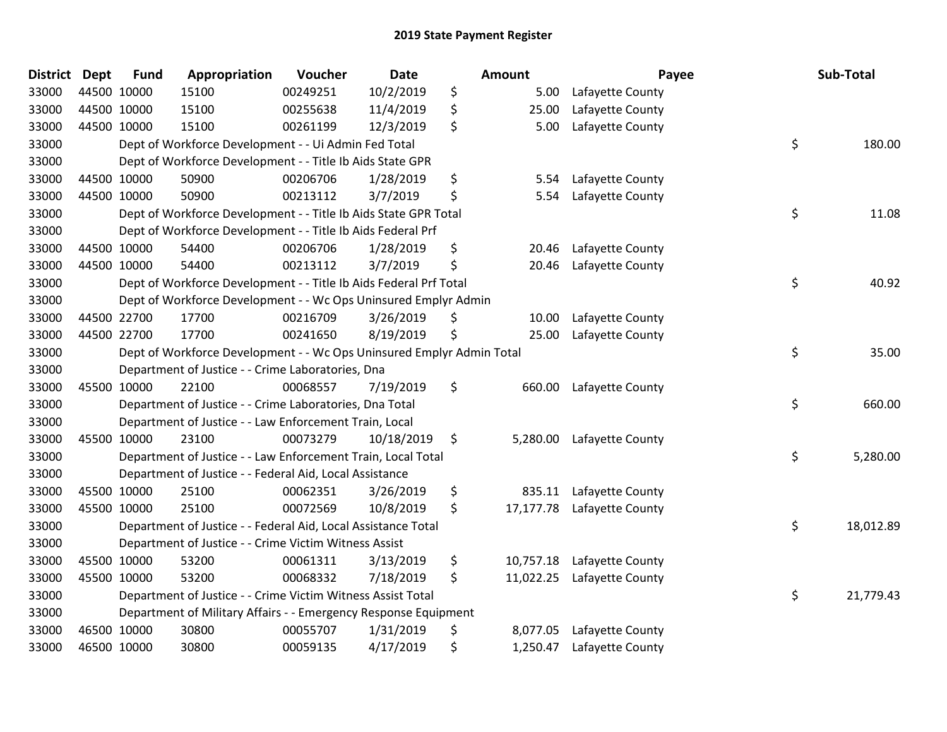| District | <b>Dept</b> | <b>Fund</b> | Appropriation                                                         | Voucher  | <b>Date</b> | Amount          | Payee            | Sub-Total       |
|----------|-------------|-------------|-----------------------------------------------------------------------|----------|-------------|-----------------|------------------|-----------------|
| 33000    | 44500 10000 |             | 15100                                                                 | 00249251 | 10/2/2019   | \$<br>5.00      | Lafayette County |                 |
| 33000    |             | 44500 10000 | 15100                                                                 | 00255638 | 11/4/2019   | \$<br>25.00     | Lafayette County |                 |
| 33000    | 44500 10000 |             | 15100                                                                 | 00261199 | 12/3/2019   | \$<br>5.00      | Lafayette County |                 |
| 33000    |             |             | Dept of Workforce Development - - Ui Admin Fed Total                  |          |             |                 |                  | \$<br>180.00    |
| 33000    |             |             | Dept of Workforce Development - - Title Ib Aids State GPR             |          |             |                 |                  |                 |
| 33000    | 44500 10000 |             | 50900                                                                 | 00206706 | 1/28/2019   | \$<br>5.54      | Lafayette County |                 |
| 33000    |             | 44500 10000 | 50900                                                                 | 00213112 | 3/7/2019    | \$<br>5.54      | Lafayette County |                 |
| 33000    |             |             | Dept of Workforce Development - - Title Ib Aids State GPR Total       |          |             |                 |                  | \$<br>11.08     |
| 33000    |             |             | Dept of Workforce Development - - Title Ib Aids Federal Prf           |          |             |                 |                  |                 |
| 33000    | 44500 10000 |             | 54400                                                                 | 00206706 | 1/28/2019   | \$<br>20.46     | Lafayette County |                 |
| 33000    | 44500 10000 |             | 54400                                                                 | 00213112 | 3/7/2019    | \$<br>20.46     | Lafayette County |                 |
| 33000    |             |             | Dept of Workforce Development - - Title Ib Aids Federal Prf Total     |          |             |                 |                  | \$<br>40.92     |
| 33000    |             |             | Dept of Workforce Development - - Wc Ops Uninsured Emplyr Admin       |          |             |                 |                  |                 |
| 33000    |             | 44500 22700 | 17700                                                                 | 00216709 | 3/26/2019   | \$<br>10.00     | Lafayette County |                 |
| 33000    |             | 44500 22700 | 17700                                                                 | 00241650 | 8/19/2019   | \$<br>25.00     | Lafayette County |                 |
| 33000    |             |             | Dept of Workforce Development - - Wc Ops Uninsured Emplyr Admin Total |          |             |                 |                  | \$<br>35.00     |
| 33000    |             |             | Department of Justice - - Crime Laboratories, Dna                     |          |             |                 |                  |                 |
| 33000    | 45500 10000 |             | 22100                                                                 | 00068557 | 7/19/2019   | \$<br>660.00    | Lafayette County |                 |
| 33000    |             |             | Department of Justice - - Crime Laboratories, Dna Total               |          |             |                 |                  | \$<br>660.00    |
| 33000    |             |             | Department of Justice - - Law Enforcement Train, Local                |          |             |                 |                  |                 |
| 33000    | 45500 10000 |             | 23100                                                                 | 00073279 | 10/18/2019  | \$<br>5,280.00  | Lafayette County |                 |
| 33000    |             |             | Department of Justice - - Law Enforcement Train, Local Total          |          |             |                 |                  | \$<br>5,280.00  |
| 33000    |             |             | Department of Justice - - Federal Aid, Local Assistance               |          |             |                 |                  |                 |
| 33000    |             | 45500 10000 | 25100                                                                 | 00062351 | 3/26/2019   | \$<br>835.11    | Lafayette County |                 |
| 33000    | 45500 10000 |             | 25100                                                                 | 00072569 | 10/8/2019   | \$<br>17,177.78 | Lafayette County |                 |
| 33000    |             |             | Department of Justice - - Federal Aid, Local Assistance Total         |          |             |                 |                  | \$<br>18,012.89 |
| 33000    |             |             | Department of Justice - - Crime Victim Witness Assist                 |          |             |                 |                  |                 |
| 33000    |             | 45500 10000 | 53200                                                                 | 00061311 | 3/13/2019   | \$<br>10,757.18 | Lafayette County |                 |
| 33000    | 45500 10000 |             | 53200                                                                 | 00068332 | 7/18/2019   | \$<br>11,022.25 | Lafayette County |                 |
| 33000    |             |             | Department of Justice - - Crime Victim Witness Assist Total           |          |             |                 |                  | \$<br>21,779.43 |
| 33000    |             |             | Department of Military Affairs - - Emergency Response Equipment       |          |             |                 |                  |                 |
| 33000    |             | 46500 10000 | 30800                                                                 | 00055707 | 1/31/2019   | \$<br>8,077.05  | Lafayette County |                 |
| 33000    | 46500 10000 |             | 30800                                                                 | 00059135 | 4/17/2019   | \$<br>1,250.47  | Lafayette County |                 |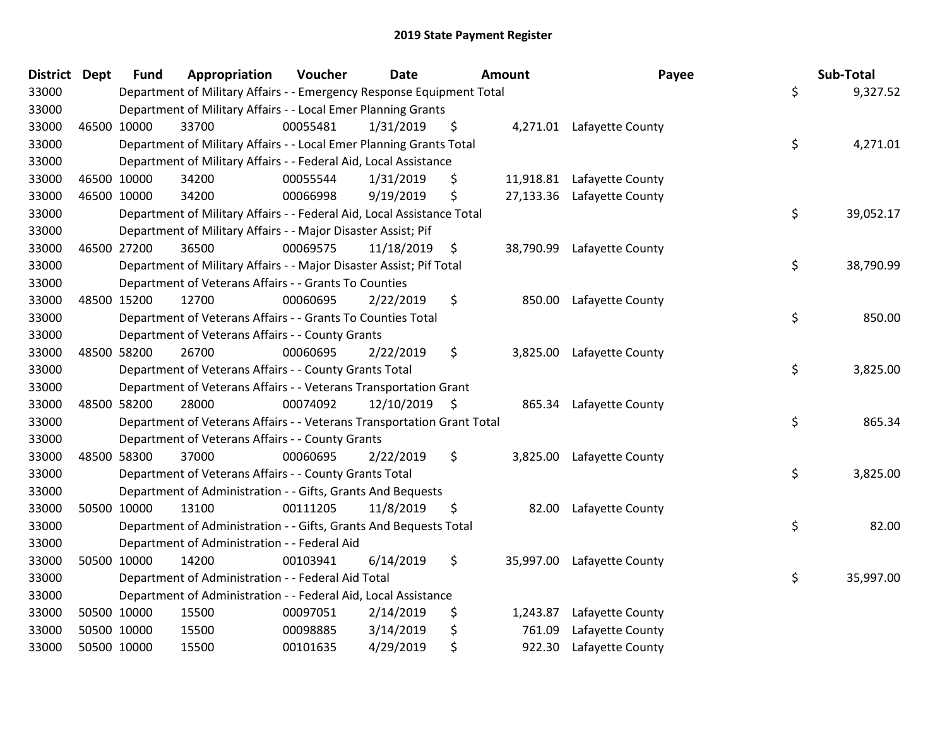| District Dept |             | <b>Fund</b> | Appropriation                                                          | Voucher  | <b>Date</b>     |     | Amount    | Payee                      | Sub-Total       |
|---------------|-------------|-------------|------------------------------------------------------------------------|----------|-----------------|-----|-----------|----------------------------|-----------------|
| 33000         |             |             | Department of Military Affairs - - Emergency Response Equipment Total  |          |                 |     |           |                            | \$<br>9,327.52  |
| 33000         |             |             | Department of Military Affairs - - Local Emer Planning Grants          |          |                 |     |           |                            |                 |
| 33000         | 46500 10000 |             | 33700                                                                  | 00055481 | 1/31/2019       | \$  |           | 4,271.01 Lafayette County  |                 |
| 33000         |             |             | Department of Military Affairs - - Local Emer Planning Grants Total    |          |                 |     |           |                            | \$<br>4,271.01  |
| 33000         |             |             | Department of Military Affairs - - Federal Aid, Local Assistance       |          |                 |     |           |                            |                 |
| 33000         | 46500 10000 |             | 34200                                                                  | 00055544 | 1/31/2019       | \$  |           | 11,918.81 Lafayette County |                 |
| 33000         | 46500 10000 |             | 34200                                                                  | 00066998 | 9/19/2019       | \$  |           | 27,133.36 Lafayette County |                 |
| 33000         |             |             | Department of Military Affairs - - Federal Aid, Local Assistance Total |          |                 |     |           |                            | \$<br>39,052.17 |
| 33000         |             |             | Department of Military Affairs - - Major Disaster Assist; Pif          |          |                 |     |           |                            |                 |
| 33000         | 46500 27200 |             | 36500                                                                  | 00069575 | 11/18/2019      | -\$ | 38,790.99 | Lafayette County           |                 |
| 33000         |             |             | Department of Military Affairs - - Major Disaster Assist; Pif Total    |          |                 |     |           |                            | \$<br>38,790.99 |
| 33000         |             |             | Department of Veterans Affairs - - Grants To Counties                  |          |                 |     |           |                            |                 |
| 33000         | 48500 15200 |             | 12700                                                                  | 00060695 | 2/22/2019       | \$  |           | 850.00 Lafayette County    |                 |
| 33000         |             |             | Department of Veterans Affairs - - Grants To Counties Total            |          |                 |     |           |                            | \$<br>850.00    |
| 33000         |             |             | Department of Veterans Affairs - - County Grants                       |          |                 |     |           |                            |                 |
| 33000         | 48500 58200 |             | 26700                                                                  | 00060695 | 2/22/2019       | \$  | 3,825.00  | Lafayette County           |                 |
| 33000         |             |             | Department of Veterans Affairs - - County Grants Total                 |          |                 |     |           |                            | \$<br>3,825.00  |
| 33000         |             |             | Department of Veterans Affairs - - Veterans Transportation Grant       |          |                 |     |           |                            |                 |
| 33000         | 48500 58200 |             | 28000                                                                  | 00074092 | $12/10/2019$ \$ |     |           | 865.34 Lafayette County    |                 |
| 33000         |             |             | Department of Veterans Affairs - - Veterans Transportation Grant Total |          |                 |     |           |                            | \$<br>865.34    |
| 33000         |             |             | Department of Veterans Affairs - - County Grants                       |          |                 |     |           |                            |                 |
| 33000         | 48500 58300 |             | 37000                                                                  | 00060695 | 2/22/2019       | \$  |           | 3,825.00 Lafayette County  |                 |
| 33000         |             |             | Department of Veterans Affairs - - County Grants Total                 |          |                 |     |           |                            | \$<br>3,825.00  |
| 33000         |             |             | Department of Administration - - Gifts, Grants And Bequests            |          |                 |     |           |                            |                 |
| 33000         | 50500 10000 |             | 13100                                                                  | 00111205 | 11/8/2019       | \$  | 82.00     | Lafayette County           |                 |
| 33000         |             |             | Department of Administration - - Gifts, Grants And Bequests Total      |          |                 |     |           |                            | \$<br>82.00     |
| 33000         |             |             | Department of Administration - - Federal Aid                           |          |                 |     |           |                            |                 |
| 33000         | 50500 10000 |             | 14200                                                                  | 00103941 | 6/14/2019       | \$  | 35,997.00 | Lafayette County           |                 |
| 33000         |             |             | Department of Administration - - Federal Aid Total                     |          |                 |     |           |                            | \$<br>35,997.00 |
| 33000         |             |             | Department of Administration - - Federal Aid, Local Assistance         |          |                 |     |           |                            |                 |
| 33000         | 50500 10000 |             | 15500                                                                  | 00097051 | 2/14/2019       | \$  | 1,243.87  | Lafayette County           |                 |
| 33000         | 50500 10000 |             | 15500                                                                  | 00098885 | 3/14/2019       | \$  | 761.09    | Lafayette County           |                 |
| 33000         | 50500 10000 |             | 15500                                                                  | 00101635 | 4/29/2019       | \$  | 922.30    | Lafayette County           |                 |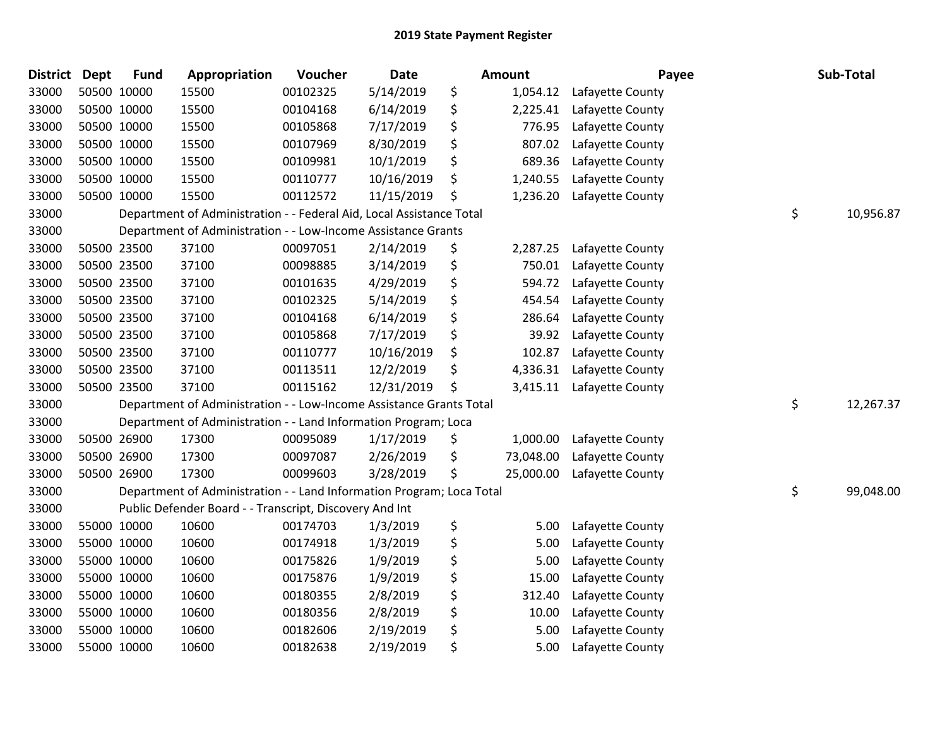| <b>District</b> | <b>Dept</b> | <b>Fund</b> | Appropriation                                                         | Voucher  | Date       | <b>Amount</b>   | Payee            | Sub-Total       |
|-----------------|-------------|-------------|-----------------------------------------------------------------------|----------|------------|-----------------|------------------|-----------------|
| 33000           |             | 50500 10000 | 15500                                                                 | 00102325 | 5/14/2019  | \$<br>1,054.12  | Lafayette County |                 |
| 33000           |             | 50500 10000 | 15500                                                                 | 00104168 | 6/14/2019  | \$<br>2,225.41  | Lafayette County |                 |
| 33000           |             | 50500 10000 | 15500                                                                 | 00105868 | 7/17/2019  | \$<br>776.95    | Lafayette County |                 |
| 33000           |             | 50500 10000 | 15500                                                                 | 00107969 | 8/30/2019  | \$<br>807.02    | Lafayette County |                 |
| 33000           |             | 50500 10000 | 15500                                                                 | 00109981 | 10/1/2019  | \$<br>689.36    | Lafayette County |                 |
| 33000           |             | 50500 10000 | 15500                                                                 | 00110777 | 10/16/2019 | \$<br>1,240.55  | Lafayette County |                 |
| 33000           |             | 50500 10000 | 15500                                                                 | 00112572 | 11/15/2019 | \$<br>1,236.20  | Lafayette County |                 |
| 33000           |             |             | Department of Administration - - Federal Aid, Local Assistance Total  |          |            |                 |                  | \$<br>10,956.87 |
| 33000           |             |             | Department of Administration - - Low-Income Assistance Grants         |          |            |                 |                  |                 |
| 33000           |             | 50500 23500 | 37100                                                                 | 00097051 | 2/14/2019  | \$<br>2,287.25  | Lafayette County |                 |
| 33000           |             | 50500 23500 | 37100                                                                 | 00098885 | 3/14/2019  | \$<br>750.01    | Lafayette County |                 |
| 33000           |             | 50500 23500 | 37100                                                                 | 00101635 | 4/29/2019  | \$<br>594.72    | Lafayette County |                 |
| 33000           |             | 50500 23500 | 37100                                                                 | 00102325 | 5/14/2019  | \$<br>454.54    | Lafayette County |                 |
| 33000           |             | 50500 23500 | 37100                                                                 | 00104168 | 6/14/2019  | \$<br>286.64    | Lafayette County |                 |
| 33000           |             | 50500 23500 | 37100                                                                 | 00105868 | 7/17/2019  | \$<br>39.92     | Lafayette County |                 |
| 33000           |             | 50500 23500 | 37100                                                                 | 00110777 | 10/16/2019 | \$<br>102.87    | Lafayette County |                 |
| 33000           |             | 50500 23500 | 37100                                                                 | 00113511 | 12/2/2019  | \$<br>4,336.31  | Lafayette County |                 |
| 33000           |             | 50500 23500 | 37100                                                                 | 00115162 | 12/31/2019 | \$<br>3,415.11  | Lafayette County |                 |
| 33000           |             |             | Department of Administration - - Low-Income Assistance Grants Total   |          |            |                 |                  | \$<br>12,267.37 |
| 33000           |             |             | Department of Administration - - Land Information Program; Loca       |          |            |                 |                  |                 |
| 33000           |             | 50500 26900 | 17300                                                                 | 00095089 | 1/17/2019  | \$<br>1,000.00  | Lafayette County |                 |
| 33000           |             | 50500 26900 | 17300                                                                 | 00097087 | 2/26/2019  | \$<br>73,048.00 | Lafayette County |                 |
| 33000           |             | 50500 26900 | 17300                                                                 | 00099603 | 3/28/2019  | \$<br>25,000.00 | Lafayette County |                 |
| 33000           |             |             | Department of Administration - - Land Information Program; Loca Total |          |            |                 |                  | \$<br>99,048.00 |
| 33000           |             |             | Public Defender Board - - Transcript, Discovery And Int               |          |            |                 |                  |                 |
| 33000           |             | 55000 10000 | 10600                                                                 | 00174703 | 1/3/2019   | \$<br>5.00      | Lafayette County |                 |
| 33000           |             | 55000 10000 | 10600                                                                 | 00174918 | 1/3/2019   | \$<br>5.00      | Lafayette County |                 |
| 33000           |             | 55000 10000 | 10600                                                                 | 00175826 | 1/9/2019   | \$<br>5.00      | Lafayette County |                 |
| 33000           |             | 55000 10000 | 10600                                                                 | 00175876 | 1/9/2019   | \$<br>15.00     | Lafayette County |                 |
| 33000           |             | 55000 10000 | 10600                                                                 | 00180355 | 2/8/2019   | \$<br>312.40    | Lafayette County |                 |
| 33000           |             | 55000 10000 | 10600                                                                 | 00180356 | 2/8/2019   | \$<br>10.00     | Lafayette County |                 |
| 33000           |             | 55000 10000 | 10600                                                                 | 00182606 | 2/19/2019  | \$<br>5.00      | Lafayette County |                 |
| 33000           |             | 55000 10000 | 10600                                                                 | 00182638 | 2/19/2019  | \$<br>5.00      | Lafayette County |                 |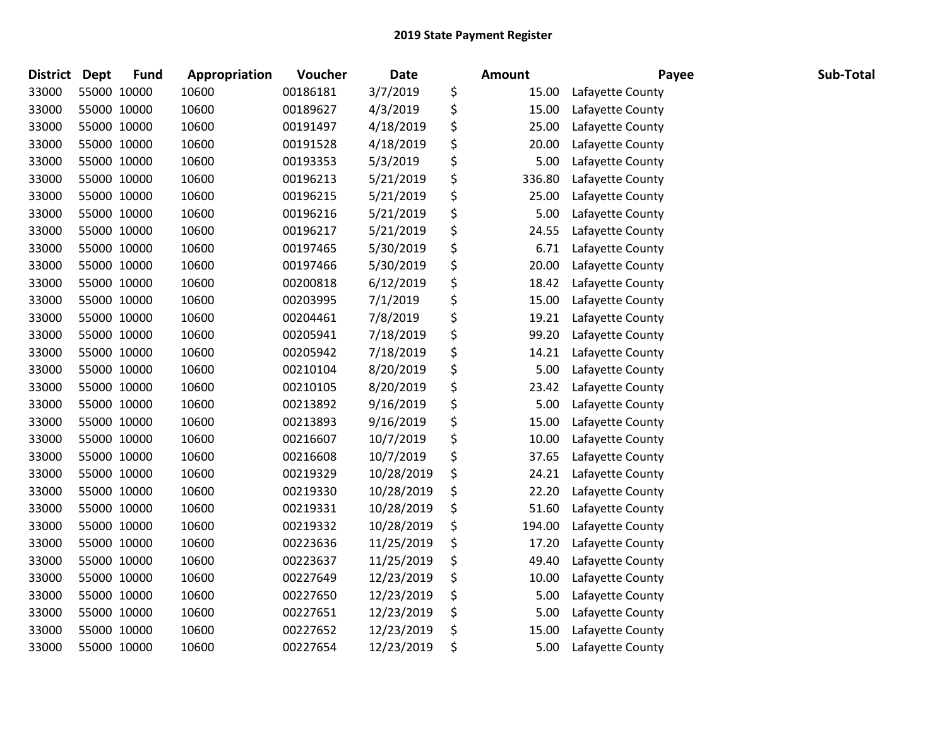| District | <b>Dept</b> | <b>Fund</b> | Appropriation | Voucher  | <b>Date</b> | <b>Amount</b> | Payee            | Sub-Total |
|----------|-------------|-------------|---------------|----------|-------------|---------------|------------------|-----------|
| 33000    | 55000 10000 |             | 10600         | 00186181 | 3/7/2019    | \$<br>15.00   | Lafayette County |           |
| 33000    | 55000 10000 |             | 10600         | 00189627 | 4/3/2019    | \$<br>15.00   | Lafayette County |           |
| 33000    | 55000 10000 |             | 10600         | 00191497 | 4/18/2019   | \$<br>25.00   | Lafayette County |           |
| 33000    | 55000 10000 |             | 10600         | 00191528 | 4/18/2019   | \$<br>20.00   | Lafayette County |           |
| 33000    | 55000 10000 |             | 10600         | 00193353 | 5/3/2019    | \$<br>5.00    | Lafayette County |           |
| 33000    | 55000 10000 |             | 10600         | 00196213 | 5/21/2019   | \$<br>336.80  | Lafayette County |           |
| 33000    | 55000 10000 |             | 10600         | 00196215 | 5/21/2019   | \$<br>25.00   | Lafayette County |           |
| 33000    | 55000 10000 |             | 10600         | 00196216 | 5/21/2019   | \$<br>5.00    | Lafayette County |           |
| 33000    | 55000 10000 |             | 10600         | 00196217 | 5/21/2019   | \$<br>24.55   | Lafayette County |           |
| 33000    | 55000 10000 |             | 10600         | 00197465 | 5/30/2019   | \$<br>6.71    | Lafayette County |           |
| 33000    | 55000 10000 |             | 10600         | 00197466 | 5/30/2019   | \$<br>20.00   | Lafayette County |           |
| 33000    | 55000 10000 |             | 10600         | 00200818 | 6/12/2019   | \$<br>18.42   | Lafayette County |           |
| 33000    | 55000 10000 |             | 10600         | 00203995 | 7/1/2019    | \$<br>15.00   | Lafayette County |           |
| 33000    | 55000 10000 |             | 10600         | 00204461 | 7/8/2019    | \$<br>19.21   | Lafayette County |           |
| 33000    | 55000 10000 |             | 10600         | 00205941 | 7/18/2019   | \$<br>99.20   | Lafayette County |           |
| 33000    | 55000 10000 |             | 10600         | 00205942 | 7/18/2019   | \$<br>14.21   | Lafayette County |           |
| 33000    | 55000 10000 |             | 10600         | 00210104 | 8/20/2019   | \$<br>5.00    | Lafayette County |           |
| 33000    | 55000 10000 |             | 10600         | 00210105 | 8/20/2019   | \$<br>23.42   | Lafayette County |           |
| 33000    | 55000 10000 |             | 10600         | 00213892 | 9/16/2019   | \$<br>5.00    | Lafayette County |           |
| 33000    | 55000 10000 |             | 10600         | 00213893 | 9/16/2019   | \$<br>15.00   | Lafayette County |           |
| 33000    | 55000 10000 |             | 10600         | 00216607 | 10/7/2019   | \$<br>10.00   | Lafayette County |           |
| 33000    | 55000 10000 |             | 10600         | 00216608 | 10/7/2019   | \$<br>37.65   | Lafayette County |           |
| 33000    | 55000 10000 |             | 10600         | 00219329 | 10/28/2019  | \$<br>24.21   | Lafayette County |           |
| 33000    | 55000 10000 |             | 10600         | 00219330 | 10/28/2019  | \$<br>22.20   | Lafayette County |           |
| 33000    | 55000 10000 |             | 10600         | 00219331 | 10/28/2019  | \$<br>51.60   | Lafayette County |           |
| 33000    | 55000 10000 |             | 10600         | 00219332 | 10/28/2019  | \$<br>194.00  | Lafayette County |           |
| 33000    | 55000 10000 |             | 10600         | 00223636 | 11/25/2019  | \$<br>17.20   | Lafayette County |           |
| 33000    | 55000 10000 |             | 10600         | 00223637 | 11/25/2019  | \$<br>49.40   | Lafayette County |           |
| 33000    | 55000 10000 |             | 10600         | 00227649 | 12/23/2019  | \$<br>10.00   | Lafayette County |           |
| 33000    | 55000 10000 |             | 10600         | 00227650 | 12/23/2019  | \$<br>5.00    | Lafayette County |           |
| 33000    | 55000 10000 |             | 10600         | 00227651 | 12/23/2019  | \$<br>5.00    | Lafayette County |           |
| 33000    | 55000 10000 |             | 10600         | 00227652 | 12/23/2019  | \$<br>15.00   | Lafayette County |           |
| 33000    | 55000 10000 |             | 10600         | 00227654 | 12/23/2019  | \$<br>5.00    | Lafayette County |           |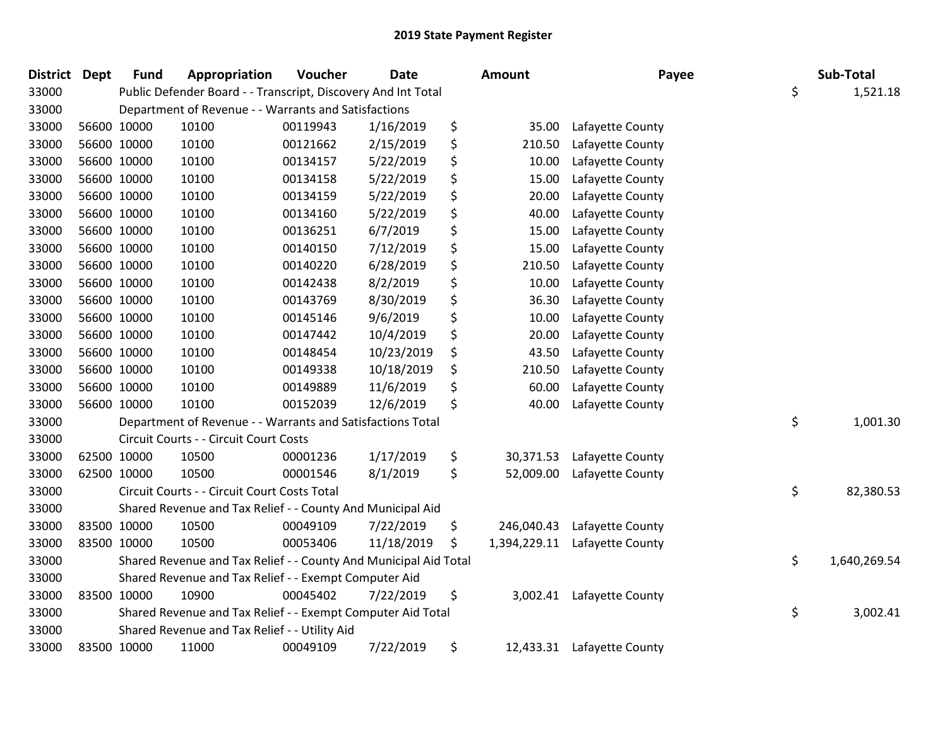| <b>District Dept</b> | <b>Fund</b> | Appropriation                                                    | Voucher  | <b>Date</b> | Amount             | Payee            | Sub-Total          |
|----------------------|-------------|------------------------------------------------------------------|----------|-------------|--------------------|------------------|--------------------|
| 33000                |             | Public Defender Board - - Transcript, Discovery And Int Total    |          |             |                    |                  | \$<br>1,521.18     |
| 33000                |             | Department of Revenue - - Warrants and Satisfactions             |          |             |                    |                  |                    |
| 33000                | 56600 10000 | 10100                                                            | 00119943 | 1/16/2019   | \$<br>35.00        | Lafayette County |                    |
| 33000                | 56600 10000 | 10100                                                            | 00121662 | 2/15/2019   | \$<br>210.50       | Lafayette County |                    |
| 33000                | 56600 10000 | 10100                                                            | 00134157 | 5/22/2019   | \$<br>10.00        | Lafayette County |                    |
| 33000                | 56600 10000 | 10100                                                            | 00134158 | 5/22/2019   | \$<br>15.00        | Lafayette County |                    |
| 33000                | 56600 10000 | 10100                                                            | 00134159 | 5/22/2019   | \$<br>20.00        | Lafayette County |                    |
| 33000                | 56600 10000 | 10100                                                            | 00134160 | 5/22/2019   | \$<br>40.00        | Lafayette County |                    |
| 33000                | 56600 10000 | 10100                                                            | 00136251 | 6/7/2019    | \$<br>15.00        | Lafayette County |                    |
| 33000                | 56600 10000 | 10100                                                            | 00140150 | 7/12/2019   | \$<br>15.00        | Lafayette County |                    |
| 33000                | 56600 10000 | 10100                                                            | 00140220 | 6/28/2019   | \$<br>210.50       | Lafayette County |                    |
| 33000                | 56600 10000 | 10100                                                            | 00142438 | 8/2/2019    | \$<br>10.00        | Lafayette County |                    |
| 33000                | 56600 10000 | 10100                                                            | 00143769 | 8/30/2019   | \$<br>36.30        | Lafayette County |                    |
| 33000                | 56600 10000 | 10100                                                            | 00145146 | 9/6/2019    | \$<br>10.00        | Lafayette County |                    |
| 33000                | 56600 10000 | 10100                                                            | 00147442 | 10/4/2019   | \$<br>20.00        | Lafayette County |                    |
| 33000                | 56600 10000 | 10100                                                            | 00148454 | 10/23/2019  | \$<br>43.50        | Lafayette County |                    |
| 33000                | 56600 10000 | 10100                                                            | 00149338 | 10/18/2019  | \$<br>210.50       | Lafayette County |                    |
| 33000                | 56600 10000 | 10100                                                            | 00149889 | 11/6/2019   | \$<br>60.00        | Lafayette County |                    |
| 33000                | 56600 10000 | 10100                                                            | 00152039 | 12/6/2019   | \$<br>40.00        | Lafayette County |                    |
| 33000                |             | Department of Revenue - - Warrants and Satisfactions Total       |          |             |                    |                  | \$<br>1,001.30     |
| 33000                |             | Circuit Courts - - Circuit Court Costs                           |          |             |                    |                  |                    |
| 33000                | 62500 10000 | 10500                                                            | 00001236 | 1/17/2019   | \$<br>30,371.53    | Lafayette County |                    |
| 33000                | 62500 10000 | 10500                                                            | 00001546 | 8/1/2019    | \$<br>52,009.00    | Lafayette County |                    |
| 33000                |             | Circuit Courts - - Circuit Court Costs Total                     |          |             |                    |                  | \$<br>82,380.53    |
| 33000                |             | Shared Revenue and Tax Relief - - County And Municipal Aid       |          |             |                    |                  |                    |
| 33000                | 83500 10000 | 10500                                                            | 00049109 | 7/22/2019   | \$<br>246,040.43   | Lafayette County |                    |
| 33000                | 83500 10000 | 10500                                                            | 00053406 | 11/18/2019  | \$<br>1,394,229.11 | Lafayette County |                    |
| 33000                |             | Shared Revenue and Tax Relief - - County And Municipal Aid Total |          |             |                    |                  | \$<br>1,640,269.54 |
| 33000                |             | Shared Revenue and Tax Relief - - Exempt Computer Aid            |          |             |                    |                  |                    |
| 33000                | 83500 10000 | 10900                                                            | 00045402 | 7/22/2019   | \$<br>3,002.41     | Lafayette County |                    |
| 33000                |             | Shared Revenue and Tax Relief - - Exempt Computer Aid Total      |          |             |                    |                  | \$<br>3,002.41     |
| 33000                |             | Shared Revenue and Tax Relief - - Utility Aid                    |          |             |                    |                  |                    |
| 33000                | 83500 10000 | 11000                                                            | 00049109 | 7/22/2019   | \$<br>12,433.31    | Lafayette County |                    |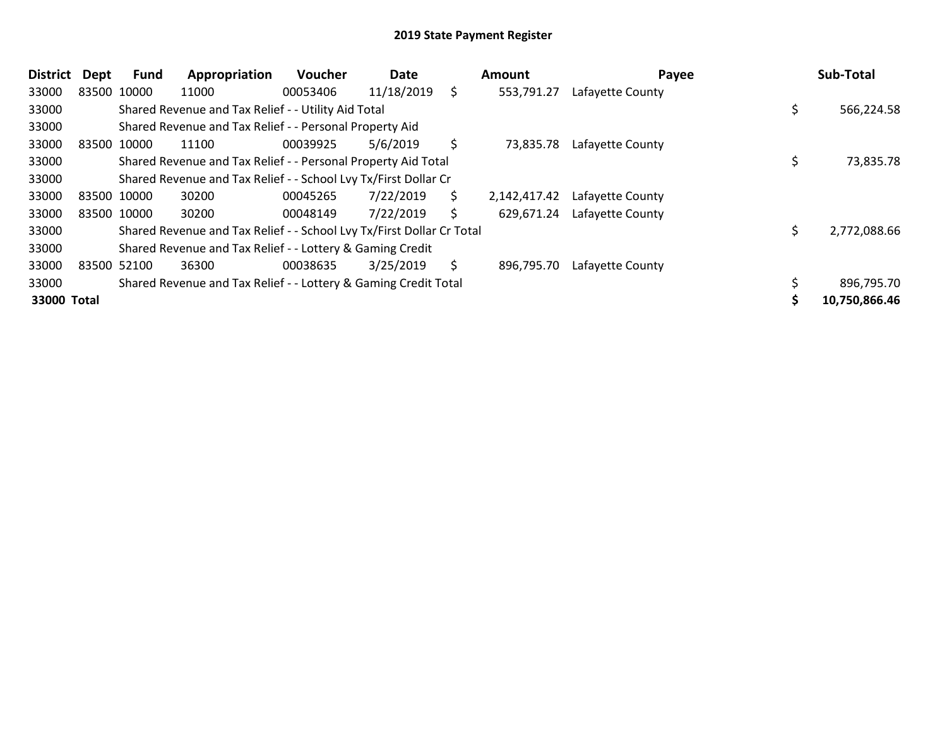| <b>District</b> | <b>Dept</b> | Fund | Appropriation                                                         | <b>Voucher</b> | Date       | Amount             | Payee            | Sub-Total     |
|-----------------|-------------|------|-----------------------------------------------------------------------|----------------|------------|--------------------|------------------|---------------|
| 33000           | 83500 10000 |      | 11000                                                                 | 00053406       | 11/18/2019 | \$<br>553,791.27   | Lafayette County |               |
| 33000           |             |      | Shared Revenue and Tax Relief - - Utility Aid Total                   |                |            |                    |                  | 566,224.58    |
| 33000           |             |      | Shared Revenue and Tax Relief - - Personal Property Aid               |                |            |                    |                  |               |
| 33000           | 83500 10000 |      | 11100                                                                 | 00039925       | 5/6/2019   | \$<br>73,835.78    | Lafayette County |               |
| 33000           |             |      | Shared Revenue and Tax Relief - - Personal Property Aid Total         |                |            |                    |                  | 73,835.78     |
| 33000           |             |      | Shared Revenue and Tax Relief - - School Lvy Tx/First Dollar Cr       |                |            |                    |                  |               |
| 33000           | 83500 10000 |      | 30200                                                                 | 00045265       | 7/22/2019  | \$<br>2,142,417.42 | Lafayette County |               |
| 33000           | 83500 10000 |      | 30200                                                                 | 00048149       | 7/22/2019  | \$<br>629,671.24   | Lafayette County |               |
| 33000           |             |      | Shared Revenue and Tax Relief - - School Lvy Tx/First Dollar Cr Total |                |            |                    |                  | 2,772,088.66  |
| 33000           |             |      | Shared Revenue and Tax Relief - - Lottery & Gaming Credit             |                |            |                    |                  |               |
| 33000           | 83500 52100 |      | 36300                                                                 | 00038635       | 3/25/2019  | \$<br>896,795.70   | Lafayette County |               |
| 33000           |             |      | Shared Revenue and Tax Relief - - Lottery & Gaming Credit Total       |                |            |                    |                  | 896,795.70    |
| 33000 Total     |             |      |                                                                       |                |            |                    |                  | 10,750,866.46 |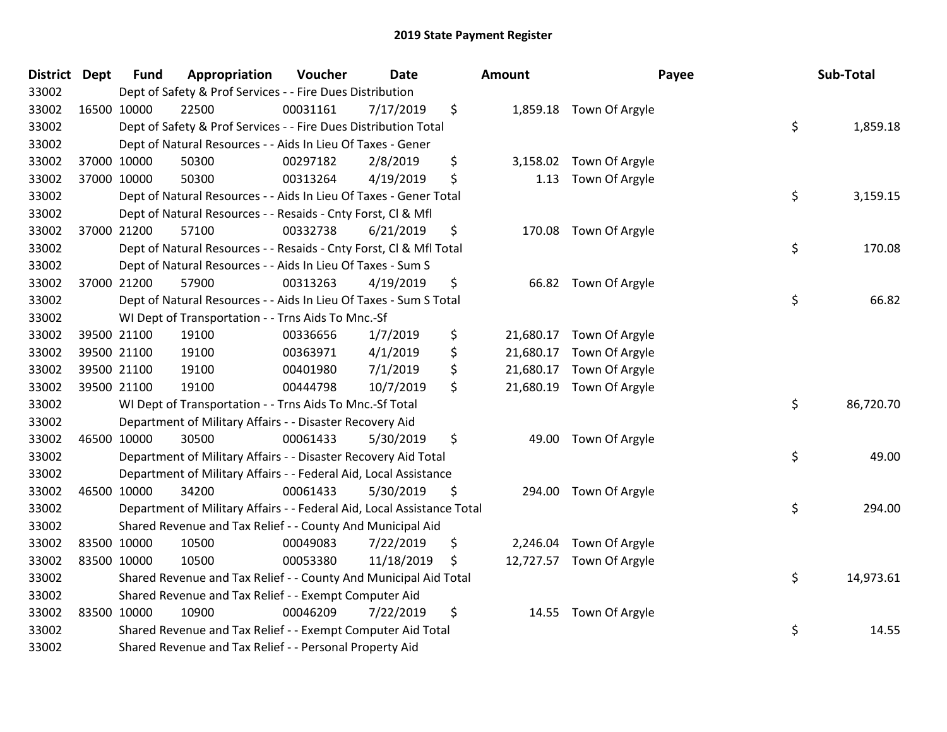| District Dept |             | <b>Fund</b> | Appropriation                                                          | Voucher  | Date       | <b>Amount</b>   |                          | Payee | Sub-Total |
|---------------|-------------|-------------|------------------------------------------------------------------------|----------|------------|-----------------|--------------------------|-------|-----------|
| 33002         |             |             | Dept of Safety & Prof Services - - Fire Dues Distribution              |          |            |                 |                          |       |           |
| 33002         | 16500 10000 |             | 22500                                                                  | 00031161 | 7/17/2019  | \$              | 1,859.18 Town Of Argyle  |       |           |
| 33002         |             |             | Dept of Safety & Prof Services - - Fire Dues Distribution Total        |          |            |                 |                          | \$    | 1,859.18  |
| 33002         |             |             | Dept of Natural Resources - - Aids In Lieu Of Taxes - Gener            |          |            |                 |                          |       |           |
| 33002         |             | 37000 10000 | 50300                                                                  | 00297182 | 2/8/2019   | \$              | 3,158.02 Town Of Argyle  |       |           |
| 33002         |             | 37000 10000 | 50300                                                                  | 00313264 | 4/19/2019  | \$<br>1.13      | Town Of Argyle           |       |           |
| 33002         |             |             | Dept of Natural Resources - - Aids In Lieu Of Taxes - Gener Total      |          |            |                 |                          | \$    | 3,159.15  |
| 33002         |             |             | Dept of Natural Resources - - Resaids - Cnty Forst, Cl & Mfl           |          |            |                 |                          |       |           |
| 33002         |             | 37000 21200 | 57100                                                                  | 00332738 | 6/21/2019  | \$              | 170.08 Town Of Argyle    |       |           |
| 33002         |             |             | Dept of Natural Resources - - Resaids - Cnty Forst, CI & Mfl Total     |          |            |                 |                          | \$    | 170.08    |
| 33002         |             |             | Dept of Natural Resources - - Aids In Lieu Of Taxes - Sum S            |          |            |                 |                          |       |           |
| 33002         |             | 37000 21200 | 57900                                                                  | 00313263 | 4/19/2019  | \$              | 66.82 Town Of Argyle     |       |           |
| 33002         |             |             | Dept of Natural Resources - - Aids In Lieu Of Taxes - Sum S Total      |          |            |                 |                          | \$    | 66.82     |
| 33002         |             |             | WI Dept of Transportation - - Trns Aids To Mnc.-Sf                     |          |            |                 |                          |       |           |
| 33002         |             | 39500 21100 | 19100                                                                  | 00336656 | 1/7/2019   | \$              | 21,680.17 Town Of Argyle |       |           |
| 33002         |             | 39500 21100 | 19100                                                                  | 00363971 | 4/1/2019   | \$<br>21,680.17 | Town Of Argyle           |       |           |
| 33002         |             | 39500 21100 | 19100                                                                  | 00401980 | 7/1/2019   | \$<br>21,680.17 | Town Of Argyle           |       |           |
| 33002         | 39500 21100 |             | 19100                                                                  | 00444798 | 10/7/2019  | \$              | 21,680.19 Town Of Argyle |       |           |
| 33002         |             |             | WI Dept of Transportation - - Trns Aids To Mnc.-Sf Total               |          |            |                 |                          | \$    | 86,720.70 |
| 33002         |             |             | Department of Military Affairs - - Disaster Recovery Aid               |          |            |                 |                          |       |           |
| 33002         |             | 46500 10000 | 30500                                                                  | 00061433 | 5/30/2019  | \$              | 49.00 Town Of Argyle     |       |           |
| 33002         |             |             | Department of Military Affairs - - Disaster Recovery Aid Total         |          |            |                 |                          | \$    | 49.00     |
| 33002         |             |             | Department of Military Affairs - - Federal Aid, Local Assistance       |          |            |                 |                          |       |           |
| 33002         | 46500 10000 |             | 34200                                                                  | 00061433 | 5/30/2019  | \$              | 294.00 Town Of Argyle    |       |           |
| 33002         |             |             | Department of Military Affairs - - Federal Aid, Local Assistance Total |          |            |                 |                          | \$    | 294.00    |
| 33002         |             |             | Shared Revenue and Tax Relief - - County And Municipal Aid             |          |            |                 |                          |       |           |
| 33002         |             | 83500 10000 | 10500                                                                  | 00049083 | 7/22/2019  | \$              | 2,246.04 Town Of Argyle  |       |           |
| 33002         | 83500 10000 |             | 10500                                                                  | 00053380 | 11/18/2019 | \$              | 12,727.57 Town Of Argyle |       |           |
| 33002         |             |             | Shared Revenue and Tax Relief - - County And Municipal Aid Total       |          |            |                 |                          | \$    | 14,973.61 |
| 33002         |             |             | Shared Revenue and Tax Relief - - Exempt Computer Aid                  |          |            |                 |                          |       |           |
| 33002         |             | 83500 10000 | 10900                                                                  | 00046209 | 7/22/2019  | \$<br>14.55     | Town Of Argyle           |       |           |
| 33002         |             |             | Shared Revenue and Tax Relief - - Exempt Computer Aid Total            |          |            |                 |                          | \$    | 14.55     |
| 33002         |             |             | Shared Revenue and Tax Relief - - Personal Property Aid                |          |            |                 |                          |       |           |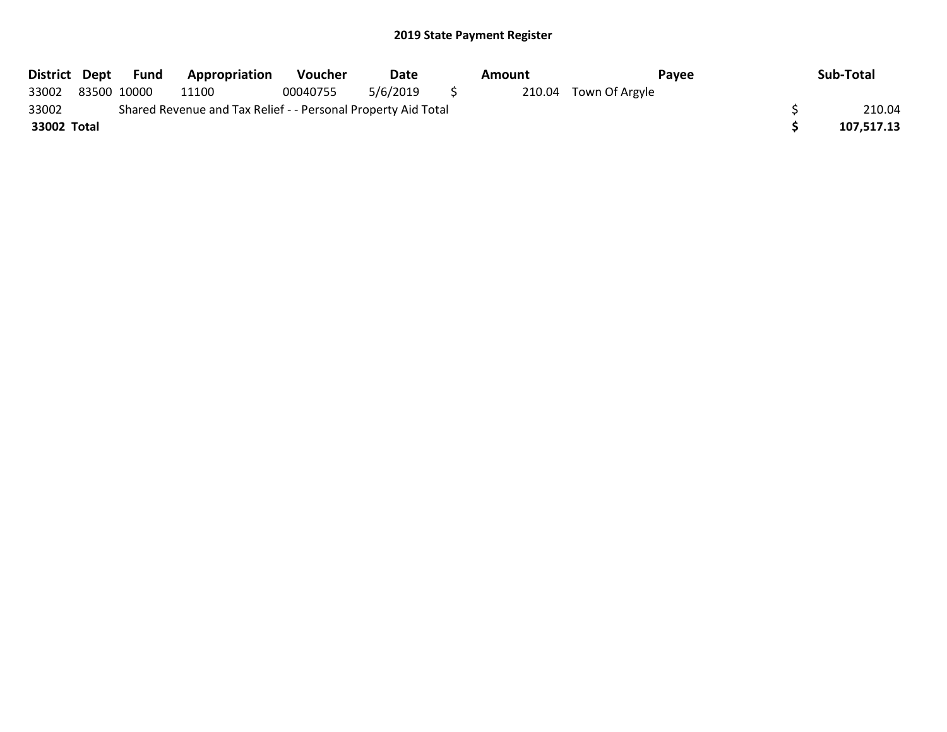| District Dept |             | Fund | <b>Appropriation</b>                                          | <b>Voucher</b> | Date     | Amount | Pavee                 | Sub-Total  |
|---------------|-------------|------|---------------------------------------------------------------|----------------|----------|--------|-----------------------|------------|
| 33002         | 83500 10000 |      | 11100                                                         | 00040755       | 5/6/2019 |        | 210.04 Town Of Argyle |            |
| 33002         |             |      | Shared Revenue and Tax Relief - - Personal Property Aid Total |                |          |        |                       | 210.04     |
| 33002 Total   |             |      |                                                               |                |          |        |                       | 107,517.13 |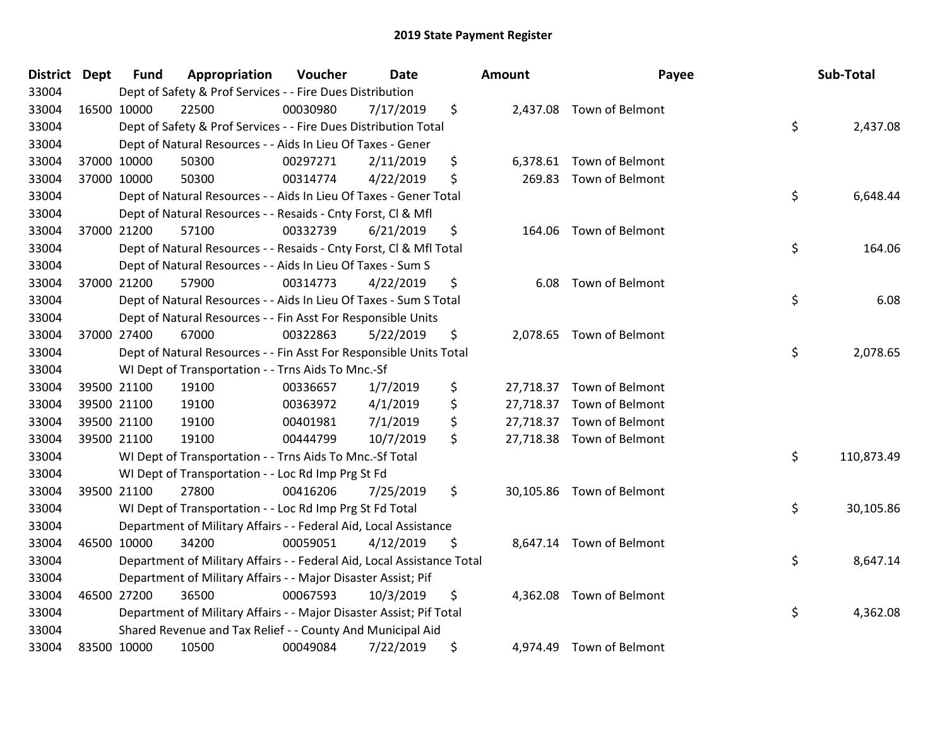| <b>District Dept</b> |             | <b>Fund</b> | Appropriation                                                          | Voucher  | Date      | Amount     | Payee                     | Sub-Total        |
|----------------------|-------------|-------------|------------------------------------------------------------------------|----------|-----------|------------|---------------------------|------------------|
| 33004                |             |             | Dept of Safety & Prof Services - - Fire Dues Distribution              |          |           |            |                           |                  |
| 33004                | 16500 10000 |             | 22500                                                                  | 00030980 | 7/17/2019 | \$         | 2,437.08 Town of Belmont  |                  |
| 33004                |             |             | Dept of Safety & Prof Services - - Fire Dues Distribution Total        |          |           |            |                           | \$<br>2,437.08   |
| 33004                |             |             | Dept of Natural Resources - - Aids In Lieu Of Taxes - Gener            |          |           |            |                           |                  |
| 33004                | 37000 10000 |             | 50300                                                                  | 00297271 | 2/11/2019 | \$         | 6,378.61 Town of Belmont  |                  |
| 33004                | 37000 10000 |             | 50300                                                                  | 00314774 | 4/22/2019 | \$         | 269.83 Town of Belmont    |                  |
| 33004                |             |             | Dept of Natural Resources - - Aids In Lieu Of Taxes - Gener Total      |          |           |            |                           | \$<br>6,648.44   |
| 33004                |             |             | Dept of Natural Resources - - Resaids - Cnty Forst, Cl & Mfl           |          |           |            |                           |                  |
| 33004                | 37000 21200 |             | 57100                                                                  | 00332739 | 6/21/2019 | \$         | 164.06 Town of Belmont    |                  |
| 33004                |             |             | Dept of Natural Resources - - Resaids - Cnty Forst, CI & Mfl Total     |          |           |            |                           | \$<br>164.06     |
| 33004                |             |             | Dept of Natural Resources - - Aids In Lieu Of Taxes - Sum S            |          |           |            |                           |                  |
| 33004                | 37000 21200 |             | 57900                                                                  | 00314773 | 4/22/2019 | \$<br>6.08 | Town of Belmont           |                  |
| 33004                |             |             | Dept of Natural Resources - - Aids In Lieu Of Taxes - Sum S Total      |          |           |            |                           | \$<br>6.08       |
| 33004                |             |             | Dept of Natural Resources - - Fin Asst For Responsible Units           |          |           |            |                           |                  |
| 33004                | 37000 27400 |             | 67000                                                                  | 00322863 | 5/22/2019 | \$         | 2,078.65 Town of Belmont  |                  |
| 33004                |             |             | Dept of Natural Resources - - Fin Asst For Responsible Units Total     |          |           |            |                           | \$<br>2,078.65   |
| 33004                |             |             | WI Dept of Transportation - - Trns Aids To Mnc.-Sf                     |          |           |            |                           |                  |
| 33004                |             | 39500 21100 | 19100                                                                  | 00336657 | 1/7/2019  | \$         | 27,718.37 Town of Belmont |                  |
| 33004                |             | 39500 21100 | 19100                                                                  | 00363972 | 4/1/2019  | \$         | 27,718.37 Town of Belmont |                  |
| 33004                | 39500 21100 |             | 19100                                                                  | 00401981 | 7/1/2019  | \$         | 27,718.37 Town of Belmont |                  |
| 33004                | 39500 21100 |             | 19100                                                                  | 00444799 | 10/7/2019 | \$         | 27,718.38 Town of Belmont |                  |
| 33004                |             |             | WI Dept of Transportation - - Trns Aids To Mnc.-Sf Total               |          |           |            |                           | \$<br>110,873.49 |
| 33004                |             |             | WI Dept of Transportation - - Loc Rd Imp Prg St Fd                     |          |           |            |                           |                  |
| 33004                | 39500 21100 |             | 27800                                                                  | 00416206 | 7/25/2019 | \$         | 30,105.86 Town of Belmont |                  |
| 33004                |             |             | WI Dept of Transportation - - Loc Rd Imp Prg St Fd Total               |          |           |            |                           | \$<br>30,105.86  |
| 33004                |             |             | Department of Military Affairs - - Federal Aid, Local Assistance       |          |           |            |                           |                  |
| 33004                | 46500 10000 |             | 34200                                                                  | 00059051 | 4/12/2019 | \$         | 8,647.14 Town of Belmont  |                  |
| 33004                |             |             | Department of Military Affairs - - Federal Aid, Local Assistance Total |          |           |            |                           | \$<br>8,647.14   |
| 33004                |             |             | Department of Military Affairs - - Major Disaster Assist; Pif          |          |           |            |                           |                  |
| 33004                | 46500 27200 |             | 36500                                                                  | 00067593 | 10/3/2019 | \$         | 4,362.08 Town of Belmont  |                  |
| 33004                |             |             | Department of Military Affairs - - Major Disaster Assist; Pif Total    |          |           |            |                           | \$<br>4,362.08   |
| 33004                |             |             | Shared Revenue and Tax Relief - - County And Municipal Aid             |          |           |            |                           |                  |
| 33004                | 83500 10000 |             | 10500                                                                  | 00049084 | 7/22/2019 | \$         | 4,974.49 Town of Belmont  |                  |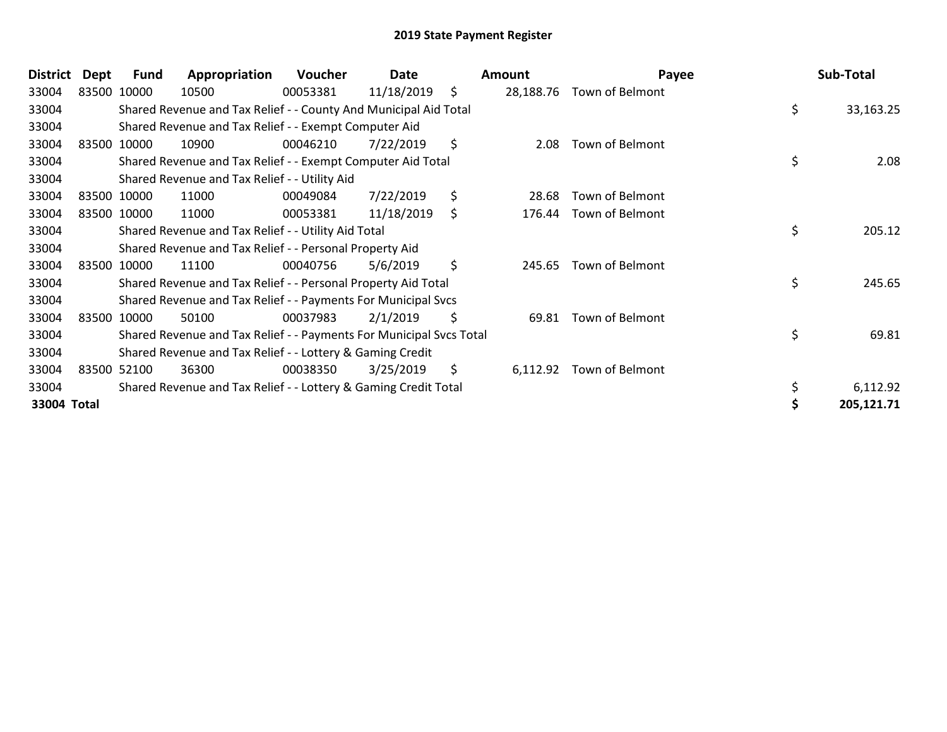| <b>District</b> | Dept | Fund        | Appropriation                                                       | Voucher  | Date       | Amount          | Payee                  | Sub-Total       |
|-----------------|------|-------------|---------------------------------------------------------------------|----------|------------|-----------------|------------------------|-----------------|
| 33004           |      | 83500 10000 | 10500                                                               | 00053381 | 11/18/2019 | \$<br>28,188.76 | Town of Belmont        |                 |
| 33004           |      |             | Shared Revenue and Tax Relief - - County And Municipal Aid Total    |          |            |                 |                        | \$<br>33,163.25 |
| 33004           |      |             | Shared Revenue and Tax Relief - - Exempt Computer Aid               |          |            |                 |                        |                 |
| 33004           |      | 83500 10000 | 10900                                                               | 00046210 | 7/22/2019  | \$<br>2.08      | <b>Town of Belmont</b> |                 |
| 33004           |      |             | Shared Revenue and Tax Relief - - Exempt Computer Aid Total         |          |            |                 |                        | \$<br>2.08      |
| 33004           |      |             | Shared Revenue and Tax Relief - - Utility Aid                       |          |            |                 |                        |                 |
| 33004           |      | 83500 10000 | 11000                                                               | 00049084 | 7/22/2019  | \$<br>28.68     | Town of Belmont        |                 |
| 33004           |      | 83500 10000 | 11000                                                               | 00053381 | 11/18/2019 | \$<br>176.44    | Town of Belmont        |                 |
| 33004           |      |             | Shared Revenue and Tax Relief - - Utility Aid Total                 |          |            |                 |                        | \$<br>205.12    |
| 33004           |      |             | Shared Revenue and Tax Relief - - Personal Property Aid             |          |            |                 |                        |                 |
| 33004           |      | 83500 10000 | 11100                                                               | 00040756 | 5/6/2019   | \$<br>245.65    | <b>Town of Belmont</b> |                 |
| 33004           |      |             | Shared Revenue and Tax Relief - - Personal Property Aid Total       |          |            |                 |                        | \$<br>245.65    |
| 33004           |      |             | Shared Revenue and Tax Relief - - Payments For Municipal Svcs       |          |            |                 |                        |                 |
| 33004           |      | 83500 10000 | 50100                                                               | 00037983 | 2/1/2019   | \$<br>69.81     | <b>Town of Belmont</b> |                 |
| 33004           |      |             | Shared Revenue and Tax Relief - - Payments For Municipal Svcs Total |          |            |                 |                        | \$<br>69.81     |
| 33004           |      |             | Shared Revenue and Tax Relief - - Lottery & Gaming Credit           |          |            |                 |                        |                 |
| 33004           |      | 83500 52100 | 36300                                                               | 00038350 | 3/25/2019  | \$<br>6,112.92  | Town of Belmont        |                 |
| 33004           |      |             | Shared Revenue and Tax Relief - - Lottery & Gaming Credit Total     |          |            |                 |                        | 6,112.92        |
| 33004 Total     |      |             |                                                                     |          |            |                 |                        | 205,121.71      |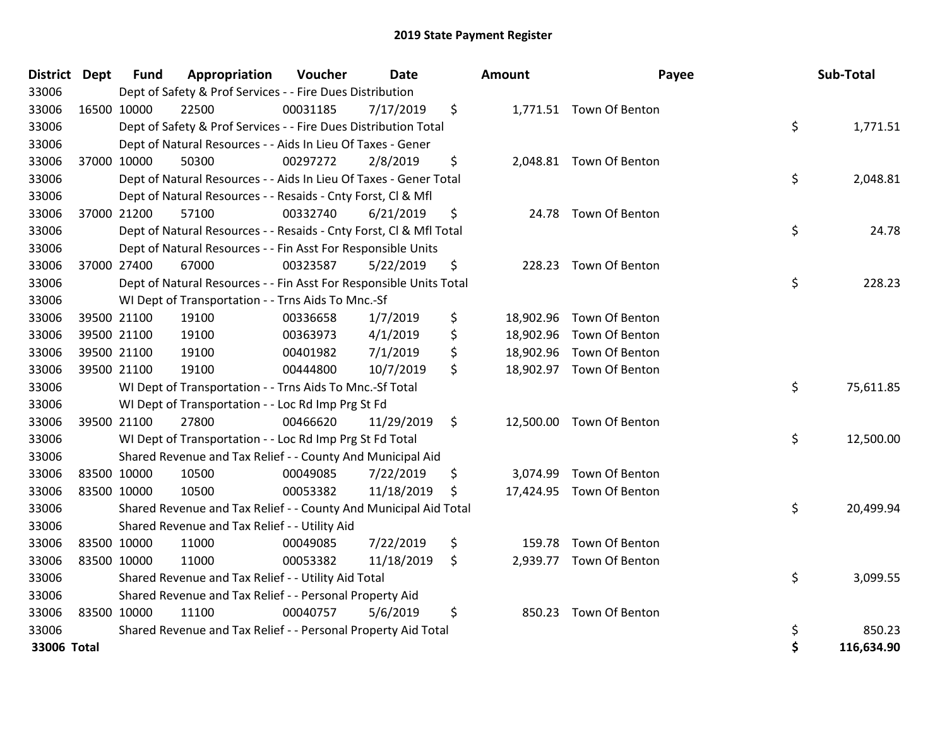| <b>District Dept</b> |             | <b>Fund</b> | Appropriation                                                      | Voucher  | Date       | <b>Amount</b> | Payee                    | Sub-Total        |
|----------------------|-------------|-------------|--------------------------------------------------------------------|----------|------------|---------------|--------------------------|------------------|
| 33006                |             |             | Dept of Safety & Prof Services - - Fire Dues Distribution          |          |            |               |                          |                  |
| 33006                |             | 16500 10000 | 22500                                                              | 00031185 | 7/17/2019  | \$            | 1,771.51 Town Of Benton  |                  |
| 33006                |             |             | Dept of Safety & Prof Services - - Fire Dues Distribution Total    |          |            |               |                          | \$<br>1,771.51   |
| 33006                |             |             | Dept of Natural Resources - - Aids In Lieu Of Taxes - Gener        |          |            |               |                          |                  |
| 33006                |             | 37000 10000 | 50300                                                              | 00297272 | 2/8/2019   | \$            | 2,048.81 Town Of Benton  |                  |
| 33006                |             |             | Dept of Natural Resources - - Aids In Lieu Of Taxes - Gener Total  |          |            |               |                          | \$<br>2,048.81   |
| 33006                |             |             | Dept of Natural Resources - - Resaids - Cnty Forst, Cl & Mfl       |          |            |               |                          |                  |
| 33006                |             | 37000 21200 | 57100                                                              | 00332740 | 6/21/2019  | \$            | 24.78 Town Of Benton     |                  |
| 33006                |             |             | Dept of Natural Resources - - Resaids - Cnty Forst, CI & Mfl Total |          |            |               |                          | \$<br>24.78      |
| 33006                |             |             | Dept of Natural Resources - - Fin Asst For Responsible Units       |          |            |               |                          |                  |
| 33006                |             | 37000 27400 | 67000                                                              | 00323587 | 5/22/2019  | \$            | 228.23 Town Of Benton    |                  |
| 33006                |             |             | Dept of Natural Resources - - Fin Asst For Responsible Units Total |          |            |               |                          | \$<br>228.23     |
| 33006                |             |             | WI Dept of Transportation - - Trns Aids To Mnc.-Sf                 |          |            |               |                          |                  |
| 33006                |             | 39500 21100 | 19100                                                              | 00336658 | 1/7/2019   | \$            | 18,902.96 Town Of Benton |                  |
| 33006                |             | 39500 21100 | 19100                                                              | 00363973 | 4/1/2019   | \$            | 18,902.96 Town Of Benton |                  |
| 33006                |             | 39500 21100 | 19100                                                              | 00401982 | 7/1/2019   | \$            | 18,902.96 Town Of Benton |                  |
| 33006                |             | 39500 21100 | 19100                                                              | 00444800 | 10/7/2019  | \$            | 18,902.97 Town Of Benton |                  |
| 33006                |             |             | WI Dept of Transportation - - Trns Aids To Mnc.-Sf Total           |          |            |               |                          | \$<br>75,611.85  |
| 33006                |             |             | WI Dept of Transportation - - Loc Rd Imp Prg St Fd                 |          |            |               |                          |                  |
| 33006                |             | 39500 21100 | 27800                                                              | 00466620 | 11/29/2019 | \$            | 12,500.00 Town Of Benton |                  |
| 33006                |             |             | WI Dept of Transportation - - Loc Rd Imp Prg St Fd Total           |          |            |               |                          | \$<br>12,500.00  |
| 33006                |             |             | Shared Revenue and Tax Relief - - County And Municipal Aid         |          |            |               |                          |                  |
| 33006                |             | 83500 10000 | 10500                                                              | 00049085 | 7/22/2019  | \$            | 3,074.99 Town Of Benton  |                  |
| 33006                | 83500 10000 |             | 10500                                                              | 00053382 | 11/18/2019 | \$            | 17,424.95 Town Of Benton |                  |
| 33006                |             |             | Shared Revenue and Tax Relief - - County And Municipal Aid Total   |          |            |               |                          | \$<br>20,499.94  |
| 33006                |             |             | Shared Revenue and Tax Relief - - Utility Aid                      |          |            |               |                          |                  |
| 33006                |             | 83500 10000 | 11000                                                              | 00049085 | 7/22/2019  | \$<br>159.78  | Town Of Benton           |                  |
| 33006                | 83500 10000 |             | 11000                                                              | 00053382 | 11/18/2019 | \$            | 2,939.77 Town Of Benton  |                  |
| 33006                |             |             | Shared Revenue and Tax Relief - - Utility Aid Total                |          |            |               |                          | \$<br>3,099.55   |
| 33006                |             |             | Shared Revenue and Tax Relief - - Personal Property Aid            |          |            |               |                          |                  |
| 33006                | 83500 10000 |             | 11100                                                              | 00040757 | 5/6/2019   | \$<br>850.23  | Town Of Benton           |                  |
| 33006                |             |             | Shared Revenue and Tax Relief - - Personal Property Aid Total      |          |            |               |                          | \$<br>850.23     |
| 33006 Total          |             |             |                                                                    |          |            |               |                          | \$<br>116,634.90 |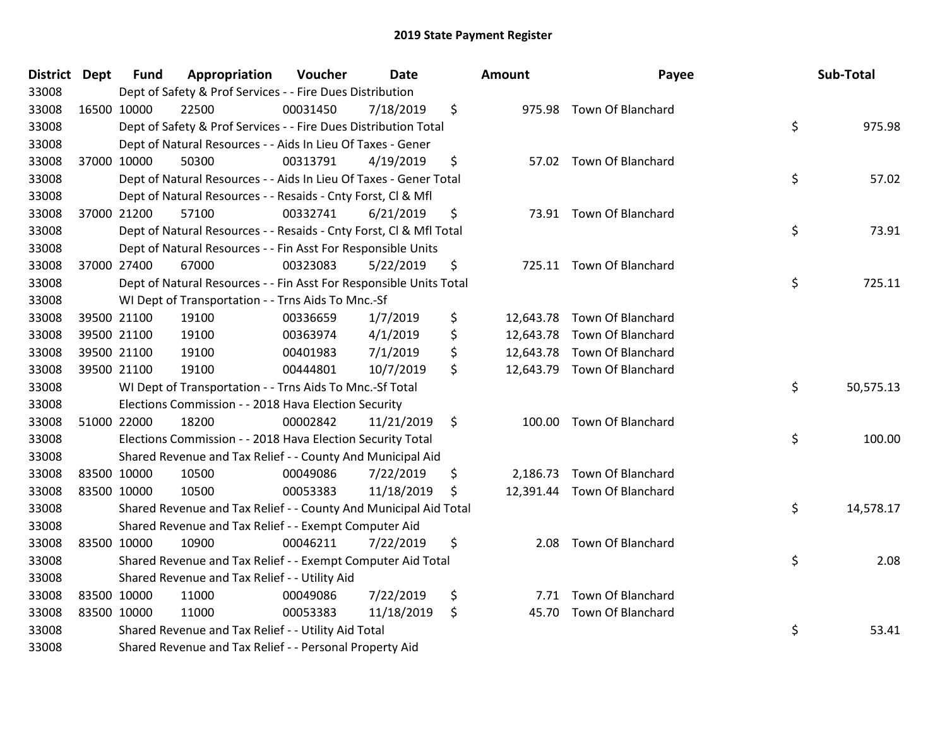| District Dept |             | <b>Fund</b> | Appropriation                                                      | Voucher  | Date       | <b>Amount</b> | Payee                       | Sub-Total       |
|---------------|-------------|-------------|--------------------------------------------------------------------|----------|------------|---------------|-----------------------------|-----------------|
| 33008         |             |             | Dept of Safety & Prof Services - - Fire Dues Distribution          |          |            |               |                             |                 |
| 33008         | 16500 10000 |             | 22500                                                              | 00031450 | 7/18/2019  | \$            | 975.98 Town Of Blanchard    |                 |
| 33008         |             |             | Dept of Safety & Prof Services - - Fire Dues Distribution Total    |          |            |               |                             | \$<br>975.98    |
| 33008         |             |             | Dept of Natural Resources - - Aids In Lieu Of Taxes - Gener        |          |            |               |                             |                 |
| 33008         |             | 37000 10000 | 50300                                                              | 00313791 | 4/19/2019  | \$            | 57.02 Town Of Blanchard     |                 |
| 33008         |             |             | Dept of Natural Resources - - Aids In Lieu Of Taxes - Gener Total  |          |            |               |                             | \$<br>57.02     |
| 33008         |             |             | Dept of Natural Resources - - Resaids - Cnty Forst, Cl & Mfl       |          |            |               |                             |                 |
| 33008         |             | 37000 21200 | 57100                                                              | 00332741 | 6/21/2019  | \$            | 73.91 Town Of Blanchard     |                 |
| 33008         |             |             | Dept of Natural Resources - - Resaids - Cnty Forst, Cl & Mfl Total |          |            |               |                             | \$<br>73.91     |
| 33008         |             |             | Dept of Natural Resources - - Fin Asst For Responsible Units       |          |            |               |                             |                 |
| 33008         |             | 37000 27400 | 67000                                                              | 00323083 | 5/22/2019  | \$            | 725.11 Town Of Blanchard    |                 |
| 33008         |             |             | Dept of Natural Resources - - Fin Asst For Responsible Units Total |          |            |               |                             | \$<br>725.11    |
| 33008         |             |             | WI Dept of Transportation - - Trns Aids To Mnc.-Sf                 |          |            |               |                             |                 |
| 33008         |             | 39500 21100 | 19100                                                              | 00336659 | 1/7/2019   | \$            | 12,643.78 Town Of Blanchard |                 |
| 33008         |             | 39500 21100 | 19100                                                              | 00363974 | 4/1/2019   | \$            | 12,643.78 Town Of Blanchard |                 |
| 33008         |             | 39500 21100 | 19100                                                              | 00401983 | 7/1/2019   | \$            | 12,643.78 Town Of Blanchard |                 |
| 33008         |             | 39500 21100 | 19100                                                              | 00444801 | 10/7/2019  | \$            | 12,643.79 Town Of Blanchard |                 |
| 33008         |             |             | WI Dept of Transportation - - Trns Aids To Mnc.-Sf Total           |          |            |               |                             | \$<br>50,575.13 |
| 33008         |             |             | Elections Commission - - 2018 Hava Election Security               |          |            |               |                             |                 |
| 33008         |             | 51000 22000 | 18200                                                              | 00002842 | 11/21/2019 | \$            | 100.00 Town Of Blanchard    |                 |
| 33008         |             |             | Elections Commission - - 2018 Hava Election Security Total         |          |            |               |                             | \$<br>100.00    |
| 33008         |             |             | Shared Revenue and Tax Relief - - County And Municipal Aid         |          |            |               |                             |                 |
| 33008         |             | 83500 10000 | 10500                                                              | 00049086 | 7/22/2019  | \$            | 2,186.73 Town Of Blanchard  |                 |
| 33008         |             | 83500 10000 | 10500                                                              | 00053383 | 11/18/2019 | \$            | 12,391.44 Town Of Blanchard |                 |
| 33008         |             |             | Shared Revenue and Tax Relief - - County And Municipal Aid Total   |          |            |               |                             | \$<br>14,578.17 |
| 33008         |             |             | Shared Revenue and Tax Relief - - Exempt Computer Aid              |          |            |               |                             |                 |
| 33008         | 83500 10000 |             | 10900                                                              | 00046211 | 7/22/2019  | \$<br>2.08    | <b>Town Of Blanchard</b>    |                 |
| 33008         |             |             | Shared Revenue and Tax Relief - - Exempt Computer Aid Total        |          |            |               |                             | \$<br>2.08      |
| 33008         |             |             | Shared Revenue and Tax Relief - - Utility Aid                      |          |            |               |                             |                 |
| 33008         |             | 83500 10000 | 11000                                                              | 00049086 | 7/22/2019  | \$            | 7.71 Town Of Blanchard      |                 |
| 33008         |             | 83500 10000 | 11000                                                              | 00053383 | 11/18/2019 | \$<br>45.70   | <b>Town Of Blanchard</b>    |                 |
| 33008         |             |             | Shared Revenue and Tax Relief - - Utility Aid Total                |          |            |               |                             | \$<br>53.41     |
| 33008         |             |             | Shared Revenue and Tax Relief - - Personal Property Aid            |          |            |               |                             |                 |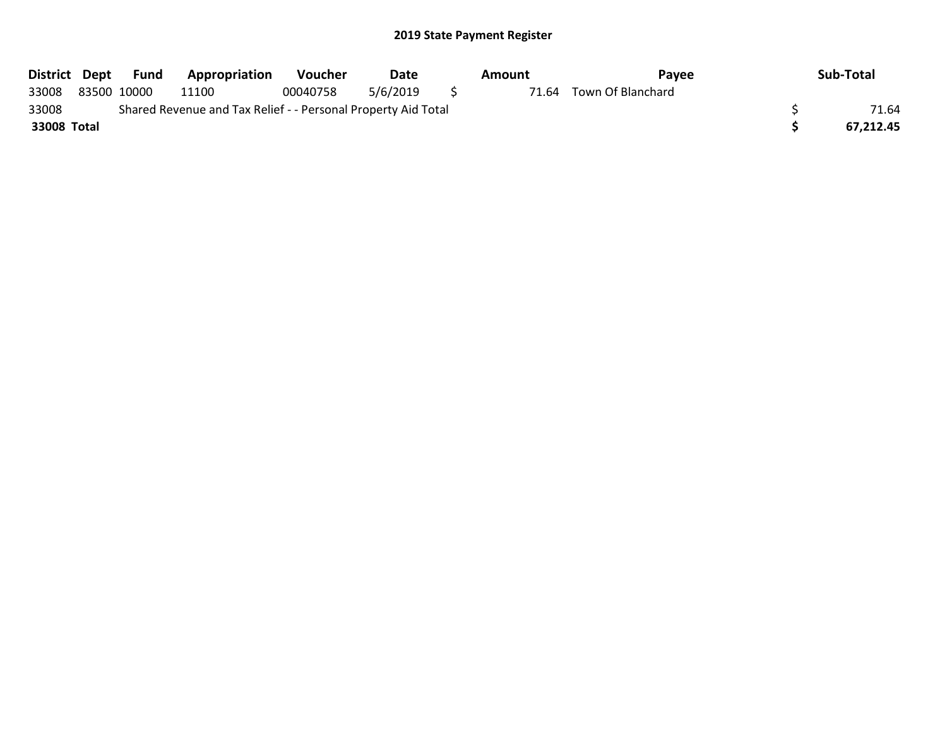| District Dept | Fund        | Appropriation                                                 | <b>Voucher</b> | Date     | Amount | Pavee             | Sub-Total |
|---------------|-------------|---------------------------------------------------------------|----------------|----------|--------|-------------------|-----------|
| 33008         | 83500 10000 | 11100                                                         | 00040758       | 5/6/2019 | 71.64  | Town Of Blanchard |           |
| 33008         |             | Shared Revenue and Tax Relief - - Personal Property Aid Total |                |          |        |                   | 71.64     |
| 33008 Total   |             |                                                               |                |          |        |                   | 67.212.45 |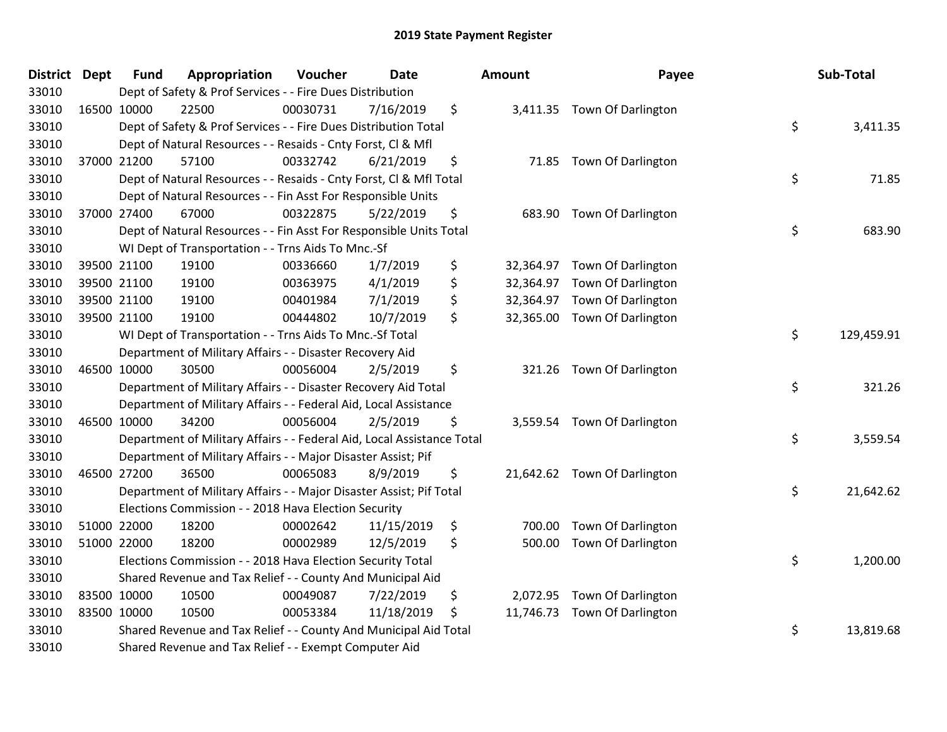| <b>District Dept</b> | <b>Fund</b> | Appropriation                                                          | Voucher  | <b>Date</b> | Amount         | Payee                        | Sub-Total        |
|----------------------|-------------|------------------------------------------------------------------------|----------|-------------|----------------|------------------------------|------------------|
| 33010                |             | Dept of Safety & Prof Services - - Fire Dues Distribution              |          |             |                |                              |                  |
| 33010                | 16500 10000 | 22500                                                                  | 00030731 | 7/16/2019   | \$             | 3,411.35 Town Of Darlington  |                  |
| 33010                |             | Dept of Safety & Prof Services - - Fire Dues Distribution Total        |          |             |                |                              | \$<br>3,411.35   |
| 33010                |             | Dept of Natural Resources - - Resaids - Cnty Forst, Cl & Mfl           |          |             |                |                              |                  |
| 33010                | 37000 21200 | 57100                                                                  | 00332742 | 6/21/2019   | \$<br>71.85    | <b>Town Of Darlington</b>    |                  |
| 33010                |             | Dept of Natural Resources - - Resaids - Cnty Forst, CI & Mfl Total     |          |             |                |                              | \$<br>71.85      |
| 33010                |             | Dept of Natural Resources - - Fin Asst For Responsible Units           |          |             |                |                              |                  |
| 33010                | 37000 27400 | 67000                                                                  | 00322875 | 5/22/2019   | \$<br>683.90   | <b>Town Of Darlington</b>    |                  |
| 33010                |             | Dept of Natural Resources - - Fin Asst For Responsible Units Total     |          |             |                |                              | \$<br>683.90     |
| 33010                |             | WI Dept of Transportation - - Trns Aids To Mnc.-Sf                     |          |             |                |                              |                  |
| 33010                | 39500 21100 | 19100                                                                  | 00336660 | 1/7/2019    | \$             | 32,364.97 Town Of Darlington |                  |
| 33010                | 39500 21100 | 19100                                                                  | 00363975 | 4/1/2019    | \$             | 32,364.97 Town Of Darlington |                  |
| 33010                | 39500 21100 | 19100                                                                  | 00401984 | 7/1/2019    | \$             | 32,364.97 Town Of Darlington |                  |
| 33010                | 39500 21100 | 19100                                                                  | 00444802 | 10/7/2019   | \$             | 32,365.00 Town Of Darlington |                  |
| 33010                |             | WI Dept of Transportation - - Trns Aids To Mnc.-Sf Total               |          |             |                |                              | \$<br>129,459.91 |
| 33010                |             | Department of Military Affairs - - Disaster Recovery Aid               |          |             |                |                              |                  |
| 33010                | 46500 10000 | 30500                                                                  | 00056004 | 2/5/2019    | \$<br>321.26   | <b>Town Of Darlington</b>    |                  |
| 33010                |             | Department of Military Affairs - - Disaster Recovery Aid Total         |          |             |                |                              | \$<br>321.26     |
| 33010                |             | Department of Military Affairs - - Federal Aid, Local Assistance       |          |             |                |                              |                  |
| 33010                | 46500 10000 | 34200                                                                  | 00056004 | 2/5/2019    | \$             | 3,559.54 Town Of Darlington  |                  |
| 33010                |             | Department of Military Affairs - - Federal Aid, Local Assistance Total |          |             |                |                              | \$<br>3,559.54   |
| 33010                |             | Department of Military Affairs - - Major Disaster Assist; Pif          |          |             |                |                              |                  |
| 33010                | 46500 27200 | 36500                                                                  | 00065083 | 8/9/2019    | \$             | 21,642.62 Town Of Darlington |                  |
| 33010                |             | Department of Military Affairs - - Major Disaster Assist; Pif Total    |          |             |                |                              | \$<br>21,642.62  |
| 33010                |             | Elections Commission - - 2018 Hava Election Security                   |          |             |                |                              |                  |
| 33010                | 51000 22000 | 18200                                                                  | 00002642 | 11/15/2019  | \$<br>700.00   | Town Of Darlington           |                  |
| 33010                | 51000 22000 | 18200                                                                  | 00002989 | 12/5/2019   | \$<br>500.00   | <b>Town Of Darlington</b>    |                  |
| 33010                |             | Elections Commission - - 2018 Hava Election Security Total             |          |             |                |                              | \$<br>1,200.00   |
| 33010                |             | Shared Revenue and Tax Relief - - County And Municipal Aid             |          |             |                |                              |                  |
| 33010                | 83500 10000 | 10500                                                                  | 00049087 | 7/22/2019   | \$<br>2,072.95 | <b>Town Of Darlington</b>    |                  |
| 33010                | 83500 10000 | 10500                                                                  | 00053384 | 11/18/2019  | \$             | 11,746.73 Town Of Darlington |                  |
| 33010                |             | Shared Revenue and Tax Relief - - County And Municipal Aid Total       |          |             |                |                              | \$<br>13,819.68  |
| 33010                |             | Shared Revenue and Tax Relief - - Exempt Computer Aid                  |          |             |                |                              |                  |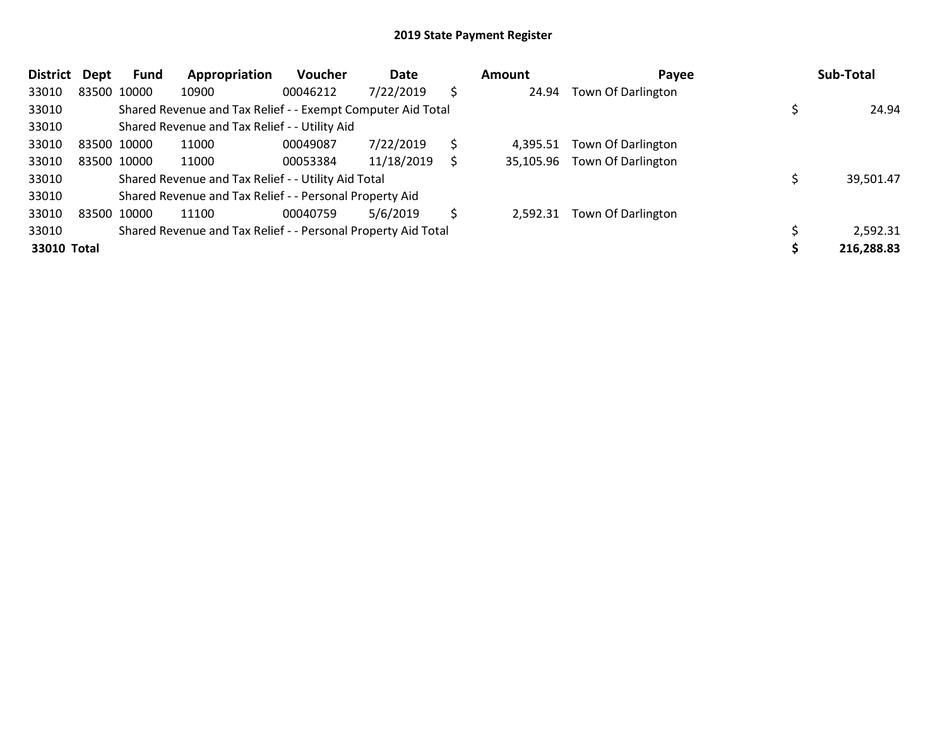| <b>District</b> | <b>Dept</b> | Fund        | Appropriation                                                 | <b>Voucher</b> | Date       |    | Amount   | Payee                        | Sub-Total  |
|-----------------|-------------|-------------|---------------------------------------------------------------|----------------|------------|----|----------|------------------------------|------------|
| 33010           |             | 83500 10000 | 10900                                                         | 00046212       | 7/22/2019  | \$ | 24.94    | Town Of Darlington           |            |
| 33010           |             |             | Shared Revenue and Tax Relief - - Exempt Computer Aid Total   |                |            |    |          |                              | 24.94      |
| 33010           |             |             | Shared Revenue and Tax Relief - - Utility Aid                 |                |            |    |          |                              |            |
| 33010           |             | 83500 10000 | 11000                                                         | 00049087       | 7/22/2019  | \$ | 4,395.51 | Town Of Darlington           |            |
| 33010           |             | 83500 10000 | 11000                                                         | 00053384       | 11/18/2019 |    |          | 35,105.96 Town Of Darlington |            |
| 33010           |             |             | Shared Revenue and Tax Relief - - Utility Aid Total           |                |            |    |          |                              | 39,501.47  |
| 33010           |             |             | Shared Revenue and Tax Relief - - Personal Property Aid       |                |            |    |          |                              |            |
| 33010           |             | 83500 10000 | 11100                                                         | 00040759       | 5/6/2019   | S  | 2.592.31 | Town Of Darlington           |            |
| 33010           |             |             | Shared Revenue and Tax Relief - - Personal Property Aid Total |                |            |    |          |                              | 2,592.31   |
| 33010 Total     |             |             |                                                               |                |            |    |          |                              | 216,288.83 |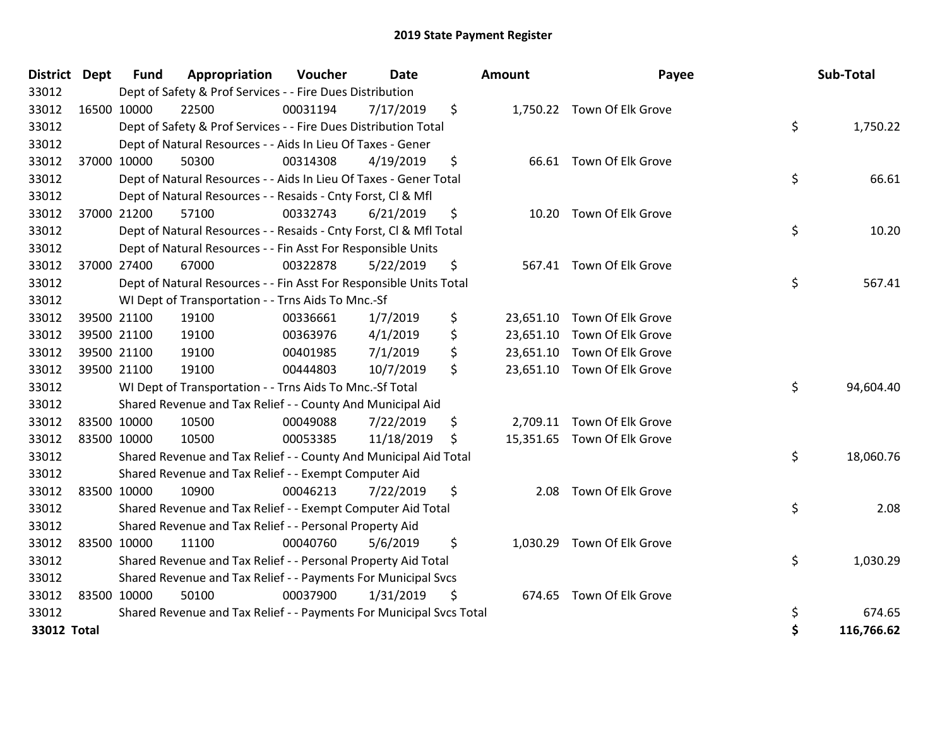| <b>District</b> | <b>Dept</b> | <b>Fund</b> | Appropriation                                                       | Voucher  | <b>Date</b> | <b>Amount</b>  | Payee                       | Sub-Total        |
|-----------------|-------------|-------------|---------------------------------------------------------------------|----------|-------------|----------------|-----------------------------|------------------|
| 33012           |             |             | Dept of Safety & Prof Services - - Fire Dues Distribution           |          |             |                |                             |                  |
| 33012           |             | 16500 10000 | 22500                                                               | 00031194 | 7/17/2019   | \$             | 1,750.22 Town Of Elk Grove  |                  |
| 33012           |             |             | Dept of Safety & Prof Services - - Fire Dues Distribution Total     |          |             |                |                             | \$<br>1,750.22   |
| 33012           |             |             | Dept of Natural Resources - - Aids In Lieu Of Taxes - Gener         |          |             |                |                             |                  |
| 33012           |             | 37000 10000 | 50300                                                               | 00314308 | 4/19/2019   | \$             | 66.61 Town Of Elk Grove     |                  |
| 33012           |             |             | Dept of Natural Resources - - Aids In Lieu Of Taxes - Gener Total   |          |             |                |                             | \$<br>66.61      |
| 33012           |             |             | Dept of Natural Resources - - Resaids - Cnty Forst, CI & Mfl        |          |             |                |                             |                  |
| 33012           |             | 37000 21200 | 57100                                                               | 00332743 | 6/21/2019   | \$             | 10.20 Town Of Elk Grove     |                  |
| 33012           |             |             | Dept of Natural Resources - - Resaids - Cnty Forst, CI & Mfl Total  |          |             |                |                             | \$<br>10.20      |
| 33012           |             |             | Dept of Natural Resources - - Fin Asst For Responsible Units        |          |             |                |                             |                  |
| 33012           |             | 37000 27400 | 67000                                                               | 00322878 | 5/22/2019   | \$             | 567.41 Town Of Elk Grove    |                  |
| 33012           |             |             | Dept of Natural Resources - - Fin Asst For Responsible Units Total  |          |             |                |                             | \$<br>567.41     |
| 33012           |             |             | WI Dept of Transportation - - Trns Aids To Mnc.-Sf                  |          |             |                |                             |                  |
| 33012           |             | 39500 21100 | 19100                                                               | 00336661 | 1/7/2019    | \$             | 23,651.10 Town Of Elk Grove |                  |
| 33012           |             | 39500 21100 | 19100                                                               | 00363976 | 4/1/2019    | \$             | 23,651.10 Town Of Elk Grove |                  |
| 33012           |             | 39500 21100 | 19100                                                               | 00401985 | 7/1/2019    | \$             | 23,651.10 Town Of Elk Grove |                  |
| 33012           |             | 39500 21100 | 19100                                                               | 00444803 | 10/7/2019   | \$             | 23,651.10 Town Of Elk Grove |                  |
| 33012           |             |             | WI Dept of Transportation - - Trns Aids To Mnc.-Sf Total            |          |             |                |                             | \$<br>94,604.40  |
| 33012           |             |             | Shared Revenue and Tax Relief - - County And Municipal Aid          |          |             |                |                             |                  |
| 33012           |             | 83500 10000 | 10500                                                               | 00049088 | 7/22/2019   | \$             | 2,709.11 Town Of Elk Grove  |                  |
| 33012           |             | 83500 10000 | 10500                                                               | 00053385 | 11/18/2019  | \$             | 15,351.65 Town Of Elk Grove |                  |
| 33012           |             |             | Shared Revenue and Tax Relief - - County And Municipal Aid Total    |          |             |                |                             | \$<br>18,060.76  |
| 33012           |             |             | Shared Revenue and Tax Relief - - Exempt Computer Aid               |          |             |                |                             |                  |
| 33012           |             | 83500 10000 | 10900                                                               | 00046213 | 7/22/2019   | \$<br>2.08     | Town Of Elk Grove           |                  |
| 33012           |             |             | Shared Revenue and Tax Relief - - Exempt Computer Aid Total         |          |             |                |                             | \$<br>2.08       |
| 33012           |             |             | Shared Revenue and Tax Relief - - Personal Property Aid             |          |             |                |                             |                  |
| 33012           |             | 83500 10000 | 11100                                                               | 00040760 | 5/6/2019    | \$<br>1,030.29 | Town Of Elk Grove           |                  |
| 33012           |             |             | Shared Revenue and Tax Relief - - Personal Property Aid Total       |          |             |                |                             | \$<br>1,030.29   |
| 33012           |             |             | Shared Revenue and Tax Relief - - Payments For Municipal Svcs       |          |             |                |                             |                  |
| 33012           |             | 83500 10000 | 50100                                                               | 00037900 | 1/31/2019   | \$             | 674.65 Town Of Elk Grove    |                  |
| 33012           |             |             | Shared Revenue and Tax Relief - - Payments For Municipal Svcs Total |          |             |                |                             | \$<br>674.65     |
| 33012 Total     |             |             |                                                                     |          |             |                |                             | \$<br>116,766.62 |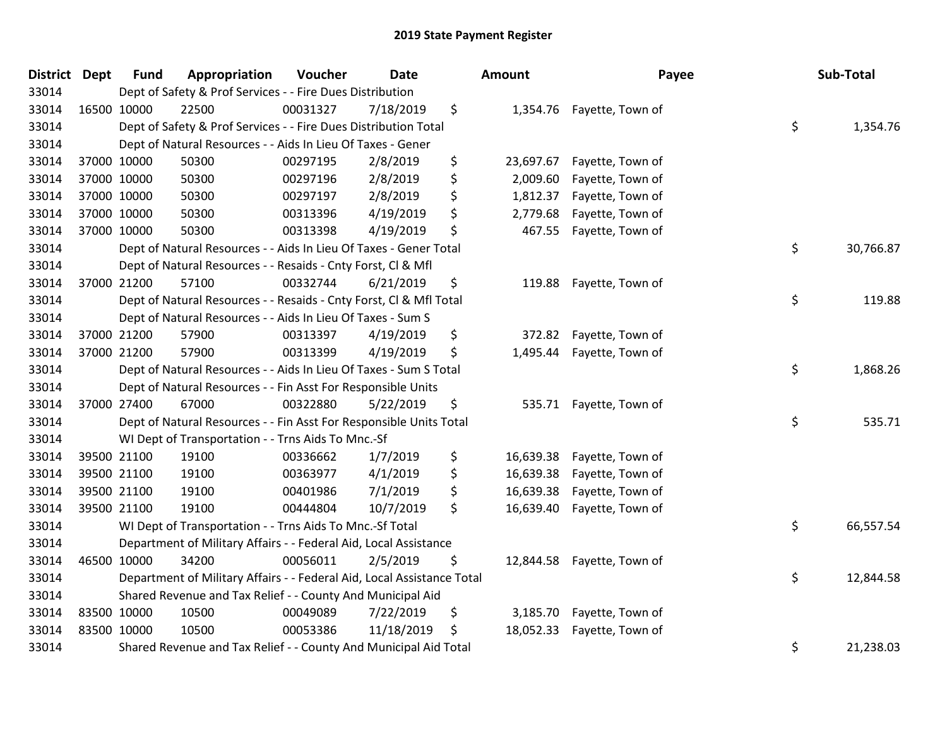| District Dept |             | <b>Fund</b> | Appropriation                                                          | Voucher  | <b>Date</b> | <b>Amount</b>   | Payee                     | Sub-Total       |
|---------------|-------------|-------------|------------------------------------------------------------------------|----------|-------------|-----------------|---------------------------|-----------------|
| 33014         |             |             | Dept of Safety & Prof Services - - Fire Dues Distribution              |          |             |                 |                           |                 |
| 33014         |             | 16500 10000 | 22500                                                                  | 00031327 | 7/18/2019   | \$              | 1,354.76 Fayette, Town of |                 |
| 33014         |             |             | Dept of Safety & Prof Services - - Fire Dues Distribution Total        |          |             |                 |                           | \$<br>1,354.76  |
| 33014         |             |             | Dept of Natural Resources - - Aids In Lieu Of Taxes - Gener            |          |             |                 |                           |                 |
| 33014         |             | 37000 10000 | 50300                                                                  | 00297195 | 2/8/2019    | \$<br>23,697.67 | Fayette, Town of          |                 |
| 33014         |             | 37000 10000 | 50300                                                                  | 00297196 | 2/8/2019    | \$<br>2,009.60  | Fayette, Town of          |                 |
| 33014         |             | 37000 10000 | 50300                                                                  | 00297197 | 2/8/2019    | \$<br>1,812.37  | Fayette, Town of          |                 |
| 33014         |             | 37000 10000 | 50300                                                                  | 00313396 | 4/19/2019   | \$<br>2,779.68  | Fayette, Town of          |                 |
| 33014         | 37000 10000 |             | 50300                                                                  | 00313398 | 4/19/2019   | \$<br>467.55    | Fayette, Town of          |                 |
| 33014         |             |             | Dept of Natural Resources - - Aids In Lieu Of Taxes - Gener Total      |          |             |                 |                           | \$<br>30,766.87 |
| 33014         |             |             | Dept of Natural Resources - - Resaids - Cnty Forst, CI & Mfl           |          |             |                 |                           |                 |
| 33014         |             | 37000 21200 | 57100                                                                  | 00332744 | 6/21/2019   | \$<br>119.88    | Fayette, Town of          |                 |
| 33014         |             |             | Dept of Natural Resources - - Resaids - Cnty Forst, Cl & Mfl Total     |          |             |                 |                           | \$<br>119.88    |
| 33014         |             |             | Dept of Natural Resources - - Aids In Lieu Of Taxes - Sum S            |          |             |                 |                           |                 |
| 33014         |             | 37000 21200 | 57900                                                                  | 00313397 | 4/19/2019   | \$<br>372.82    | Fayette, Town of          |                 |
| 33014         |             | 37000 21200 | 57900                                                                  | 00313399 | 4/19/2019   | \$<br>1,495.44  | Fayette, Town of          |                 |
| 33014         |             |             | Dept of Natural Resources - - Aids In Lieu Of Taxes - Sum S Total      |          |             |                 |                           | \$<br>1,868.26  |
| 33014         |             |             | Dept of Natural Resources - - Fin Asst For Responsible Units           |          |             |                 |                           |                 |
| 33014         |             | 37000 27400 | 67000                                                                  | 00322880 | 5/22/2019   | \$              | 535.71 Fayette, Town of   |                 |
| 33014         |             |             | Dept of Natural Resources - - Fin Asst For Responsible Units Total     |          |             |                 |                           | \$<br>535.71    |
| 33014         |             |             | WI Dept of Transportation - - Trns Aids To Mnc.-Sf                     |          |             |                 |                           |                 |
| 33014         |             | 39500 21100 | 19100                                                                  | 00336662 | 1/7/2019    | \$<br>16,639.38 | Fayette, Town of          |                 |
| 33014         |             | 39500 21100 | 19100                                                                  | 00363977 | 4/1/2019    | \$<br>16,639.38 | Fayette, Town of          |                 |
| 33014         |             | 39500 21100 | 19100                                                                  | 00401986 | 7/1/2019    | \$<br>16,639.38 | Fayette, Town of          |                 |
| 33014         |             | 39500 21100 | 19100                                                                  | 00444804 | 10/7/2019   | \$<br>16,639.40 | Fayette, Town of          |                 |
| 33014         |             |             | WI Dept of Transportation - - Trns Aids To Mnc.-Sf Total               |          |             |                 |                           | \$<br>66,557.54 |
| 33014         |             |             | Department of Military Affairs - - Federal Aid, Local Assistance       |          |             |                 |                           |                 |
| 33014         |             | 46500 10000 | 34200                                                                  | 00056011 | 2/5/2019    | \$<br>12,844.58 | Fayette, Town of          |                 |
| 33014         |             |             | Department of Military Affairs - - Federal Aid, Local Assistance Total |          |             |                 |                           | \$<br>12,844.58 |
| 33014         |             |             | Shared Revenue and Tax Relief - - County And Municipal Aid             |          |             |                 |                           |                 |
| 33014         | 83500 10000 |             | 10500                                                                  | 00049089 | 7/22/2019   | \$<br>3,185.70  | Fayette, Town of          |                 |
| 33014         | 83500 10000 |             | 10500                                                                  | 00053386 | 11/18/2019  | \$<br>18,052.33 | Fayette, Town of          |                 |
| 33014         |             |             | Shared Revenue and Tax Relief - - County And Municipal Aid Total       |          |             |                 |                           | \$<br>21,238.03 |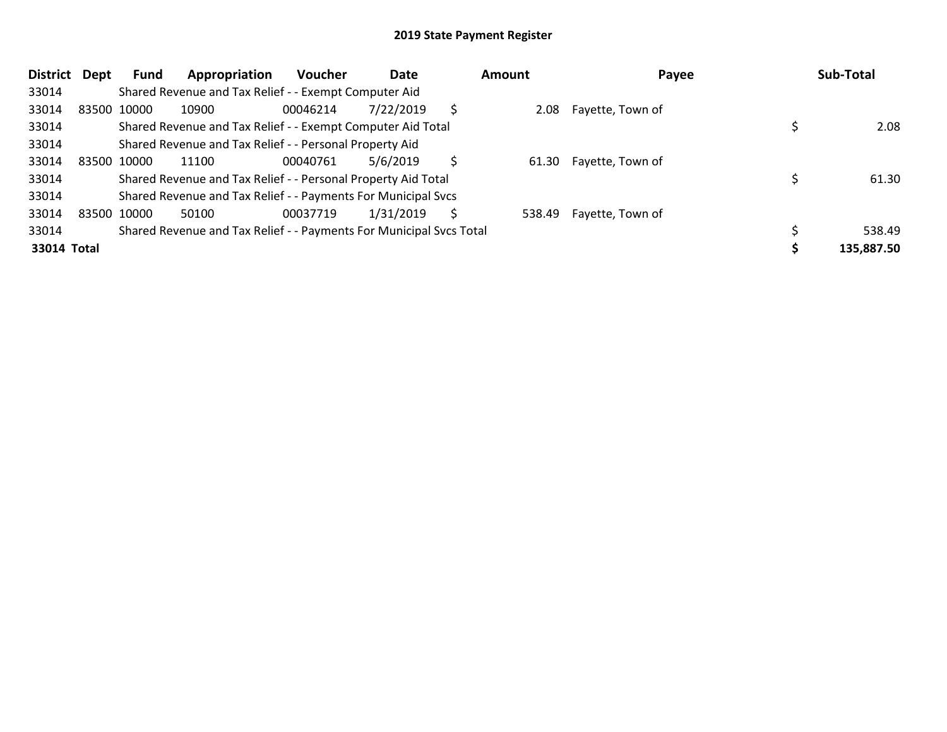| <b>District</b> | Dept | Fund        | Appropriation                                                       | <b>Voucher</b> | Date      |   | Amount | Payee            | Sub-Total  |
|-----------------|------|-------------|---------------------------------------------------------------------|----------------|-----------|---|--------|------------------|------------|
| 33014           |      |             | Shared Revenue and Tax Relief - - Exempt Computer Aid               |                |           |   |        |                  |            |
| 33014           |      | 83500 10000 | 10900                                                               | 00046214       | 7/22/2019 |   | 2.08   | Fayette, Town of |            |
| 33014           |      |             | Shared Revenue and Tax Relief - - Exempt Computer Aid Total         |                |           |   |        |                  | 2.08       |
| 33014           |      |             | Shared Revenue and Tax Relief - - Personal Property Aid             |                |           |   |        |                  |            |
| 33014           |      | 83500 10000 | 11100                                                               | 00040761       | 5/6/2019  | Ś | 61.30  | Fayette, Town of |            |
| 33014           |      |             | Shared Revenue and Tax Relief - - Personal Property Aid Total       |                |           |   |        |                  | 61.30      |
| 33014           |      |             | Shared Revenue and Tax Relief - - Payments For Municipal Svcs       |                |           |   |        |                  |            |
| 33014           |      | 83500 10000 | 50100                                                               | 00037719       | 1/31/2019 | S | 538.49 | Fayette, Town of |            |
| 33014           |      |             | Shared Revenue and Tax Relief - - Payments For Municipal Svcs Total |                |           |   |        |                  | 538.49     |
| 33014 Total     |      |             |                                                                     |                |           |   |        |                  | 135,887.50 |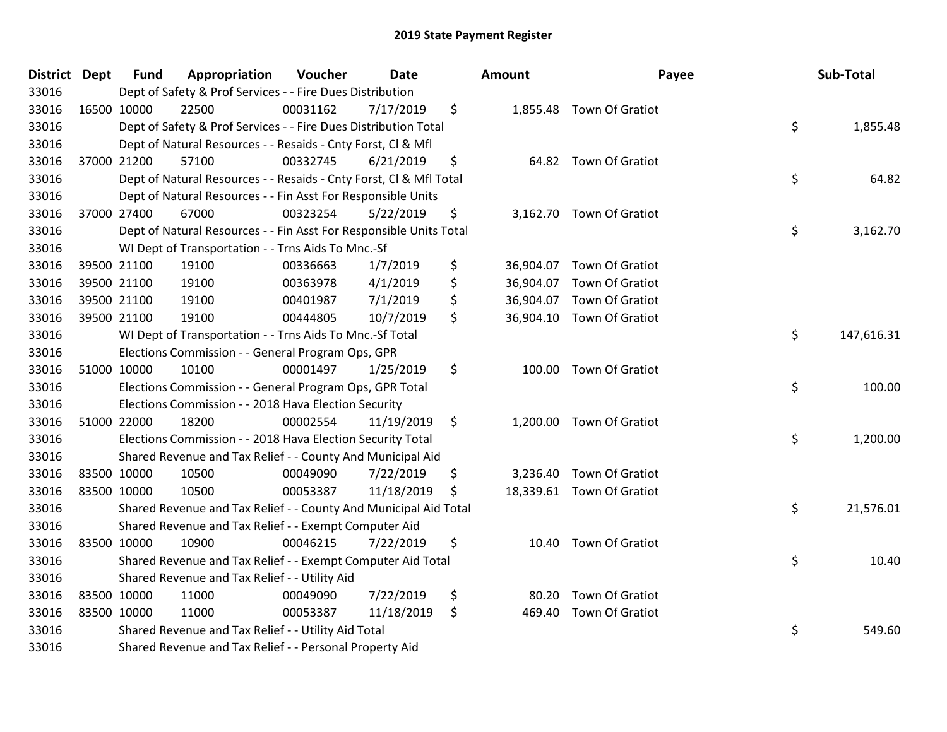| District Dept |             | <b>Fund</b> | Appropriation                                                      | Voucher  | <b>Date</b> | Amount | Payee                     | Sub-Total        |
|---------------|-------------|-------------|--------------------------------------------------------------------|----------|-------------|--------|---------------------------|------------------|
| 33016         |             |             | Dept of Safety & Prof Services - - Fire Dues Distribution          |          |             |        |                           |                  |
| 33016         | 16500 10000 |             | 22500                                                              | 00031162 | 7/17/2019   | \$     | 1,855.48 Town Of Gratiot  |                  |
| 33016         |             |             | Dept of Safety & Prof Services - - Fire Dues Distribution Total    |          |             |        |                           | \$<br>1,855.48   |
| 33016         |             |             | Dept of Natural Resources - - Resaids - Cnty Forst, Cl & Mfl       |          |             |        |                           |                  |
| 33016         |             | 37000 21200 | 57100                                                              | 00332745 | 6/21/2019   | \$     | 64.82 Town Of Gratiot     |                  |
| 33016         |             |             | Dept of Natural Resources - - Resaids - Cnty Forst, Cl & Mfl Total |          |             |        |                           | \$<br>64.82      |
| 33016         |             |             | Dept of Natural Resources - - Fin Asst For Responsible Units       |          |             |        |                           |                  |
| 33016         |             | 37000 27400 | 67000                                                              | 00323254 | 5/22/2019   | \$     | 3,162.70 Town Of Gratiot  |                  |
| 33016         |             |             | Dept of Natural Resources - - Fin Asst For Responsible Units Total |          |             |        |                           | \$<br>3,162.70   |
| 33016         |             |             | WI Dept of Transportation - - Trns Aids To Mnc.-Sf                 |          |             |        |                           |                  |
| 33016         |             | 39500 21100 | 19100                                                              | 00336663 | 1/7/2019    | \$     | 36,904.07 Town Of Gratiot |                  |
| 33016         |             | 39500 21100 | 19100                                                              | 00363978 | 4/1/2019    | \$     | 36,904.07 Town Of Gratiot |                  |
| 33016         |             | 39500 21100 | 19100                                                              | 00401987 | 7/1/2019    | \$     | 36,904.07 Town Of Gratiot |                  |
| 33016         |             | 39500 21100 | 19100                                                              | 00444805 | 10/7/2019   | \$     | 36,904.10 Town Of Gratiot |                  |
| 33016         |             |             | WI Dept of Transportation - - Trns Aids To Mnc.-Sf Total           |          |             |        |                           | \$<br>147,616.31 |
| 33016         |             |             | Elections Commission - - General Program Ops, GPR                  |          |             |        |                           |                  |
| 33016         |             | 51000 10000 | 10100                                                              | 00001497 | 1/25/2019   | \$     | 100.00 Town Of Gratiot    |                  |
| 33016         |             |             | Elections Commission - - General Program Ops, GPR Total            |          |             |        |                           | \$<br>100.00     |
| 33016         |             |             | Elections Commission - - 2018 Hava Election Security               |          |             |        |                           |                  |
| 33016         | 51000 22000 |             | 18200                                                              | 00002554 | 11/19/2019  | \$     | 1,200.00 Town Of Gratiot  |                  |
| 33016         |             |             | Elections Commission - - 2018 Hava Election Security Total         |          |             |        |                           | \$<br>1,200.00   |
| 33016         |             |             | Shared Revenue and Tax Relief - - County And Municipal Aid         |          |             |        |                           |                  |
| 33016         |             | 83500 10000 | 10500                                                              | 00049090 | 7/22/2019   | \$     | 3,236.40 Town Of Gratiot  |                  |
| 33016         |             | 83500 10000 | 10500                                                              | 00053387 | 11/18/2019  | \$     | 18,339.61 Town Of Gratiot |                  |
| 33016         |             |             | Shared Revenue and Tax Relief - - County And Municipal Aid Total   |          |             |        |                           | \$<br>21,576.01  |
| 33016         |             |             | Shared Revenue and Tax Relief - - Exempt Computer Aid              |          |             |        |                           |                  |
| 33016         |             | 83500 10000 | 10900                                                              | 00046215 | 7/22/2019   | \$     | 10.40 Town Of Gratiot     |                  |
| 33016         |             |             | Shared Revenue and Tax Relief - - Exempt Computer Aid Total        |          |             |        |                           | \$<br>10.40      |
| 33016         |             |             | Shared Revenue and Tax Relief - - Utility Aid                      |          |             |        |                           |                  |
| 33016         |             | 83500 10000 | 11000                                                              | 00049090 | 7/22/2019   | \$     | 80.20 Town Of Gratiot     |                  |
| 33016         |             | 83500 10000 | 11000                                                              | 00053387 | 11/18/2019  | \$     | 469.40 Town Of Gratiot    |                  |
| 33016         |             |             | Shared Revenue and Tax Relief - - Utility Aid Total                |          |             |        |                           | \$<br>549.60     |
| 33016         |             |             | Shared Revenue and Tax Relief - - Personal Property Aid            |          |             |        |                           |                  |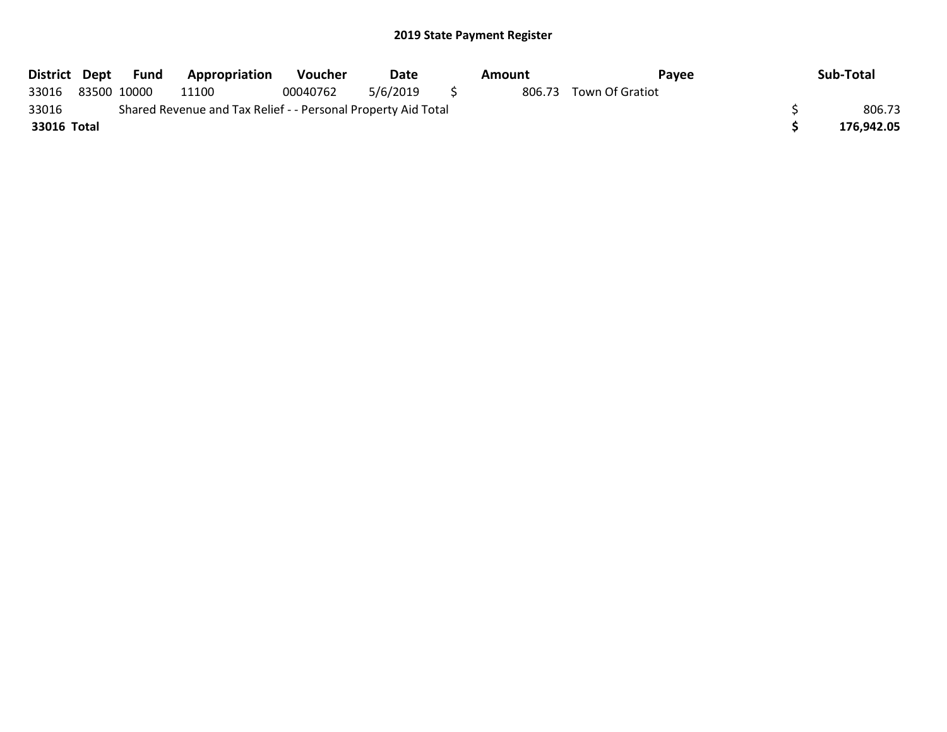|             |             | District Dept Fund | <b>Appropriation</b>                                          | <b>Voucher</b> | Date     | Amount | Pavee           | Sub-Total  |
|-------------|-------------|--------------------|---------------------------------------------------------------|----------------|----------|--------|-----------------|------------|
| 33016       | 83500 10000 |                    | 11100                                                         | 00040762       | 5/6/2019 | 806.73 | Town Of Gratiot |            |
| 33016       |             |                    | Shared Revenue and Tax Relief - - Personal Property Aid Total |                |          |        |                 | 806.73     |
| 33016 Total |             |                    |                                                               |                |          |        |                 | 176.942.05 |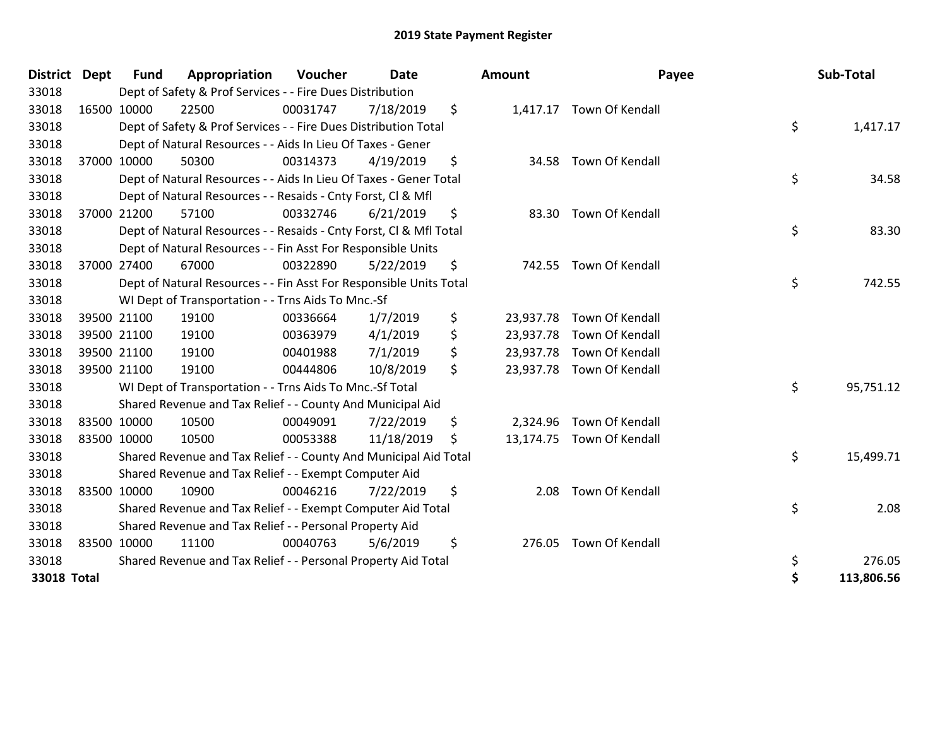| <b>District</b> | <b>Dept</b> | <b>Fund</b> | Appropriation                                                      | Voucher  | <b>Date</b> |     | Amount    | Payee                     | Sub-Total       |
|-----------------|-------------|-------------|--------------------------------------------------------------------|----------|-------------|-----|-----------|---------------------------|-----------------|
| 33018           |             |             | Dept of Safety & Prof Services - - Fire Dues Distribution          |          |             |     |           |                           |                 |
| 33018           | 16500 10000 |             | 22500                                                              | 00031747 | 7/18/2019   | \$  |           | 1,417.17 Town Of Kendall  |                 |
| 33018           |             |             | Dept of Safety & Prof Services - - Fire Dues Distribution Total    |          |             |     |           |                           | \$<br>1,417.17  |
| 33018           |             |             | Dept of Natural Resources - - Aids In Lieu Of Taxes - Gener        |          |             |     |           |                           |                 |
| 33018           |             | 37000 10000 | 50300                                                              | 00314373 | 4/19/2019   | \$  |           | 34.58 Town Of Kendall     |                 |
| 33018           |             |             | Dept of Natural Resources - - Aids In Lieu Of Taxes - Gener Total  |          |             |     |           |                           | \$<br>34.58     |
| 33018           |             |             | Dept of Natural Resources - - Resaids - Cnty Forst, CI & Mfl       |          |             |     |           |                           |                 |
| 33018           | 37000 21200 |             | 57100                                                              | 00332746 | 6/21/2019   | \$  |           | 83.30 Town Of Kendall     |                 |
| 33018           |             |             | Dept of Natural Resources - - Resaids - Cnty Forst, Cl & Mfl Total |          |             |     |           |                           | \$<br>83.30     |
| 33018           |             |             | Dept of Natural Resources - - Fin Asst For Responsible Units       |          |             |     |           |                           |                 |
| 33018           |             | 37000 27400 | 67000                                                              | 00322890 | 5/22/2019   | \$  | 742.55    | Town Of Kendall           |                 |
| 33018           |             |             | Dept of Natural Resources - - Fin Asst For Responsible Units Total |          |             |     |           |                           | \$<br>742.55    |
| 33018           |             |             | WI Dept of Transportation - - Trns Aids To Mnc.-Sf                 |          |             |     |           |                           |                 |
| 33018           |             | 39500 21100 | 19100                                                              | 00336664 | 1/7/2019    | \$  | 23,937.78 | Town Of Kendall           |                 |
| 33018           |             | 39500 21100 | 19100                                                              | 00363979 | 4/1/2019    | \$  |           | 23,937.78 Town Of Kendall |                 |
| 33018           |             | 39500 21100 | 19100                                                              | 00401988 | 7/1/2019    | \$  |           | 23,937.78 Town Of Kendall |                 |
| 33018           | 39500 21100 |             | 19100                                                              | 00444806 | 10/8/2019   | \$  |           | 23,937.78 Town Of Kendall |                 |
| 33018           |             |             | WI Dept of Transportation - - Trns Aids To Mnc.-Sf Total           |          |             |     |           |                           | \$<br>95,751.12 |
| 33018           |             |             | Shared Revenue and Tax Relief - - County And Municipal Aid         |          |             |     |           |                           |                 |
| 33018           | 83500 10000 |             | 10500                                                              | 00049091 | 7/22/2019   | \$  |           | 2,324.96 Town Of Kendall  |                 |
| 33018           | 83500 10000 |             | 10500                                                              | 00053388 | 11/18/2019  | \$. |           | 13,174.75 Town Of Kendall |                 |
| 33018           |             |             | Shared Revenue and Tax Relief - - County And Municipal Aid Total   |          |             |     |           |                           | \$<br>15,499.71 |
| 33018           |             |             | Shared Revenue and Tax Relief - - Exempt Computer Aid              |          |             |     |           |                           |                 |
| 33018           | 83500 10000 |             | 10900                                                              | 00046216 | 7/22/2019   | \$  | 2.08      | Town Of Kendall           |                 |
| 33018           |             |             | Shared Revenue and Tax Relief - - Exempt Computer Aid Total        |          |             |     |           |                           | \$<br>2.08      |
| 33018           |             |             | Shared Revenue and Tax Relief - - Personal Property Aid            |          |             |     |           |                           |                 |
| 33018           | 83500 10000 |             | 11100                                                              | 00040763 | 5/6/2019    | \$  | 276.05    | Town Of Kendall           |                 |
| 33018           |             |             | Shared Revenue and Tax Relief - - Personal Property Aid Total      |          |             |     |           |                           | \$<br>276.05    |
| 33018 Total     |             |             |                                                                    |          |             |     |           |                           | 113,806.56      |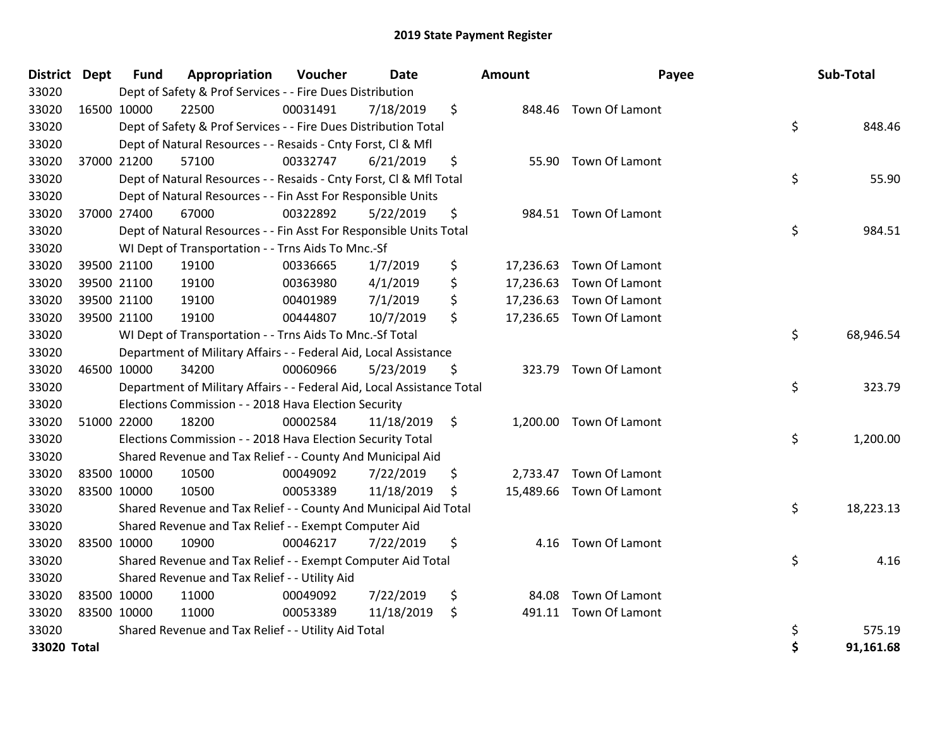| District    | Dept | <b>Fund</b> | Appropriation                                                          | Voucher  | Date       | Amount          | Payee                    | Sub-Total       |
|-------------|------|-------------|------------------------------------------------------------------------|----------|------------|-----------------|--------------------------|-----------------|
| 33020       |      |             | Dept of Safety & Prof Services - - Fire Dues Distribution              |          |            |                 |                          |                 |
| 33020       |      | 16500 10000 | 22500                                                                  | 00031491 | 7/18/2019  | \$              | 848.46 Town Of Lamont    |                 |
| 33020       |      |             | Dept of Safety & Prof Services - - Fire Dues Distribution Total        |          |            |                 |                          | \$<br>848.46    |
| 33020       |      |             | Dept of Natural Resources - - Resaids - Cnty Forst, Cl & Mfl           |          |            |                 |                          |                 |
| 33020       |      | 37000 21200 | 57100                                                                  | 00332747 | 6/21/2019  | \$              | 55.90 Town Of Lamont     |                 |
| 33020       |      |             | Dept of Natural Resources - - Resaids - Cnty Forst, CI & Mfl Total     |          |            |                 |                          | \$<br>55.90     |
| 33020       |      |             | Dept of Natural Resources - - Fin Asst For Responsible Units           |          |            |                 |                          |                 |
| 33020       |      | 37000 27400 | 67000                                                                  | 00322892 | 5/22/2019  | \$              | 984.51 Town Of Lamont    |                 |
| 33020       |      |             | Dept of Natural Resources - - Fin Asst For Responsible Units Total     |          |            |                 |                          | \$<br>984.51    |
| 33020       |      |             | WI Dept of Transportation - - Trns Aids To Mnc.-Sf                     |          |            |                 |                          |                 |
| 33020       |      | 39500 21100 | 19100                                                                  | 00336665 | 1/7/2019   | \$<br>17,236.63 | Town Of Lamont           |                 |
| 33020       |      | 39500 21100 | 19100                                                                  | 00363980 | 4/1/2019   | \$<br>17,236.63 | Town Of Lamont           |                 |
| 33020       |      | 39500 21100 | 19100                                                                  | 00401989 | 7/1/2019   | \$              | 17,236.63 Town Of Lamont |                 |
| 33020       |      | 39500 21100 | 19100                                                                  | 00444807 | 10/7/2019  | \$              | 17,236.65 Town Of Lamont |                 |
| 33020       |      |             | WI Dept of Transportation - - Trns Aids To Mnc.-Sf Total               |          |            |                 |                          | \$<br>68,946.54 |
| 33020       |      |             | Department of Military Affairs - - Federal Aid, Local Assistance       |          |            |                 |                          |                 |
| 33020       |      | 46500 10000 | 34200                                                                  | 00060966 | 5/23/2019  | \$              | 323.79 Town Of Lamont    |                 |
| 33020       |      |             | Department of Military Affairs - - Federal Aid, Local Assistance Total |          |            |                 |                          | \$<br>323.79    |
| 33020       |      |             | Elections Commission - - 2018 Hava Election Security                   |          |            |                 |                          |                 |
| 33020       |      | 51000 22000 | 18200                                                                  | 00002584 | 11/18/2019 | \$              | 1,200.00 Town Of Lamont  |                 |
| 33020       |      |             | Elections Commission - - 2018 Hava Election Security Total             |          |            |                 |                          | \$<br>1,200.00  |
| 33020       |      |             | Shared Revenue and Tax Relief - - County And Municipal Aid             |          |            |                 |                          |                 |
| 33020       |      | 83500 10000 | 10500                                                                  | 00049092 | 7/22/2019  | \$              | 2,733.47 Town Of Lamont  |                 |
| 33020       |      | 83500 10000 | 10500                                                                  | 00053389 | 11/18/2019 | \$              | 15,489.66 Town Of Lamont |                 |
| 33020       |      |             | Shared Revenue and Tax Relief - - County And Municipal Aid Total       |          |            |                 |                          | \$<br>18,223.13 |
| 33020       |      |             | Shared Revenue and Tax Relief - - Exempt Computer Aid                  |          |            |                 |                          |                 |
| 33020       |      | 83500 10000 | 10900                                                                  | 00046217 | 7/22/2019  | \$              | 4.16 Town Of Lamont      |                 |
| 33020       |      |             | Shared Revenue and Tax Relief - - Exempt Computer Aid Total            |          |            |                 |                          | \$<br>4.16      |
| 33020       |      |             | Shared Revenue and Tax Relief - - Utility Aid                          |          |            |                 |                          |                 |
| 33020       |      | 83500 10000 | 11000                                                                  | 00049092 | 7/22/2019  | \$<br>84.08     | Town Of Lamont           |                 |
| 33020       |      | 83500 10000 | 11000                                                                  | 00053389 | 11/18/2019 | \$<br>491.11    | Town Of Lamont           |                 |
| 33020       |      |             | Shared Revenue and Tax Relief - - Utility Aid Total                    |          |            |                 |                          | \$<br>575.19    |
| 33020 Total |      |             |                                                                        |          |            |                 |                          | 91,161.68       |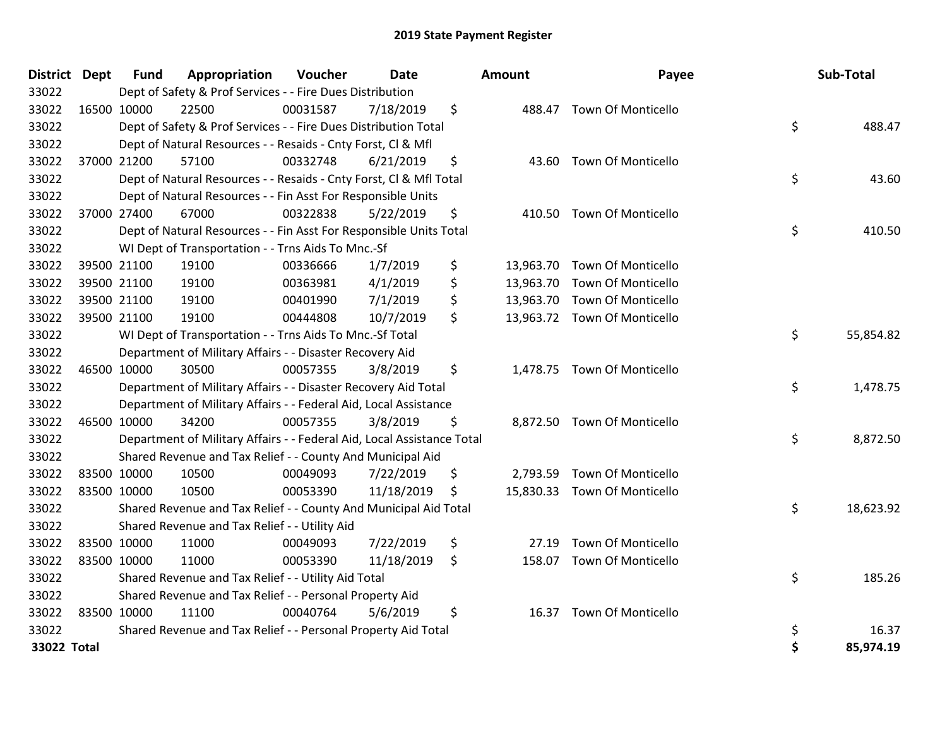| <b>District Dept</b> | Fund        | Appropriation                                                          | Voucher  | Date       | <b>Amount</b> | Payee                        | Sub-Total       |
|----------------------|-------------|------------------------------------------------------------------------|----------|------------|---------------|------------------------------|-----------------|
| 33022                |             | Dept of Safety & Prof Services - - Fire Dues Distribution              |          |            |               |                              |                 |
| 33022                | 16500 10000 | 22500                                                                  | 00031587 | 7/18/2019  | \$            | 488.47 Town Of Monticello    |                 |
| 33022                |             | Dept of Safety & Prof Services - - Fire Dues Distribution Total        |          |            |               |                              | \$<br>488.47    |
| 33022                |             | Dept of Natural Resources - - Resaids - Cnty Forst, CI & Mfl           |          |            |               |                              |                 |
| 33022                | 37000 21200 | 57100                                                                  | 00332748 | 6/21/2019  | \$            | 43.60 Town Of Monticello     |                 |
| 33022                |             | Dept of Natural Resources - - Resaids - Cnty Forst, CI & Mfl Total     |          |            |               |                              | \$<br>43.60     |
| 33022                |             | Dept of Natural Resources - - Fin Asst For Responsible Units           |          |            |               |                              |                 |
| 33022                | 37000 27400 | 67000                                                                  | 00322838 | 5/22/2019  | \$            | 410.50 Town Of Monticello    |                 |
| 33022                |             | Dept of Natural Resources - - Fin Asst For Responsible Units Total     |          |            |               |                              | \$<br>410.50    |
| 33022                |             | WI Dept of Transportation - - Trns Aids To Mnc.-Sf                     |          |            |               |                              |                 |
| 33022                | 39500 21100 | 19100                                                                  | 00336666 | 1/7/2019   | \$            | 13,963.70 Town Of Monticello |                 |
| 33022                | 39500 21100 | 19100                                                                  | 00363981 | 4/1/2019   | \$            | 13,963.70 Town Of Monticello |                 |
| 33022                | 39500 21100 | 19100                                                                  | 00401990 | 7/1/2019   | \$            | 13,963.70 Town Of Monticello |                 |
| 33022                | 39500 21100 | 19100                                                                  | 00444808 | 10/7/2019  | \$            | 13,963.72 Town Of Monticello |                 |
| 33022                |             | WI Dept of Transportation - - Trns Aids To Mnc.-Sf Total               |          |            |               |                              | \$<br>55,854.82 |
| 33022                |             | Department of Military Affairs - - Disaster Recovery Aid               |          |            |               |                              |                 |
| 33022                | 46500 10000 | 30500                                                                  | 00057355 | 3/8/2019   | \$            | 1,478.75 Town Of Monticello  |                 |
| 33022                |             | Department of Military Affairs - - Disaster Recovery Aid Total         |          |            |               |                              | \$<br>1,478.75  |
| 33022                |             | Department of Military Affairs - - Federal Aid, Local Assistance       |          |            |               |                              |                 |
| 33022                | 46500 10000 | 34200                                                                  | 00057355 | 3/8/2019   | \$            | 8,872.50 Town Of Monticello  |                 |
| 33022                |             | Department of Military Affairs - - Federal Aid, Local Assistance Total |          |            |               |                              | \$<br>8,872.50  |
| 33022                |             | Shared Revenue and Tax Relief - - County And Municipal Aid             |          |            |               |                              |                 |
| 33022                | 83500 10000 | 10500                                                                  | 00049093 | 7/22/2019  | \$            | 2,793.59 Town Of Monticello  |                 |
| 33022                | 83500 10000 | 10500                                                                  | 00053390 | 11/18/2019 | \$            | 15,830.33 Town Of Monticello |                 |
| 33022                |             | Shared Revenue and Tax Relief - - County And Municipal Aid Total       |          |            |               |                              | \$<br>18,623.92 |
| 33022                |             | Shared Revenue and Tax Relief - - Utility Aid                          |          |            |               |                              |                 |
| 33022                | 83500 10000 | 11000                                                                  | 00049093 | 7/22/2019  | \$<br>27.19   | Town Of Monticello           |                 |
| 33022                | 83500 10000 | 11000                                                                  | 00053390 | 11/18/2019 | \$            | 158.07 Town Of Monticello    |                 |
| 33022                |             | Shared Revenue and Tax Relief - - Utility Aid Total                    |          |            |               |                              | \$<br>185.26    |
| 33022                |             | Shared Revenue and Tax Relief - - Personal Property Aid                |          |            |               |                              |                 |
| 33022                | 83500 10000 | 11100                                                                  | 00040764 | 5/6/2019   | \$<br>16.37   | <b>Town Of Monticello</b>    |                 |
| 33022                |             | Shared Revenue and Tax Relief - - Personal Property Aid Total          |          |            |               |                              | \$<br>16.37     |
| 33022 Total          |             |                                                                        |          |            |               |                              | 85,974.19       |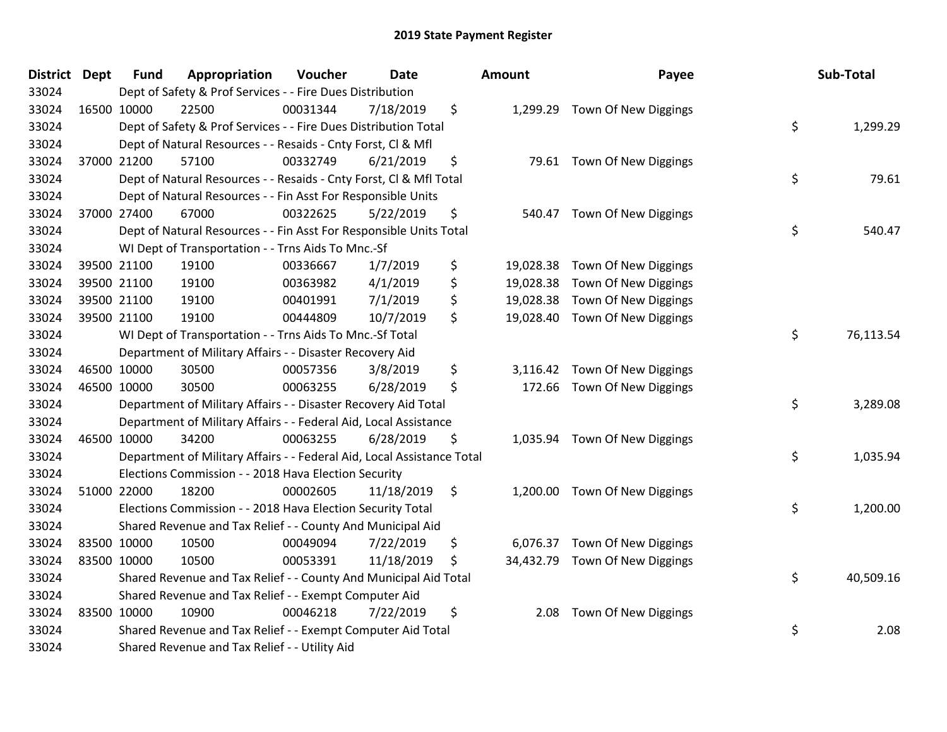| <b>District Dept</b> | Fund        | Appropriation                                                          | Voucher  | <b>Date</b> |                | <b>Amount</b> | Payee                          | Sub-Total       |
|----------------------|-------------|------------------------------------------------------------------------|----------|-------------|----------------|---------------|--------------------------------|-----------------|
| 33024                |             | Dept of Safety & Prof Services - - Fire Dues Distribution              |          |             |                |               |                                |                 |
| 33024                | 16500 10000 | 22500                                                                  | 00031344 | 7/18/2019   | \$             |               | 1,299.29 Town Of New Diggings  |                 |
| 33024                |             | Dept of Safety & Prof Services - - Fire Dues Distribution Total        |          |             |                |               |                                | \$<br>1,299.29  |
| 33024                |             | Dept of Natural Resources - - Resaids - Cnty Forst, Cl & Mfl           |          |             |                |               |                                |                 |
| 33024                | 37000 21200 | 57100                                                                  | 00332749 | 6/21/2019   | \$             |               | 79.61 Town Of New Diggings     |                 |
| 33024                |             | Dept of Natural Resources - - Resaids - Cnty Forst, Cl & Mfl Total     |          |             |                |               |                                | \$<br>79.61     |
| 33024                |             | Dept of Natural Resources - - Fin Asst For Responsible Units           |          |             |                |               |                                |                 |
| 33024                | 37000 27400 | 67000                                                                  | 00322625 | 5/22/2019   | \$             |               | 540.47 Town Of New Diggings    |                 |
| 33024                |             | Dept of Natural Resources - - Fin Asst For Responsible Units Total     |          |             |                |               |                                | \$<br>540.47    |
| 33024                |             | WI Dept of Transportation - - Trns Aids To Mnc.-Sf                     |          |             |                |               |                                |                 |
| 33024                | 39500 21100 | 19100                                                                  | 00336667 | 1/7/2019    | \$             |               | 19,028.38 Town Of New Diggings |                 |
| 33024                | 39500 21100 | 19100                                                                  | 00363982 | 4/1/2019    | \$             |               | 19,028.38 Town Of New Diggings |                 |
| 33024                | 39500 21100 | 19100                                                                  | 00401991 | 7/1/2019    | \$             |               | 19,028.38 Town Of New Diggings |                 |
| 33024                | 39500 21100 | 19100                                                                  | 00444809 | 10/7/2019   | \$             |               | 19,028.40 Town Of New Diggings |                 |
| 33024                |             | WI Dept of Transportation - - Trns Aids To Mnc.-Sf Total               |          |             |                |               |                                | \$<br>76,113.54 |
| 33024                |             | Department of Military Affairs - - Disaster Recovery Aid               |          |             |                |               |                                |                 |
| 33024                | 46500 10000 | 30500                                                                  | 00057356 | 3/8/2019    | \$             |               | 3,116.42 Town Of New Diggings  |                 |
| 33024                | 46500 10000 | 30500                                                                  | 00063255 | 6/28/2019   | \$             |               | 172.66 Town Of New Diggings    |                 |
| 33024                |             | Department of Military Affairs - - Disaster Recovery Aid Total         |          |             |                |               |                                | \$<br>3,289.08  |
| 33024                |             | Department of Military Affairs - - Federal Aid, Local Assistance       |          |             |                |               |                                |                 |
| 33024                | 46500 10000 | 34200                                                                  | 00063255 | 6/28/2019   | \$             |               | 1,035.94 Town Of New Diggings  |                 |
| 33024                |             | Department of Military Affairs - - Federal Aid, Local Assistance Total |          |             |                |               |                                | \$<br>1,035.94  |
| 33024                |             | Elections Commission - - 2018 Hava Election Security                   |          |             |                |               |                                |                 |
| 33024                | 51000 22000 | 18200                                                                  | 00002605 | 11/18/2019  | $\ddot{\zeta}$ |               | 1,200.00 Town Of New Diggings  |                 |
| 33024                |             | Elections Commission - - 2018 Hava Election Security Total             |          |             |                |               |                                | \$<br>1,200.00  |
| 33024                |             | Shared Revenue and Tax Relief - - County And Municipal Aid             |          |             |                |               |                                |                 |
| 33024                | 83500 10000 | 10500                                                                  | 00049094 | 7/22/2019   | \$             |               | 6,076.37 Town Of New Diggings  |                 |
| 33024                | 83500 10000 | 10500                                                                  | 00053391 | 11/18/2019  | \$             |               | 34,432.79 Town Of New Diggings |                 |
| 33024                |             | Shared Revenue and Tax Relief - - County And Municipal Aid Total       |          |             |                |               |                                | \$<br>40,509.16 |
| 33024                |             | Shared Revenue and Tax Relief - - Exempt Computer Aid                  |          |             |                |               |                                |                 |
| 33024                | 83500 10000 | 10900                                                                  | 00046218 | 7/22/2019   | \$             | 2.08          | Town Of New Diggings           |                 |
| 33024                |             | Shared Revenue and Tax Relief - - Exempt Computer Aid Total            |          |             |                |               |                                | \$<br>2.08      |
| 33024                |             | Shared Revenue and Tax Relief - - Utility Aid                          |          |             |                |               |                                |                 |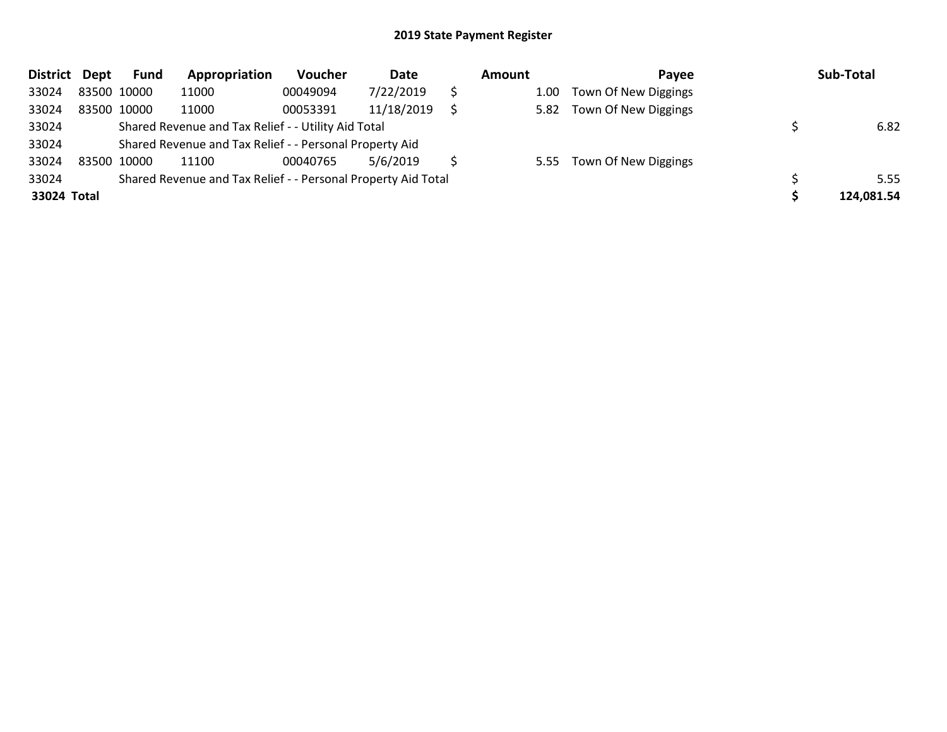| <b>District</b> | Dept        | <b>Fund</b> | Appropriation                                                 | Voucher  | Date       | Amount | Pavee                     | Sub-Total  |
|-----------------|-------------|-------------|---------------------------------------------------------------|----------|------------|--------|---------------------------|------------|
| 33024           | 83500 10000 |             | 11000                                                         | 00049094 | 7/22/2019  | 1.00   | Town Of New Diggings      |            |
| 33024           | 83500 10000 |             | 11000                                                         | 00053391 | 11/18/2019 | 5.82   | Town Of New Diggings      |            |
| 33024           |             |             | Shared Revenue and Tax Relief - - Utility Aid Total           |          |            |        |                           | 6.82       |
| 33024           |             |             | Shared Revenue and Tax Relief - - Personal Property Aid       |          |            |        |                           |            |
| 33024           |             | 83500 10000 | 11100                                                         | 00040765 | 5/6/2019   |        | 5.55 Town Of New Diggings |            |
| 33024           |             |             | Shared Revenue and Tax Relief - - Personal Property Aid Total |          |            |        |                           | 5.55       |
| 33024 Total     |             |             |                                                               |          |            |        |                           | 124,081.54 |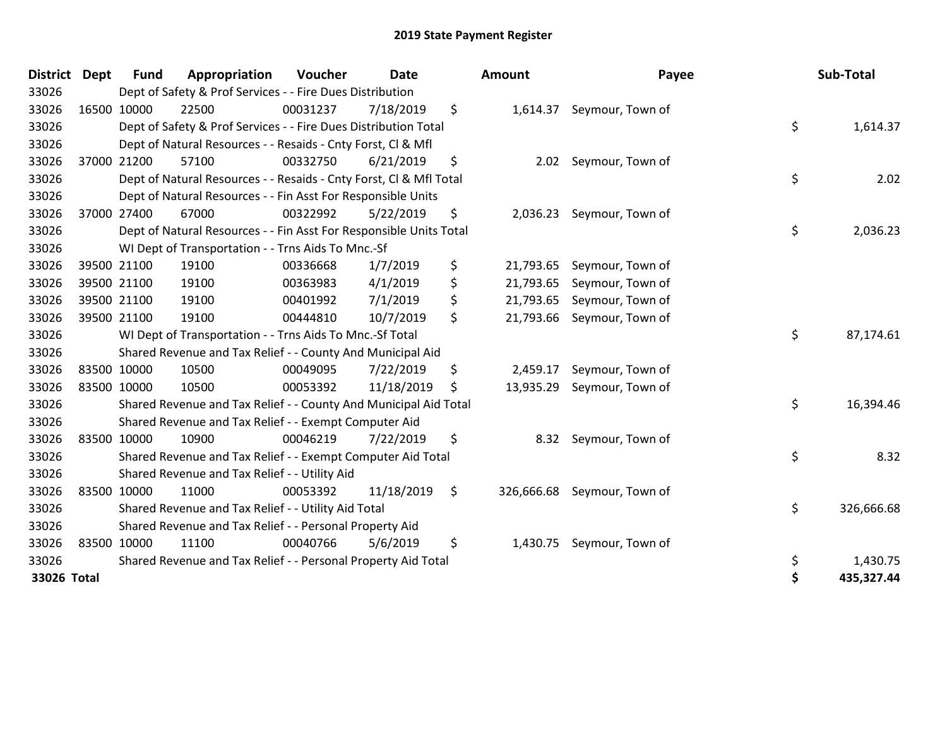| <b>District</b> | <b>Dept</b> | <b>Fund</b> | Appropriation                                                      | Voucher  | <b>Date</b> | Amount          | Payee                       | Sub-Total        |
|-----------------|-------------|-------------|--------------------------------------------------------------------|----------|-------------|-----------------|-----------------------------|------------------|
| 33026           |             |             | Dept of Safety & Prof Services - - Fire Dues Distribution          |          |             |                 |                             |                  |
| 33026           |             | 16500 10000 | 22500                                                              | 00031237 | 7/18/2019   | \$              | 1,614.37 Seymour, Town of   |                  |
| 33026           |             |             | Dept of Safety & Prof Services - - Fire Dues Distribution Total    |          |             |                 |                             | \$<br>1,614.37   |
| 33026           |             |             | Dept of Natural Resources - - Resaids - Cnty Forst, CI & Mfl       |          |             |                 |                             |                  |
| 33026           |             | 37000 21200 | 57100                                                              | 00332750 | 6/21/2019   | \$              | 2.02 Seymour, Town of       |                  |
| 33026           |             |             | Dept of Natural Resources - - Resaids - Cnty Forst, Cl & Mfl Total |          |             |                 |                             | \$<br>2.02       |
| 33026           |             |             | Dept of Natural Resources - - Fin Asst For Responsible Units       |          |             |                 |                             |                  |
| 33026           |             | 37000 27400 | 67000                                                              | 00322992 | 5/22/2019   | \$              | 2,036.23 Seymour, Town of   |                  |
| 33026           |             |             | Dept of Natural Resources - - Fin Asst For Responsible Units Total |          |             |                 |                             | \$<br>2,036.23   |
| 33026           |             |             | WI Dept of Transportation - - Trns Aids To Mnc.-Sf                 |          |             |                 |                             |                  |
| 33026           |             | 39500 21100 | 19100                                                              | 00336668 | 1/7/2019    | \$<br>21,793.65 | Seymour, Town of            |                  |
| 33026           |             | 39500 21100 | 19100                                                              | 00363983 | 4/1/2019    | \$<br>21,793.65 | Seymour, Town of            |                  |
| 33026           |             | 39500 21100 | 19100                                                              | 00401992 | 7/1/2019    | \$<br>21,793.65 | Seymour, Town of            |                  |
| 33026           |             | 39500 21100 | 19100                                                              | 00444810 | 10/7/2019   | \$<br>21,793.66 | Seymour, Town of            |                  |
| 33026           |             |             | WI Dept of Transportation - - Trns Aids To Mnc.-Sf Total           |          |             |                 |                             | \$<br>87,174.61  |
| 33026           |             |             | Shared Revenue and Tax Relief - - County And Municipal Aid         |          |             |                 |                             |                  |
| 33026           |             | 83500 10000 | 10500                                                              | 00049095 | 7/22/2019   | \$<br>2,459.17  | Seymour, Town of            |                  |
| 33026           |             | 83500 10000 | 10500                                                              | 00053392 | 11/18/2019  | \$<br>13,935.29 | Seymour, Town of            |                  |
| 33026           |             |             | Shared Revenue and Tax Relief - - County And Municipal Aid Total   |          |             |                 |                             | \$<br>16,394.46  |
| 33026           |             |             | Shared Revenue and Tax Relief - - Exempt Computer Aid              |          |             |                 |                             |                  |
| 33026           |             | 83500 10000 | 10900                                                              | 00046219 | 7/22/2019   | \$              | 8.32 Seymour, Town of       |                  |
| 33026           |             |             | Shared Revenue and Tax Relief - - Exempt Computer Aid Total        |          |             |                 |                             | \$<br>8.32       |
| 33026           |             |             | Shared Revenue and Tax Relief - - Utility Aid                      |          |             |                 |                             |                  |
| 33026           |             | 83500 10000 | 11000                                                              | 00053392 | 11/18/2019  | \$              | 326,666.68 Seymour, Town of |                  |
| 33026           |             |             | Shared Revenue and Tax Relief - - Utility Aid Total                |          |             |                 |                             | \$<br>326,666.68 |
| 33026           |             |             | Shared Revenue and Tax Relief - - Personal Property Aid            |          |             |                 |                             |                  |
| 33026           |             | 83500 10000 | 11100                                                              | 00040766 | 5/6/2019    | \$              | 1,430.75 Seymour, Town of   |                  |
| 33026           |             |             | Shared Revenue and Tax Relief - - Personal Property Aid Total      |          |             |                 |                             | \$<br>1,430.75   |
| 33026 Total     |             |             |                                                                    |          |             |                 |                             | \$<br>435,327.44 |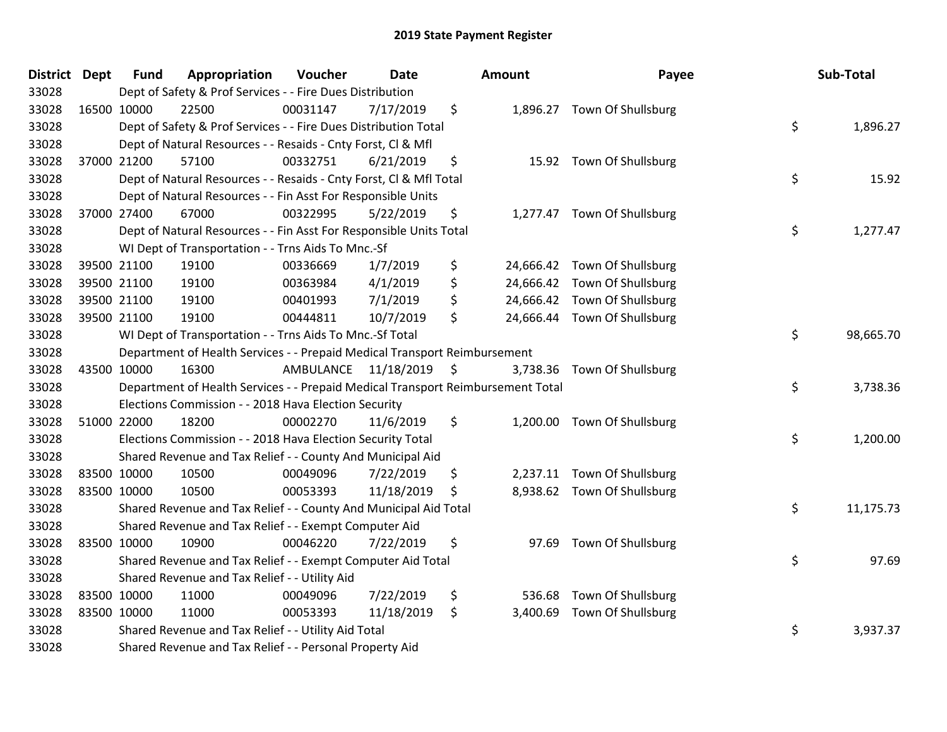| District Dept | <b>Fund</b> | Appropriation                                                                   | Voucher                 | <b>Date</b> |     | Amount   | Payee                        | Sub-Total       |
|---------------|-------------|---------------------------------------------------------------------------------|-------------------------|-------------|-----|----------|------------------------------|-----------------|
| 33028         |             | Dept of Safety & Prof Services - - Fire Dues Distribution                       |                         |             |     |          |                              |                 |
| 33028         | 16500 10000 | 22500                                                                           | 00031147                | 7/17/2019   | \$  |          | 1,896.27 Town Of Shullsburg  |                 |
| 33028         |             | Dept of Safety & Prof Services - - Fire Dues Distribution Total                 |                         |             |     |          |                              | \$<br>1,896.27  |
| 33028         |             | Dept of Natural Resources - - Resaids - Cnty Forst, CI & Mfl                    |                         |             |     |          |                              |                 |
| 33028         | 37000 21200 | 57100                                                                           | 00332751                | 6/21/2019   | \$  |          | 15.92 Town Of Shullsburg     |                 |
| 33028         |             | Dept of Natural Resources - - Resaids - Cnty Forst, CI & Mfl Total              |                         |             |     |          |                              | \$<br>15.92     |
| 33028         |             | Dept of Natural Resources - - Fin Asst For Responsible Units                    |                         |             |     |          |                              |                 |
| 33028         | 37000 27400 | 67000                                                                           | 00322995                | 5/22/2019   | \$  |          | 1,277.47 Town Of Shullsburg  |                 |
| 33028         |             | Dept of Natural Resources - - Fin Asst For Responsible Units Total              |                         |             |     |          |                              | \$<br>1,277.47  |
| 33028         |             | WI Dept of Transportation - - Trns Aids To Mnc.-Sf                              |                         |             |     |          |                              |                 |
| 33028         | 39500 21100 | 19100                                                                           | 00336669                | 1/7/2019    | \$  |          | 24,666.42 Town Of Shullsburg |                 |
| 33028         | 39500 21100 | 19100                                                                           | 00363984                | 4/1/2019    | \$  |          | 24,666.42 Town Of Shullsburg |                 |
| 33028         | 39500 21100 | 19100                                                                           | 00401993                | 7/1/2019    | \$  |          | 24,666.42 Town Of Shullsburg |                 |
| 33028         | 39500 21100 | 19100                                                                           | 00444811                | 10/7/2019   | \$  |          | 24,666.44 Town Of Shullsburg |                 |
| 33028         |             | WI Dept of Transportation - - Trns Aids To Mnc.-Sf Total                        |                         |             |     |          |                              | \$<br>98,665.70 |
| 33028         |             | Department of Health Services - - Prepaid Medical Transport Reimbursement       |                         |             |     |          |                              |                 |
| 33028         | 43500 10000 | 16300                                                                           | AMBULANCE 11/18/2019 \$ |             |     | 3,738.36 | Town Of Shullsburg           |                 |
| 33028         |             | Department of Health Services - - Prepaid Medical Transport Reimbursement Total |                         |             |     |          |                              | \$<br>3,738.36  |
| 33028         |             | Elections Commission - - 2018 Hava Election Security                            |                         |             |     |          |                              |                 |
| 33028         | 51000 22000 | 18200                                                                           | 00002270                | 11/6/2019   | \$  |          | 1,200.00 Town Of Shullsburg  |                 |
| 33028         |             | Elections Commission - - 2018 Hava Election Security Total                      |                         |             |     |          |                              | \$<br>1,200.00  |
| 33028         |             | Shared Revenue and Tax Relief - - County And Municipal Aid                      |                         |             |     |          |                              |                 |
| 33028         | 83500 10000 | 10500                                                                           | 00049096                | 7/22/2019   | \$  |          | 2,237.11 Town Of Shullsburg  |                 |
| 33028         | 83500 10000 | 10500                                                                           | 00053393                | 11/18/2019  | \$. |          | 8,938.62 Town Of Shullsburg  |                 |
| 33028         |             | Shared Revenue and Tax Relief - - County And Municipal Aid Total                |                         |             |     |          |                              | \$<br>11,175.73 |
| 33028         |             | Shared Revenue and Tax Relief - - Exempt Computer Aid                           |                         |             |     |          |                              |                 |
| 33028         | 83500 10000 | 10900                                                                           | 00046220                | 7/22/2019   | \$  |          | 97.69 Town Of Shullsburg     |                 |
| 33028         |             | Shared Revenue and Tax Relief - - Exempt Computer Aid Total                     |                         |             |     |          |                              | \$<br>97.69     |
| 33028         |             | Shared Revenue and Tax Relief - - Utility Aid                                   |                         |             |     |          |                              |                 |
| 33028         | 83500 10000 | 11000                                                                           | 00049096                | 7/22/2019   | \$  | 536.68   | Town Of Shullsburg           |                 |
| 33028         | 83500 10000 | 11000                                                                           | 00053393                | 11/18/2019  | \$  | 3,400.69 | Town Of Shullsburg           |                 |
| 33028         |             | Shared Revenue and Tax Relief - - Utility Aid Total                             |                         |             |     |          |                              | \$<br>3,937.37  |
| 33028         |             | Shared Revenue and Tax Relief - - Personal Property Aid                         |                         |             |     |          |                              |                 |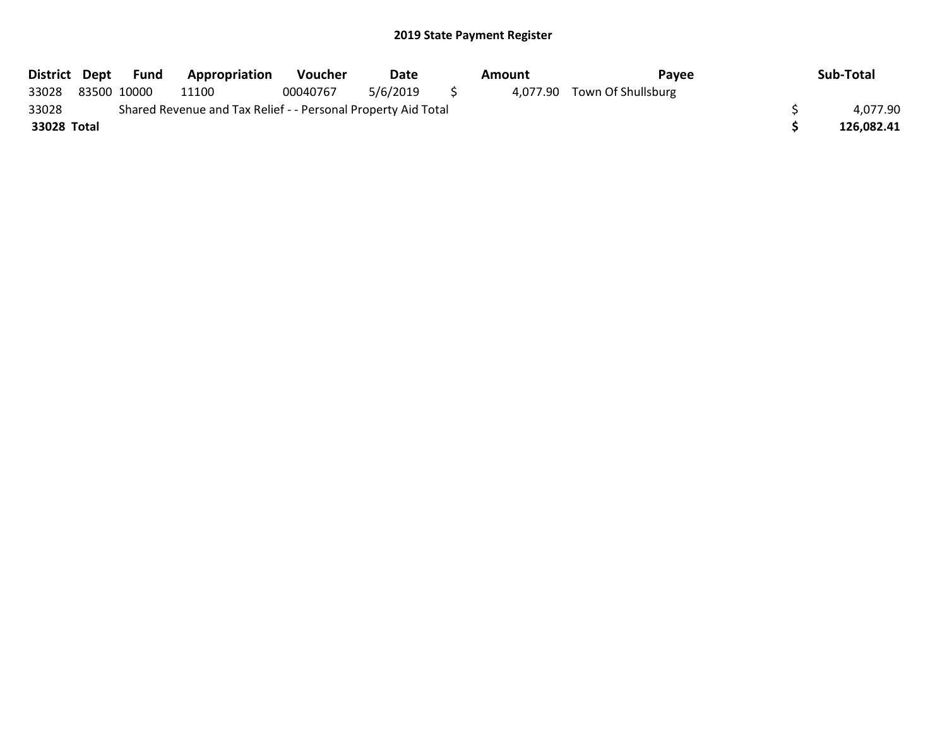|             |             | District Dept Fund | <b>Appropriation</b>                                          | Voucher  | Date     | Amount | Pavee                       | Sub-Total  |
|-------------|-------------|--------------------|---------------------------------------------------------------|----------|----------|--------|-----------------------------|------------|
| 33028       | 83500 10000 |                    | 11100                                                         | 00040767 | 5/6/2019 |        | 4,077.90 Town Of Shullsburg |            |
| 33028       |             |                    | Shared Revenue and Tax Relief - - Personal Property Aid Total |          |          |        |                             | 4,077.90   |
| 33028 Total |             |                    |                                                               |          |          |        |                             | 126.082.41 |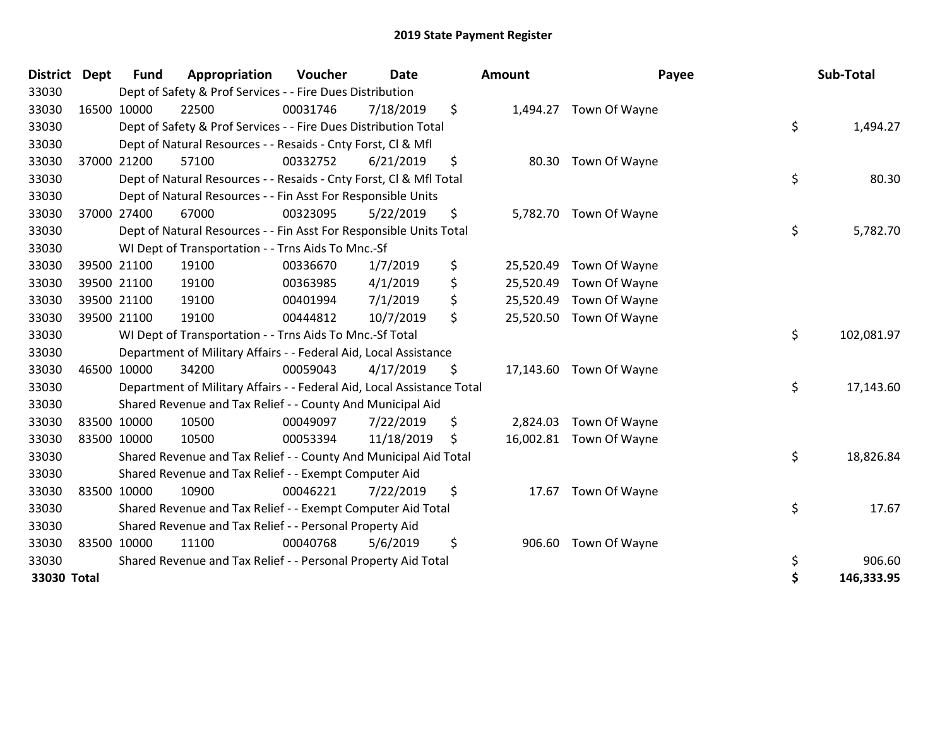| <b>District</b> | <b>Dept</b> | <b>Fund</b> | Appropriation                                                          | Voucher  | <b>Date</b> |     | Amount    | Payee                   | Sub-Total        |
|-----------------|-------------|-------------|------------------------------------------------------------------------|----------|-------------|-----|-----------|-------------------------|------------------|
| 33030           |             |             | Dept of Safety & Prof Services - - Fire Dues Distribution              |          |             |     |           |                         |                  |
| 33030           |             | 16500 10000 | 22500                                                                  | 00031746 | 7/18/2019   | \$  | 1,494.27  | Town Of Wayne           |                  |
| 33030           |             |             | Dept of Safety & Prof Services - - Fire Dues Distribution Total        |          |             |     |           |                         | \$<br>1,494.27   |
| 33030           |             |             | Dept of Natural Resources - - Resaids - Cnty Forst, CI & Mfl           |          |             |     |           |                         |                  |
| 33030           |             | 37000 21200 | 57100                                                                  | 00332752 | 6/21/2019   | \$  |           | 80.30 Town Of Wayne     |                  |
| 33030           |             |             | Dept of Natural Resources - - Resaids - Cnty Forst, Cl & Mfl Total     |          |             |     |           |                         | \$<br>80.30      |
| 33030           |             |             | Dept of Natural Resources - - Fin Asst For Responsible Units           |          |             |     |           |                         |                  |
| 33030           |             | 37000 27400 | 67000                                                                  | 00323095 | 5/22/2019   | \$  |           | 5,782.70 Town Of Wayne  |                  |
| 33030           |             |             | Dept of Natural Resources - - Fin Asst For Responsible Units Total     |          |             |     |           |                         | \$<br>5,782.70   |
| 33030           |             |             | WI Dept of Transportation - - Trns Aids To Mnc.-Sf                     |          |             |     |           |                         |                  |
| 33030           |             | 39500 21100 | 19100                                                                  | 00336670 | 1/7/2019    | \$  | 25,520.49 | Town Of Wayne           |                  |
| 33030           |             | 39500 21100 | 19100                                                                  | 00363985 | 4/1/2019    | \$  | 25,520.49 | Town Of Wayne           |                  |
| 33030           |             | 39500 21100 | 19100                                                                  | 00401994 | 7/1/2019    | \$  | 25,520.49 | Town Of Wayne           |                  |
| 33030           |             | 39500 21100 | 19100                                                                  | 00444812 | 10/7/2019   | \$  | 25,520.50 | Town Of Wayne           |                  |
| 33030           |             |             | WI Dept of Transportation - - Trns Aids To Mnc.-Sf Total               |          |             |     |           |                         | \$<br>102,081.97 |
| 33030           |             |             | Department of Military Affairs - - Federal Aid, Local Assistance       |          |             |     |           |                         |                  |
| 33030           |             | 46500 10000 | 34200                                                                  | 00059043 | 4/17/2019   | \$  |           | 17,143.60 Town Of Wayne |                  |
| 33030           |             |             | Department of Military Affairs - - Federal Aid, Local Assistance Total |          |             |     |           |                         | \$<br>17,143.60  |
| 33030           |             |             | Shared Revenue and Tax Relief - - County And Municipal Aid             |          |             |     |           |                         |                  |
| 33030           |             | 83500 10000 | 10500                                                                  | 00049097 | 7/22/2019   | \$  | 2,824.03  | Town Of Wayne           |                  |
| 33030           | 83500 10000 |             | 10500                                                                  | 00053394 | 11/18/2019  | \$. |           | 16,002.81 Town Of Wayne |                  |
| 33030           |             |             | Shared Revenue and Tax Relief - - County And Municipal Aid Total       |          |             |     |           |                         | \$<br>18,826.84  |
| 33030           |             |             | Shared Revenue and Tax Relief - - Exempt Computer Aid                  |          |             |     |           |                         |                  |
| 33030           |             | 83500 10000 | 10900                                                                  | 00046221 | 7/22/2019   | \$  | 17.67     | Town Of Wayne           |                  |
| 33030           |             |             | Shared Revenue and Tax Relief - - Exempt Computer Aid Total            |          |             |     |           |                         | \$<br>17.67      |
| 33030           |             |             | Shared Revenue and Tax Relief - - Personal Property Aid                |          |             |     |           |                         |                  |
| 33030           |             | 83500 10000 | 11100                                                                  | 00040768 | 5/6/2019    | \$  | 906.60    | Town Of Wayne           |                  |
| 33030           |             |             | Shared Revenue and Tax Relief - - Personal Property Aid Total          |          |             |     |           |                         | \$<br>906.60     |
| 33030 Total     |             |             |                                                                        |          |             |     |           |                         | \$<br>146,333.95 |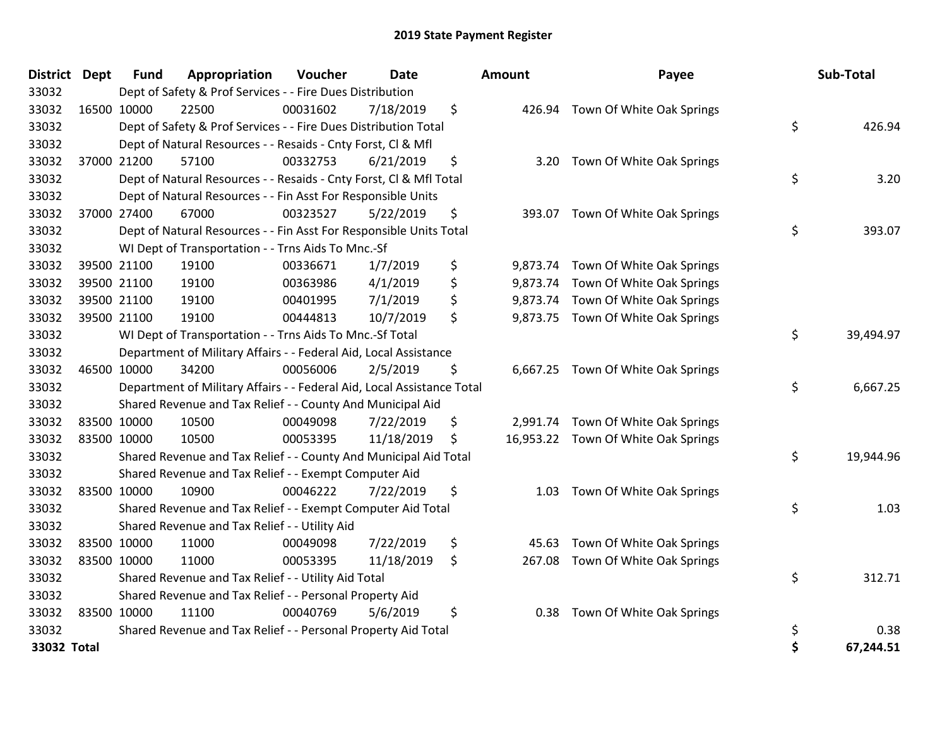| District Dept | Fund        | Appropriation                                                          | Voucher  | Date       | Amount       | Payee                               | Sub-Total       |
|---------------|-------------|------------------------------------------------------------------------|----------|------------|--------------|-------------------------------------|-----------------|
| 33032         |             | Dept of Safety & Prof Services - - Fire Dues Distribution              |          |            |              |                                     |                 |
| 33032         | 16500 10000 | 22500                                                                  | 00031602 | 7/18/2019  | \$           | 426.94 Town Of White Oak Springs    |                 |
| 33032         |             | Dept of Safety & Prof Services - - Fire Dues Distribution Total        |          |            |              |                                     | \$<br>426.94    |
| 33032         |             | Dept of Natural Resources - - Resaids - Cnty Forst, Cl & Mfl           |          |            |              |                                     |                 |
| 33032         | 37000 21200 | 57100                                                                  | 00332753 | 6/21/2019  | \$<br>3.20   | Town Of White Oak Springs           |                 |
| 33032         |             | Dept of Natural Resources - - Resaids - Cnty Forst, Cl & Mfl Total     |          |            |              |                                     | \$<br>3.20      |
| 33032         |             | Dept of Natural Resources - - Fin Asst For Responsible Units           |          |            |              |                                     |                 |
| 33032         | 37000 27400 | 67000                                                                  | 00323527 | 5/22/2019  | \$           | 393.07 Town Of White Oak Springs    |                 |
| 33032         |             | Dept of Natural Resources - - Fin Asst For Responsible Units Total     |          |            |              |                                     | \$<br>393.07    |
| 33032         |             | WI Dept of Transportation - - Trns Aids To Mnc.-Sf                     |          |            |              |                                     |                 |
| 33032         | 39500 21100 | 19100                                                                  | 00336671 | 1/7/2019   | \$           | 9,873.74 Town Of White Oak Springs  |                 |
| 33032         | 39500 21100 | 19100                                                                  | 00363986 | 4/1/2019   | \$           | 9,873.74 Town Of White Oak Springs  |                 |
| 33032         | 39500 21100 | 19100                                                                  | 00401995 | 7/1/2019   | \$           | 9,873.74 Town Of White Oak Springs  |                 |
| 33032         | 39500 21100 | 19100                                                                  | 00444813 | 10/7/2019  | \$           | 9,873.75 Town Of White Oak Springs  |                 |
| 33032         |             | WI Dept of Transportation - - Trns Aids To Mnc.-Sf Total               |          |            |              |                                     | \$<br>39,494.97 |
| 33032         |             | Department of Military Affairs - - Federal Aid, Local Assistance       |          |            |              |                                     |                 |
| 33032         | 46500 10000 | 34200                                                                  | 00056006 | 2/5/2019   | \$           | 6,667.25 Town Of White Oak Springs  |                 |
| 33032         |             | Department of Military Affairs - - Federal Aid, Local Assistance Total |          |            |              |                                     | \$<br>6,667.25  |
| 33032         |             | Shared Revenue and Tax Relief - - County And Municipal Aid             |          |            |              |                                     |                 |
| 33032         | 83500 10000 | 10500                                                                  | 00049098 | 7/22/2019  | \$           | 2,991.74 Town Of White Oak Springs  |                 |
| 33032         | 83500 10000 | 10500                                                                  | 00053395 | 11/18/2019 | \$           | 16,953.22 Town Of White Oak Springs |                 |
| 33032         |             | Shared Revenue and Tax Relief - - County And Municipal Aid Total       |          |            |              |                                     | \$<br>19,944.96 |
| 33032         |             | Shared Revenue and Tax Relief - - Exempt Computer Aid                  |          |            |              |                                     |                 |
| 33032         | 83500 10000 | 10900                                                                  | 00046222 | 7/22/2019  | \$<br>1.03   | Town Of White Oak Springs           |                 |
| 33032         |             | Shared Revenue and Tax Relief - - Exempt Computer Aid Total            |          |            |              |                                     | \$<br>1.03      |
| 33032         |             | Shared Revenue and Tax Relief - - Utility Aid                          |          |            |              |                                     |                 |
| 33032         | 83500 10000 | 11000                                                                  | 00049098 | 7/22/2019  | \$<br>45.63  | Town Of White Oak Springs           |                 |
| 33032         | 83500 10000 | 11000                                                                  | 00053395 | 11/18/2019 | \$<br>267.08 | Town Of White Oak Springs           |                 |
| 33032         |             | Shared Revenue and Tax Relief - - Utility Aid Total                    |          |            |              |                                     | \$<br>312.71    |
| 33032         |             | Shared Revenue and Tax Relief - - Personal Property Aid                |          |            |              |                                     |                 |
| 33032         | 83500 10000 | 11100                                                                  | 00040769 | 5/6/2019   | \$<br>0.38   | Town Of White Oak Springs           |                 |
| 33032         |             | Shared Revenue and Tax Relief - - Personal Property Aid Total          |          |            |              |                                     | \$<br>0.38      |
| $33032$ Total |             |                                                                        |          |            |              |                                     | \$<br>67.244.51 |

| District Dept |             | <b>Fund</b> | Appropriation                                                          | <b>Voucher</b> | Date       | <b>Amount</b> | Payee                               | Sub-Total       |
|---------------|-------------|-------------|------------------------------------------------------------------------|----------------|------------|---------------|-------------------------------------|-----------------|
| 33032         |             |             | Dept of Safety & Prof Services - - Fire Dues Distribution              |                |            |               |                                     |                 |
| 33032         | 16500 10000 |             | 22500                                                                  | 00031602       | 7/18/2019  | \$            | 426.94 Town Of White Oak Springs    |                 |
| 33032         |             |             | Dept of Safety & Prof Services - - Fire Dues Distribution Total        |                |            |               |                                     | \$<br>426.94    |
| 33032         |             |             | Dept of Natural Resources - - Resaids - Cnty Forst, Cl & Mfl           |                |            |               |                                     |                 |
| 33032         | 37000 21200 |             | 57100                                                                  | 00332753       | 6/21/2019  | \$            | 3.20 Town Of White Oak Springs      |                 |
| 33032         |             |             | Dept of Natural Resources - - Resaids - Cnty Forst, Cl & Mfl Total     |                |            |               |                                     | \$<br>3.20      |
| 33032         |             |             | Dept of Natural Resources - - Fin Asst For Responsible Units           |                |            |               |                                     |                 |
| 33032         | 37000 27400 |             | 67000                                                                  | 00323527       | 5/22/2019  | \$            | 393.07 Town Of White Oak Springs    |                 |
| 33032         |             |             | Dept of Natural Resources - - Fin Asst For Responsible Units Total     |                |            |               |                                     | \$<br>393.07    |
| 33032         |             |             | WI Dept of Transportation - - Trns Aids To Mnc.-Sf                     |                |            |               |                                     |                 |
| 33032         | 39500 21100 |             | 19100                                                                  | 00336671       | 1/7/2019   | \$            | 9,873.74 Town Of White Oak Springs  |                 |
| 33032         | 39500 21100 |             | 19100                                                                  | 00363986       | 4/1/2019   | \$            | 9,873.74 Town Of White Oak Springs  |                 |
| 33032         | 39500 21100 |             | 19100                                                                  | 00401995       | 7/1/2019   | \$            | 9,873.74 Town Of White Oak Springs  |                 |
| 33032         | 39500 21100 |             | 19100                                                                  | 00444813       | 10/7/2019  | \$            | 9,873.75 Town Of White Oak Springs  |                 |
| 33032         |             |             | WI Dept of Transportation - - Trns Aids To Mnc.-Sf Total               |                |            |               |                                     | \$<br>39,494.97 |
| 33032         |             |             | Department of Military Affairs - - Federal Aid, Local Assistance       |                |            |               |                                     |                 |
| 33032         | 46500 10000 |             | 34200                                                                  | 00056006       | 2/5/2019   | \$            | 6,667.25 Town Of White Oak Springs  |                 |
| 33032         |             |             | Department of Military Affairs - - Federal Aid, Local Assistance Total |                |            |               |                                     | \$<br>6,667.25  |
| 33032         |             |             | Shared Revenue and Tax Relief - - County And Municipal Aid             |                |            |               |                                     |                 |
| 33032         | 83500 10000 |             | 10500                                                                  | 00049098       | 7/22/2019  | \$            | 2,991.74 Town Of White Oak Springs  |                 |
| 33032         | 83500 10000 |             | 10500                                                                  | 00053395       | 11/18/2019 | \$            | 16,953.22 Town Of White Oak Springs |                 |
| 33032         |             |             | Shared Revenue and Tax Relief - - County And Municipal Aid Total       |                |            |               |                                     | \$<br>19,944.96 |
| 33032         |             |             | Shared Revenue and Tax Relief - - Exempt Computer Aid                  |                |            |               |                                     |                 |
| 33032         | 83500 10000 |             | 10900                                                                  | 00046222       | 7/22/2019  | \$<br>1.03    | Town Of White Oak Springs           |                 |
| 33032         |             |             | Shared Revenue and Tax Relief - - Exempt Computer Aid Total            |                |            |               |                                     | \$<br>1.03      |
| 33032         |             |             | Shared Revenue and Tax Relief - - Utility Aid                          |                |            |               |                                     |                 |
| 33032         | 83500 10000 |             | 11000                                                                  | 00049098       | 7/22/2019  | \$<br>45.63   | Town Of White Oak Springs           |                 |
| 33032         | 83500 10000 |             | 11000                                                                  | 00053395       | 11/18/2019 | \$            | 267.08 Town Of White Oak Springs    |                 |
| 33032         |             |             | Shared Revenue and Tax Relief - - Utility Aid Total                    |                |            |               |                                     | \$<br>312.71    |
| 33032         |             |             | Shared Revenue and Tax Relief - - Personal Property Aid                |                |            |               |                                     |                 |
| 33032         | 83500 10000 |             | 11100                                                                  | 00040769       | 5/6/2019   | \$            | 0.38 Town Of White Oak Springs      |                 |
| 33032         |             |             | Shared Revenue and Tax Relief - - Personal Property Aid Total          |                |            |               |                                     | \$<br>0.38      |
| 33032 Total   |             |             |                                                                        |                |            |               |                                     | \$<br>67,244.51 |
|               |             |             |                                                                        |                |            |               |                                     |                 |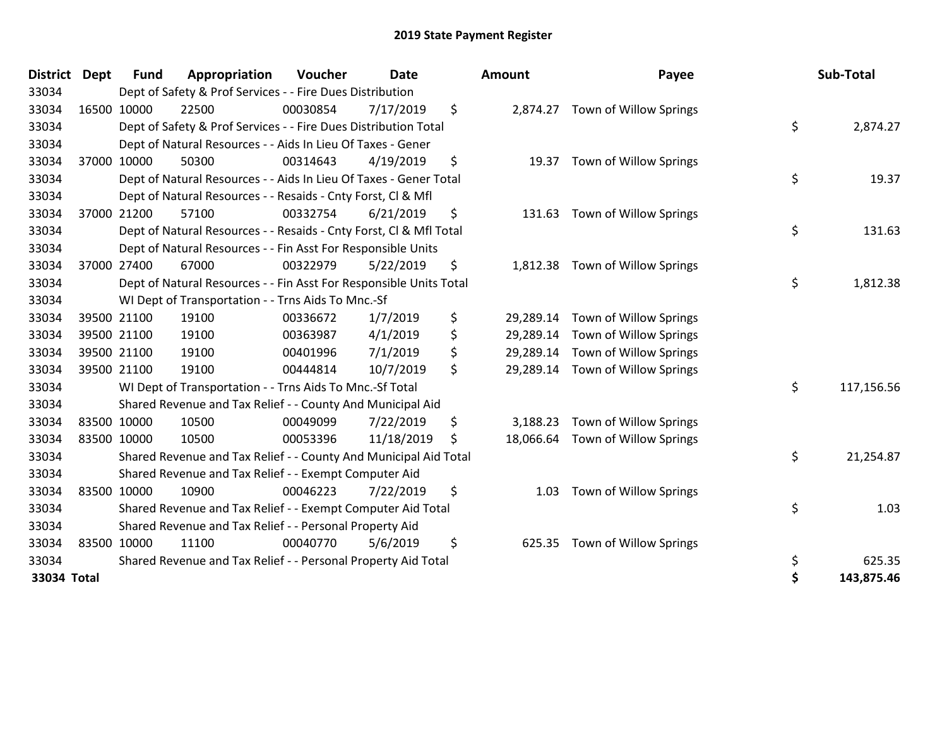| District Dept | <b>Fund</b> | Appropriation                                                      | Voucher  | <b>Date</b> | <b>Amount</b>   | Payee                  | Sub-Total        |
|---------------|-------------|--------------------------------------------------------------------|----------|-------------|-----------------|------------------------|------------------|
| 33034         |             | Dept of Safety & Prof Services - - Fire Dues Distribution          |          |             |                 |                        |                  |
| 33034         | 16500 10000 | 22500                                                              | 00030854 | 7/17/2019   | \$<br>2,874.27  | Town of Willow Springs |                  |
| 33034         |             | Dept of Safety & Prof Services - - Fire Dues Distribution Total    |          |             |                 |                        | \$<br>2,874.27   |
| 33034         |             | Dept of Natural Resources - - Aids In Lieu Of Taxes - Gener        |          |             |                 |                        |                  |
| 33034         | 37000 10000 | 50300                                                              | 00314643 | 4/19/2019   | \$<br>19.37     | Town of Willow Springs |                  |
| 33034         |             | Dept of Natural Resources - - Aids In Lieu Of Taxes - Gener Total  |          |             |                 |                        | \$<br>19.37      |
| 33034         |             | Dept of Natural Resources - - Resaids - Cnty Forst, CI & Mfl       |          |             |                 |                        |                  |
| 33034         | 37000 21200 | 57100                                                              | 00332754 | 6/21/2019   | \$<br>131.63    | Town of Willow Springs |                  |
| 33034         |             | Dept of Natural Resources - - Resaids - Cnty Forst, Cl & Mfl Total |          |             |                 |                        | \$<br>131.63     |
| 33034         |             | Dept of Natural Resources - - Fin Asst For Responsible Units       |          |             |                 |                        |                  |
| 33034         | 37000 27400 | 67000                                                              | 00322979 | 5/22/2019   | \$<br>1,812.38  | Town of Willow Springs |                  |
| 33034         |             | Dept of Natural Resources - - Fin Asst For Responsible Units Total |          |             |                 |                        | \$<br>1,812.38   |
| 33034         |             | WI Dept of Transportation - - Trns Aids To Mnc.-Sf                 |          |             |                 |                        |                  |
| 33034         | 39500 21100 | 19100                                                              | 00336672 | 1/7/2019    | \$<br>29,289.14 | Town of Willow Springs |                  |
| 33034         | 39500 21100 | 19100                                                              | 00363987 | 4/1/2019    | \$<br>29,289.14 | Town of Willow Springs |                  |
| 33034         | 39500 21100 | 19100                                                              | 00401996 | 7/1/2019    | \$<br>29,289.14 | Town of Willow Springs |                  |
| 33034         | 39500 21100 | 19100                                                              | 00444814 | 10/7/2019   | \$<br>29,289.14 | Town of Willow Springs |                  |
| 33034         |             | WI Dept of Transportation - - Trns Aids To Mnc.-Sf Total           |          |             |                 |                        | \$<br>117,156.56 |
| 33034         |             | Shared Revenue and Tax Relief - - County And Municipal Aid         |          |             |                 |                        |                  |
| 33034         | 83500 10000 | 10500                                                              | 00049099 | 7/22/2019   | \$<br>3,188.23  | Town of Willow Springs |                  |
| 33034         | 83500 10000 | 10500                                                              | 00053396 | 11/18/2019  | \$<br>18,066.64 | Town of Willow Springs |                  |
| 33034         |             | Shared Revenue and Tax Relief - - County And Municipal Aid Total   |          |             |                 |                        | \$<br>21,254.87  |
| 33034         |             | Shared Revenue and Tax Relief - - Exempt Computer Aid              |          |             |                 |                        |                  |
| 33034         | 83500 10000 | 10900                                                              | 00046223 | 7/22/2019   | \$<br>1.03      | Town of Willow Springs |                  |
| 33034         |             | Shared Revenue and Tax Relief - - Exempt Computer Aid Total        |          |             |                 |                        | \$<br>1.03       |
| 33034         |             | Shared Revenue and Tax Relief - - Personal Property Aid            |          |             |                 |                        |                  |
| 33034         | 83500 10000 | 11100                                                              | 00040770 | 5/6/2019    | \$<br>625.35    | Town of Willow Springs |                  |
| 33034         |             | Shared Revenue and Tax Relief - - Personal Property Aid Total      |          |             |                 |                        | \$<br>625.35     |
| 33034 Total   |             |                                                                    |          |             |                 |                        | \$<br>143.875.46 |

| District    | Dept        | <b>Fund</b> | Appropriation                                                      | Voucher  | Date       |    | Amount    | Payee                  | Sub-Total        |
|-------------|-------------|-------------|--------------------------------------------------------------------|----------|------------|----|-----------|------------------------|------------------|
| 33034       |             |             | Dept of Safety & Prof Services - - Fire Dues Distribution          |          |            |    |           |                        |                  |
| 33034       | 16500 10000 |             | 22500                                                              | 00030854 | 7/17/2019  | \$ | 2,874.27  | Town of Willow Springs |                  |
| 33034       |             |             | Dept of Safety & Prof Services - - Fire Dues Distribution Total    |          |            |    |           |                        | \$<br>2,874.27   |
| 33034       |             |             | Dept of Natural Resources - - Aids In Lieu Of Taxes - Gener        |          |            |    |           |                        |                  |
| 33034       | 37000 10000 |             | 50300                                                              | 00314643 | 4/19/2019  | \$ | 19.37     | Town of Willow Springs |                  |
| 33034       |             |             | Dept of Natural Resources - - Aids In Lieu Of Taxes - Gener Total  |          |            |    |           |                        | \$<br>19.37      |
| 33034       |             |             | Dept of Natural Resources - - Resaids - Cnty Forst, CI & Mfl       |          |            |    |           |                        |                  |
| 33034       | 37000 21200 |             | 57100                                                              | 00332754 | 6/21/2019  | \$ | 131.63    | Town of Willow Springs |                  |
| 33034       |             |             | Dept of Natural Resources - - Resaids - Cnty Forst, CI & Mfl Total |          |            |    |           |                        | \$<br>131.63     |
| 33034       |             |             | Dept of Natural Resources - - Fin Asst For Responsible Units       |          |            |    |           |                        |                  |
| 33034       | 37000 27400 |             | 67000                                                              | 00322979 | 5/22/2019  | \$ | 1,812.38  | Town of Willow Springs |                  |
| 33034       |             |             | Dept of Natural Resources - - Fin Asst For Responsible Units Total |          |            |    |           |                        | \$<br>1,812.38   |
| 33034       |             |             | WI Dept of Transportation - - Trns Aids To Mnc.-Sf                 |          |            |    |           |                        |                  |
| 33034       | 39500 21100 |             | 19100                                                              | 00336672 | 1/7/2019   | \$ | 29,289.14 | Town of Willow Springs |                  |
| 33034       | 39500 21100 |             | 19100                                                              | 00363987 | 4/1/2019   | \$ | 29,289.14 | Town of Willow Springs |                  |
| 33034       | 39500 21100 |             | 19100                                                              | 00401996 | 7/1/2019   | \$ | 29,289.14 | Town of Willow Springs |                  |
| 33034       | 39500 21100 |             | 19100                                                              | 00444814 | 10/7/2019  | \$ | 29,289.14 | Town of Willow Springs |                  |
| 33034       |             |             | WI Dept of Transportation - - Trns Aids To Mnc.-Sf Total           |          |            |    |           |                        | \$<br>117,156.56 |
| 33034       |             |             | Shared Revenue and Tax Relief - - County And Municipal Aid         |          |            |    |           |                        |                  |
| 33034       | 83500 10000 |             | 10500                                                              | 00049099 | 7/22/2019  | \$ | 3,188.23  | Town of Willow Springs |                  |
| 33034       | 83500 10000 |             | 10500                                                              | 00053396 | 11/18/2019 | S  | 18,066.64 | Town of Willow Springs |                  |
| 33034       |             |             | Shared Revenue and Tax Relief - - County And Municipal Aid Total   |          |            |    |           |                        | \$<br>21,254.87  |
| 33034       |             |             | Shared Revenue and Tax Relief - - Exempt Computer Aid              |          |            |    |           |                        |                  |
| 33034       | 83500 10000 |             | 10900                                                              | 00046223 | 7/22/2019  | \$ | 1.03      | Town of Willow Springs |                  |
| 33034       |             |             | Shared Revenue and Tax Relief - - Exempt Computer Aid Total        |          |            |    |           |                        | \$<br>1.03       |
| 33034       |             |             | Shared Revenue and Tax Relief - - Personal Property Aid            |          |            |    |           |                        |                  |
| 33034       | 83500 10000 |             | 11100                                                              | 00040770 | 5/6/2019   | \$ | 625.35    | Town of Willow Springs |                  |
| 33034       |             |             | Shared Revenue and Tax Relief - - Personal Property Aid Total      |          |            |    |           |                        | \$<br>625.35     |
| 33034 Total |             |             |                                                                    |          |            |    |           |                        | \$<br>143,875.46 |
|             |             |             |                                                                    |          |            |    |           |                        |                  |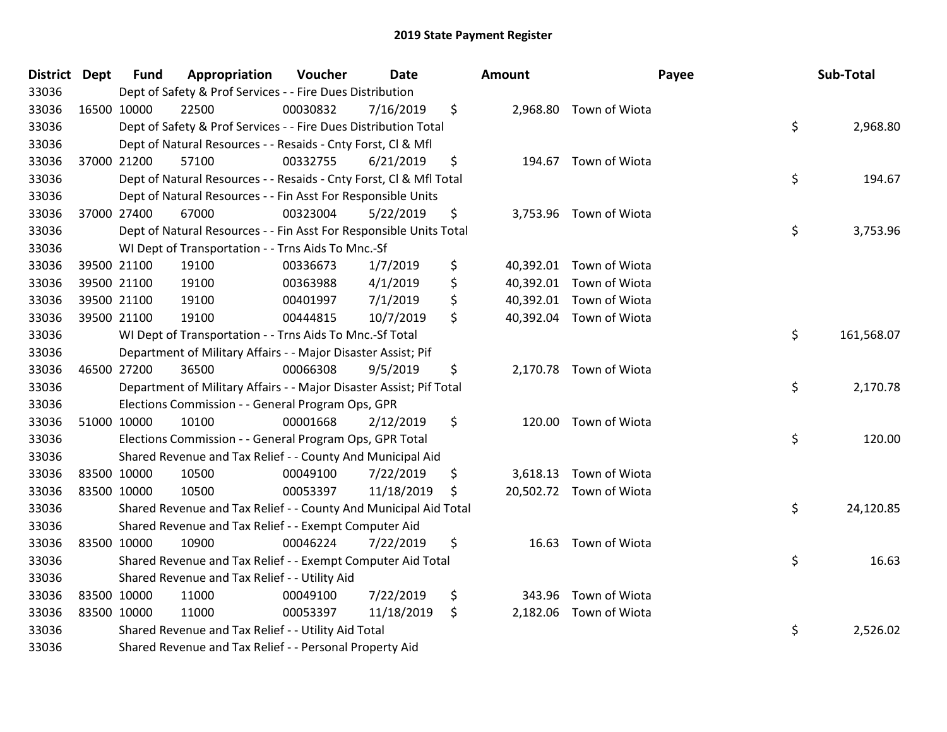| District Dept | <b>Fund</b> | Appropriation                                                       | Voucher  | Date       | <b>Amount</b> |                         | Payee | Sub-Total  |
|---------------|-------------|---------------------------------------------------------------------|----------|------------|---------------|-------------------------|-------|------------|
| 33036         |             | Dept of Safety & Prof Services - - Fire Dues Distribution           |          |            |               |                         |       |            |
| 33036         | 16500 10000 | 22500                                                               | 00030832 | 7/16/2019  | \$            | 2,968.80 Town of Wiota  |       |            |
| 33036         |             | Dept of Safety & Prof Services - - Fire Dues Distribution Total     |          |            |               |                         | \$    | 2,968.80   |
| 33036         |             | Dept of Natural Resources - - Resaids - Cnty Forst, CI & Mfl        |          |            |               |                         |       |            |
| 33036         | 37000 21200 | 57100                                                               | 00332755 | 6/21/2019  | \$            | 194.67 Town of Wiota    |       |            |
| 33036         |             | Dept of Natural Resources - - Resaids - Cnty Forst, Cl & Mfl Total  |          |            |               |                         | \$    | 194.67     |
| 33036         |             | Dept of Natural Resources - - Fin Asst For Responsible Units        |          |            |               |                         |       |            |
| 33036         | 37000 27400 | 67000                                                               | 00323004 | 5/22/2019  | \$            | 3,753.96 Town of Wiota  |       |            |
| 33036         |             | Dept of Natural Resources - - Fin Asst For Responsible Units Total  |          |            |               |                         | \$    | 3,753.96   |
| 33036         |             | WI Dept of Transportation - - Trns Aids To Mnc.-Sf                  |          |            |               |                         |       |            |
| 33036         | 39500 21100 | 19100                                                               | 00336673 | 1/7/2019   | \$            | 40,392.01 Town of Wiota |       |            |
| 33036         | 39500 21100 | 19100                                                               | 00363988 | 4/1/2019   | \$            | 40,392.01 Town of Wiota |       |            |
| 33036         | 39500 21100 | 19100                                                               | 00401997 | 7/1/2019   | \$            | 40,392.01 Town of Wiota |       |            |
| 33036         | 39500 21100 | 19100                                                               | 00444815 | 10/7/2019  | \$            | 40,392.04 Town of Wiota |       |            |
| 33036         |             | WI Dept of Transportation - - Trns Aids To Mnc.-Sf Total            |          |            |               |                         | \$    | 161,568.07 |
| 33036         |             | Department of Military Affairs - - Major Disaster Assist; Pif       |          |            |               |                         |       |            |
| 33036         | 46500 27200 | 36500                                                               | 00066308 | 9/5/2019   | \$            | 2,170.78 Town of Wiota  |       |            |
| 33036         |             | Department of Military Affairs - - Major Disaster Assist; Pif Total |          |            |               |                         | \$    | 2,170.78   |
| 33036         |             | Elections Commission - - General Program Ops, GPR                   |          |            |               |                         |       |            |
| 33036         | 51000 10000 | 10100                                                               | 00001668 | 2/12/2019  | \$            | 120.00 Town of Wiota    |       |            |
| 33036         |             | Elections Commission - - General Program Ops, GPR Total             |          |            |               |                         | \$    | 120.00     |
| 33036         |             | Shared Revenue and Tax Relief - - County And Municipal Aid          |          |            |               |                         |       |            |
| 33036         | 83500 10000 | 10500                                                               | 00049100 | 7/22/2019  | \$            | 3,618.13 Town of Wiota  |       |            |
| 33036         | 83500 10000 | 10500                                                               | 00053397 | 11/18/2019 | \$            | 20,502.72 Town of Wiota |       |            |
| 33036         |             | Shared Revenue and Tax Relief - - County And Municipal Aid Total    |          |            |               |                         | \$    | 24,120.85  |
| 33036         |             | Shared Revenue and Tax Relief - - Exempt Computer Aid               |          |            |               |                         |       |            |
| 33036         | 83500 10000 | 10900                                                               | 00046224 | 7/22/2019  | \$            | 16.63 Town of Wiota     |       |            |
| 33036         |             | Shared Revenue and Tax Relief - - Exempt Computer Aid Total         |          |            |               |                         | \$    | 16.63      |
| 33036         |             | Shared Revenue and Tax Relief - - Utility Aid                       |          |            |               |                         |       |            |
| 33036         | 83500 10000 | 11000                                                               | 00049100 | 7/22/2019  | \$            | 343.96 Town of Wiota    |       |            |
| 33036         | 83500 10000 | 11000                                                               | 00053397 | 11/18/2019 | \$            | 2,182.06 Town of Wiota  |       |            |
| 33036         |             | Shared Revenue and Tax Relief - - Utility Aid Total                 |          |            |               |                         | \$    | 2,526.02   |
| 33036         |             | Shared Revenue and Tax Relief - - Personal Property Aid             |          |            |               |                         |       |            |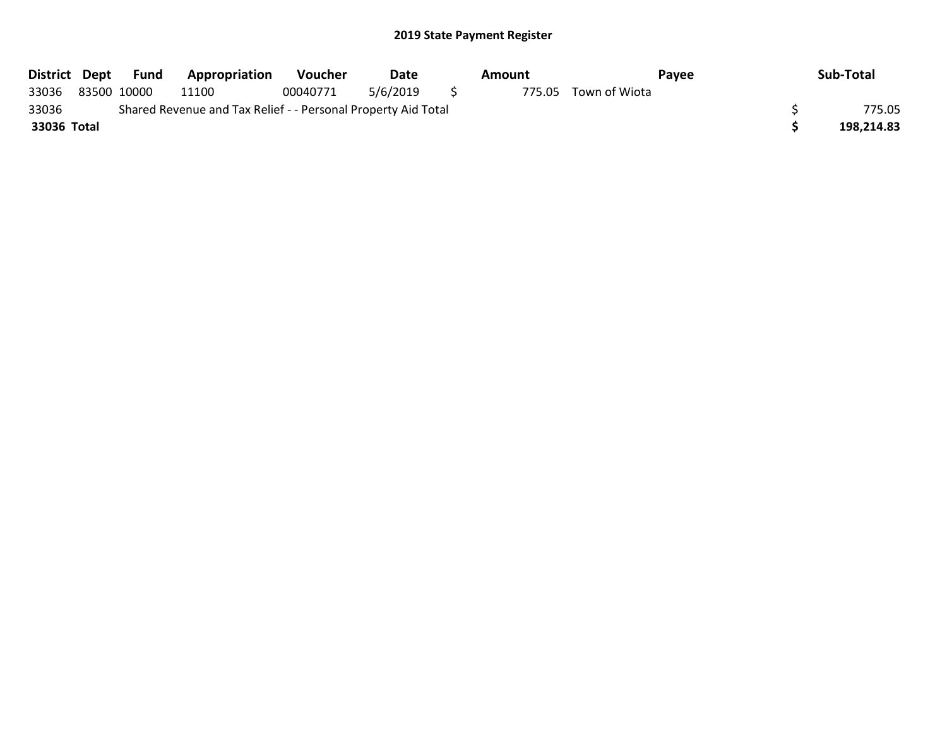|             | District Dept Fund | <b>Appropriation</b>                                          | <b>Voucher</b> | Date     |     | Amount |                      | Payee | Sub-Total  |
|-------------|--------------------|---------------------------------------------------------------|----------------|----------|-----|--------|----------------------|-------|------------|
| 33036       | 83500 10000        | 11100                                                         | 00040771       | 5/6/2019 | S S |        | 775.05 Town of Wiota |       |            |
| 33036       |                    | Shared Revenue and Tax Relief - - Personal Property Aid Total |                |          |     |        |                      |       | 775.05     |
| 33036 Total |                    |                                                               |                |          |     |        |                      |       | 198.214.83 |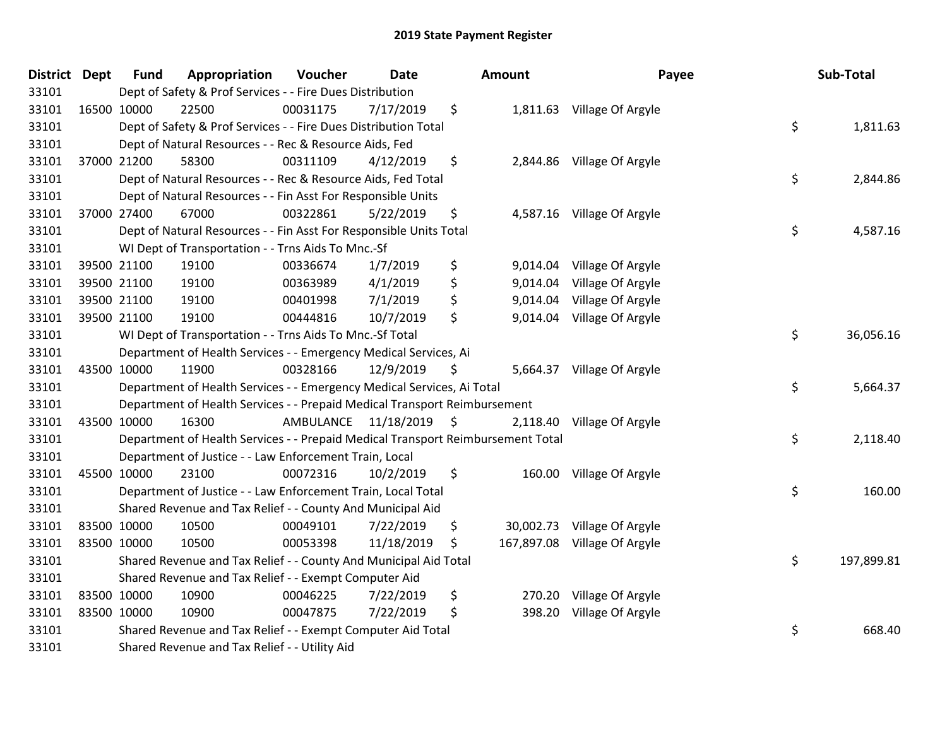| District Dept |             | <b>Fund</b> | Appropriation                                                                   | Voucher                 | <b>Date</b> | Amount          | Payee                        | Sub-Total        |
|---------------|-------------|-------------|---------------------------------------------------------------------------------|-------------------------|-------------|-----------------|------------------------------|------------------|
| 33101         |             |             | Dept of Safety & Prof Services - - Fire Dues Distribution                       |                         |             |                 |                              |                  |
| 33101         |             | 16500 10000 | 22500                                                                           | 00031175                | 7/17/2019   | \$              | 1,811.63 Village Of Argyle   |                  |
| 33101         |             |             | Dept of Safety & Prof Services - - Fire Dues Distribution Total                 |                         |             |                 |                              | \$<br>1,811.63   |
| 33101         |             |             | Dept of Natural Resources - - Rec & Resource Aids, Fed                          |                         |             |                 |                              |                  |
| 33101         |             | 37000 21200 | 58300                                                                           | 00311109                | 4/12/2019   | \$              | 2,844.86 Village Of Argyle   |                  |
| 33101         |             |             | Dept of Natural Resources - - Rec & Resource Aids, Fed Total                    |                         |             |                 |                              | \$<br>2,844.86   |
| 33101         |             |             | Dept of Natural Resources - - Fin Asst For Responsible Units                    |                         |             |                 |                              |                  |
| 33101         |             | 37000 27400 | 67000                                                                           | 00322861                | 5/22/2019   | \$              | 4,587.16 Village Of Argyle   |                  |
| 33101         |             |             | Dept of Natural Resources - - Fin Asst For Responsible Units Total              |                         |             |                 |                              | \$<br>4,587.16   |
| 33101         |             |             | WI Dept of Transportation - - Trns Aids To Mnc.-Sf                              |                         |             |                 |                              |                  |
| 33101         |             | 39500 21100 | 19100                                                                           | 00336674                | 1/7/2019    | \$<br>9,014.04  | Village Of Argyle            |                  |
| 33101         |             | 39500 21100 | 19100                                                                           | 00363989                | 4/1/2019    | \$<br>9,014.04  | Village Of Argyle            |                  |
| 33101         |             | 39500 21100 | 19100                                                                           | 00401998                | 7/1/2019    | \$<br>9,014.04  | Village Of Argyle            |                  |
| 33101         |             | 39500 21100 | 19100                                                                           | 00444816                | 10/7/2019   | \$<br>9,014.04  | Village Of Argyle            |                  |
| 33101         |             |             | WI Dept of Transportation - - Trns Aids To Mnc.-Sf Total                        |                         |             |                 |                              | \$<br>36,056.16  |
| 33101         |             |             | Department of Health Services - - Emergency Medical Services, Ai                |                         |             |                 |                              |                  |
| 33101         |             | 43500 10000 | 11900                                                                           | 00328166                | 12/9/2019   | \$              | 5,664.37 Village Of Argyle   |                  |
| 33101         |             |             | Department of Health Services - - Emergency Medical Services, Ai Total          |                         |             |                 |                              | \$<br>5,664.37   |
| 33101         |             |             | Department of Health Services - - Prepaid Medical Transport Reimbursement       |                         |             |                 |                              |                  |
| 33101         |             | 43500 10000 | 16300                                                                           | AMBULANCE 11/18/2019 \$ |             | 2,118.40        | Village Of Argyle            |                  |
| 33101         |             |             | Department of Health Services - - Prepaid Medical Transport Reimbursement Total |                         |             |                 |                              | \$<br>2,118.40   |
| 33101         |             |             | Department of Justice - - Law Enforcement Train, Local                          |                         |             |                 |                              |                  |
| 33101         |             | 45500 10000 | 23100                                                                           | 00072316                | 10/2/2019   | \$              | 160.00 Village Of Argyle     |                  |
| 33101         |             |             | Department of Justice - - Law Enforcement Train, Local Total                    |                         |             |                 |                              | \$<br>160.00     |
| 33101         |             |             | Shared Revenue and Tax Relief - - County And Municipal Aid                      |                         |             |                 |                              |                  |
| 33101         |             | 83500 10000 | 10500                                                                           | 00049101                | 7/22/2019   | \$<br>30,002.73 | Village Of Argyle            |                  |
| 33101         | 83500 10000 |             | 10500                                                                           | 00053398                | 11/18/2019  | \$              | 167,897.08 Village Of Argyle |                  |
| 33101         |             |             | Shared Revenue and Tax Relief - - County And Municipal Aid Total                |                         |             |                 |                              | \$<br>197,899.81 |
| 33101         |             |             | Shared Revenue and Tax Relief - - Exempt Computer Aid                           |                         |             |                 |                              |                  |
| 33101         |             | 83500 10000 | 10900                                                                           | 00046225                | 7/22/2019   | \$<br>270.20    | Village Of Argyle            |                  |
| 33101         |             | 83500 10000 | 10900                                                                           | 00047875                | 7/22/2019   | \$<br>398.20    | Village Of Argyle            |                  |
| 33101         |             |             | Shared Revenue and Tax Relief - - Exempt Computer Aid Total                     |                         |             |                 |                              | \$<br>668.40     |
| 33101         |             |             | Shared Revenue and Tax Relief - - Utility Aid                                   |                         |             |                 |                              |                  |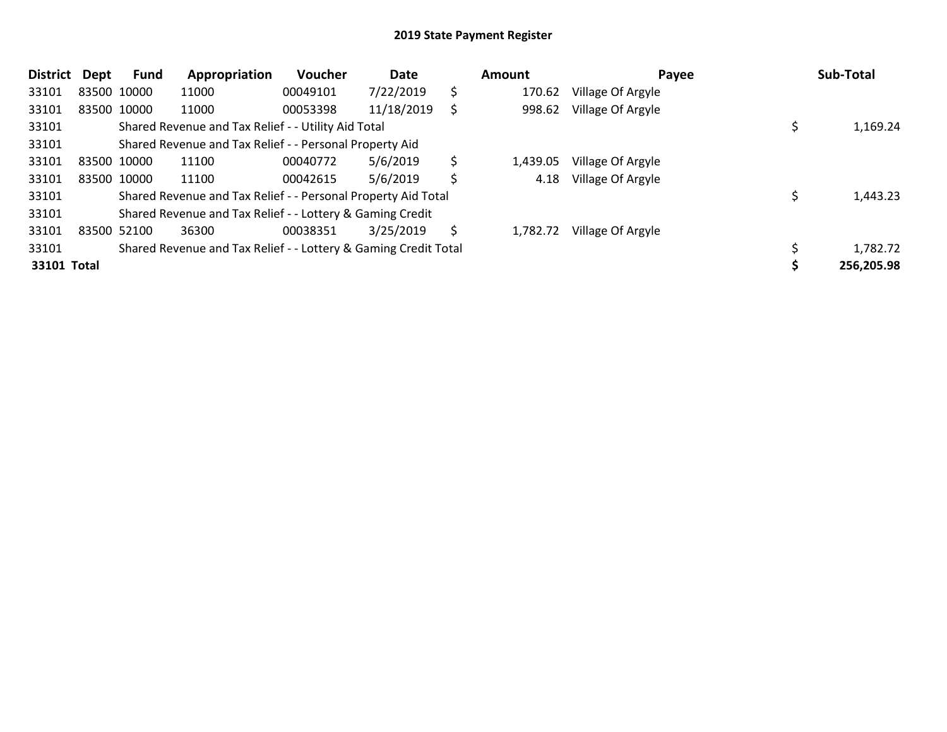| <b>District</b> | Dept | <b>Fund</b> | Appropriation                                                   | Voucher  | Date       | <b>Amount</b>  | Payee             | Sub-Total  |
|-----------------|------|-------------|-----------------------------------------------------------------|----------|------------|----------------|-------------------|------------|
| 33101           |      | 83500 10000 | 11000                                                           | 00049101 | 7/22/2019  | \$<br>170.62   | Village Of Argyle |            |
| 33101           |      | 83500 10000 | 11000                                                           | 00053398 | 11/18/2019 | \$<br>998.62   | Village Of Argyle |            |
| 33101           |      |             | Shared Revenue and Tax Relief - - Utility Aid Total             |          |            |                |                   | 1,169.24   |
| 33101           |      |             | Shared Revenue and Tax Relief - - Personal Property Aid         |          |            |                |                   |            |
| 33101           |      | 83500 10000 | 11100                                                           | 00040772 | 5/6/2019   | \$<br>1,439.05 | Village Of Argyle |            |
| 33101           |      | 83500 10000 | 11100                                                           | 00042615 | 5/6/2019   | \$<br>4.18     | Village Of Argyle |            |
| 33101           |      |             | Shared Revenue and Tax Relief - - Personal Property Aid Total   |          |            |                |                   | 1,443.23   |
| 33101           |      |             | Shared Revenue and Tax Relief - - Lottery & Gaming Credit       |          |            |                |                   |            |
| 33101           |      | 83500 52100 | 36300                                                           | 00038351 | 3/25/2019  | \$<br>1,782.72 | Village Of Argyle |            |
| 33101           |      |             | Shared Revenue and Tax Relief - - Lottery & Gaming Credit Total |          |            |                |                   | 1,782.72   |
| 33101 Total     |      |             |                                                                 |          |            |                |                   | 256,205.98 |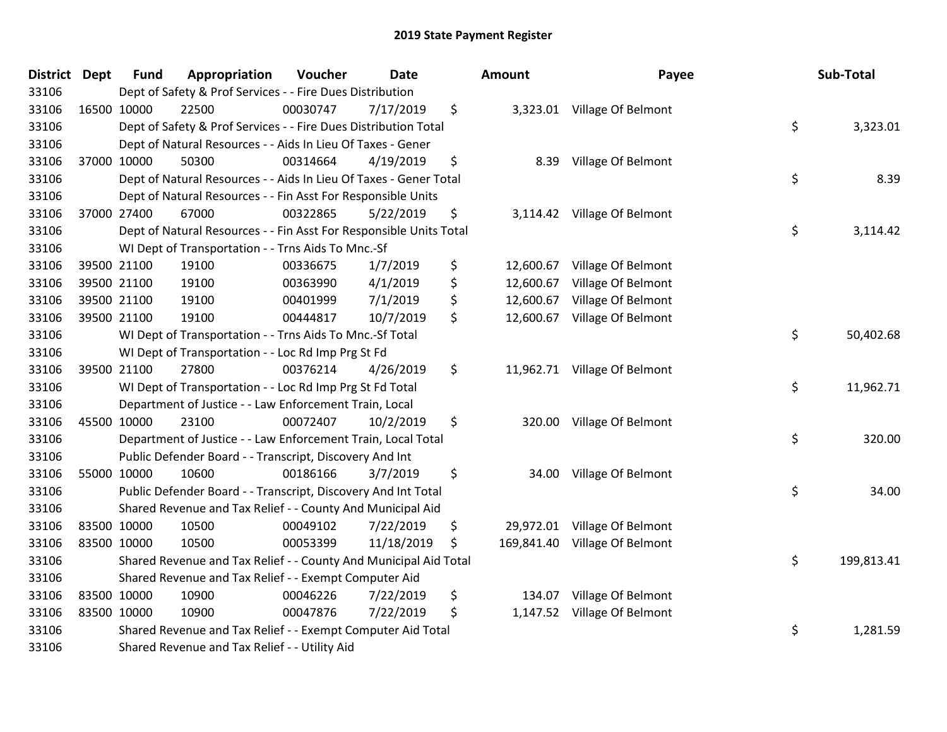| District Dept |             | <b>Fund</b> | Appropriation                                                      | Voucher  | <b>Date</b> | Amount           | Payee                        | Sub-Total        |
|---------------|-------------|-------------|--------------------------------------------------------------------|----------|-------------|------------------|------------------------------|------------------|
| 33106         |             |             | Dept of Safety & Prof Services - - Fire Dues Distribution          |          |             |                  |                              |                  |
| 33106         |             | 16500 10000 | 22500                                                              | 00030747 | 7/17/2019   | \$               | 3,323.01 Village Of Belmont  |                  |
| 33106         |             |             | Dept of Safety & Prof Services - - Fire Dues Distribution Total    |          |             |                  |                              | \$<br>3,323.01   |
| 33106         |             |             | Dept of Natural Resources - - Aids In Lieu Of Taxes - Gener        |          |             |                  |                              |                  |
| 33106         |             | 37000 10000 | 50300                                                              | 00314664 | 4/19/2019   | \$<br>8.39       | Village Of Belmont           |                  |
| 33106         |             |             | Dept of Natural Resources - - Aids In Lieu Of Taxes - Gener Total  |          |             |                  |                              | \$<br>8.39       |
| 33106         |             |             | Dept of Natural Resources - - Fin Asst For Responsible Units       |          |             |                  |                              |                  |
| 33106         |             | 37000 27400 | 67000                                                              | 00322865 | 5/22/2019   | \$               | 3,114.42 Village Of Belmont  |                  |
| 33106         |             |             | Dept of Natural Resources - - Fin Asst For Responsible Units Total |          |             |                  |                              | \$<br>3,114.42   |
| 33106         |             |             | WI Dept of Transportation - - Trns Aids To Mnc.-Sf                 |          |             |                  |                              |                  |
| 33106         |             | 39500 21100 | 19100                                                              | 00336675 | 1/7/2019    | \$<br>12,600.67  | Village Of Belmont           |                  |
| 33106         |             | 39500 21100 | 19100                                                              | 00363990 | 4/1/2019    | \$<br>12,600.67  | Village Of Belmont           |                  |
| 33106         |             | 39500 21100 | 19100                                                              | 00401999 | 7/1/2019    | \$<br>12,600.67  | Village Of Belmont           |                  |
| 33106         |             | 39500 21100 | 19100                                                              | 00444817 | 10/7/2019   | \$               | 12,600.67 Village Of Belmont |                  |
| 33106         |             |             | WI Dept of Transportation - - Trns Aids To Mnc.-Sf Total           |          |             |                  |                              | \$<br>50,402.68  |
| 33106         |             |             | WI Dept of Transportation - - Loc Rd Imp Prg St Fd                 |          |             |                  |                              |                  |
| 33106         |             | 39500 21100 | 27800                                                              | 00376214 | 4/26/2019   | \$               | 11,962.71 Village Of Belmont |                  |
| 33106         |             |             | WI Dept of Transportation - - Loc Rd Imp Prg St Fd Total           |          |             |                  |                              | \$<br>11,962.71  |
| 33106         |             |             | Department of Justice - - Law Enforcement Train, Local             |          |             |                  |                              |                  |
| 33106         | 45500 10000 |             | 23100                                                              | 00072407 | 10/2/2019   | \$               | 320.00 Village Of Belmont    |                  |
| 33106         |             |             | Department of Justice - - Law Enforcement Train, Local Total       |          |             |                  |                              | \$<br>320.00     |
| 33106         |             |             | Public Defender Board - - Transcript, Discovery And Int            |          |             |                  |                              |                  |
| 33106         |             | 55000 10000 | 10600                                                              | 00186166 | 3/7/2019    | \$               | 34.00 Village Of Belmont     |                  |
| 33106         |             |             | Public Defender Board - - Transcript, Discovery And Int Total      |          |             |                  |                              | \$<br>34.00      |
| 33106         |             |             | Shared Revenue and Tax Relief - - County And Municipal Aid         |          |             |                  |                              |                  |
| 33106         |             | 83500 10000 | 10500                                                              | 00049102 | 7/22/2019   | \$<br>29,972.01  | Village Of Belmont           |                  |
| 33106         | 83500 10000 |             | 10500                                                              | 00053399 | 11/18/2019  | \$<br>169,841.40 | Village Of Belmont           |                  |
| 33106         |             |             | Shared Revenue and Tax Relief - - County And Municipal Aid Total   |          |             |                  |                              | \$<br>199,813.41 |
| 33106         |             |             | Shared Revenue and Tax Relief - - Exempt Computer Aid              |          |             |                  |                              |                  |
| 33106         | 83500 10000 |             | 10900                                                              | 00046226 | 7/22/2019   | \$<br>134.07     | Village Of Belmont           |                  |
| 33106         | 83500 10000 |             | 10900                                                              | 00047876 | 7/22/2019   | \$               | 1,147.52 Village Of Belmont  |                  |
| 33106         |             |             | Shared Revenue and Tax Relief - - Exempt Computer Aid Total        |          |             |                  |                              | \$<br>1,281.59   |
| 33106         |             |             | Shared Revenue and Tax Relief - - Utility Aid                      |          |             |                  |                              |                  |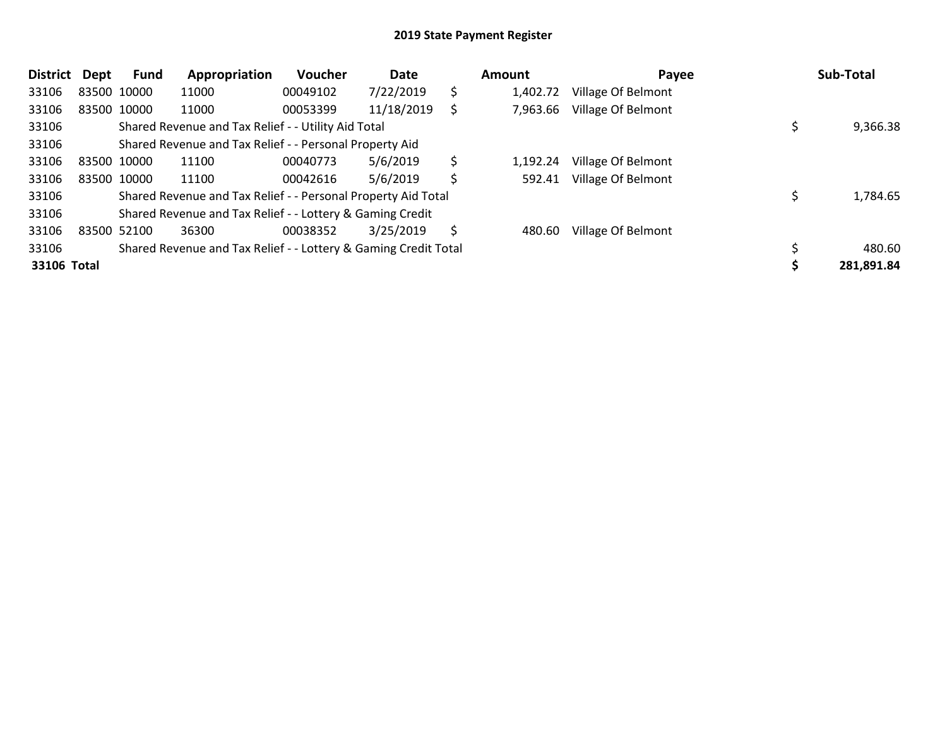| <b>District</b> | Dept | Fund        | Appropriation                                                   | Voucher  | Date       |    | <b>Amount</b> | Payee                     | Sub-Total  |
|-----------------|------|-------------|-----------------------------------------------------------------|----------|------------|----|---------------|---------------------------|------------|
| 33106           |      | 83500 10000 | 11000                                                           | 00049102 | 7/22/2019  | \$ | 1,402.72      | Village Of Belmont        |            |
| 33106           |      | 83500 10000 | 11000                                                           | 00053399 | 11/18/2019 | \$ | 7,963.66      | Village Of Belmont        |            |
| 33106           |      |             | Shared Revenue and Tax Relief - - Utility Aid Total             |          |            |    |               |                           | 9,366.38   |
| 33106           |      |             | Shared Revenue and Tax Relief - - Personal Property Aid         |          |            |    |               |                           |            |
| 33106           |      | 83500 10000 | 11100                                                           | 00040773 | 5/6/2019   | \$ | 1,192.24      | Village Of Belmont        |            |
| 33106           |      | 83500 10000 | 11100                                                           | 00042616 | 5/6/2019   | \$ | 592.41        | Village Of Belmont        |            |
| 33106           |      |             | Shared Revenue and Tax Relief - - Personal Property Aid Total   |          |            |    |               |                           | 1,784.65   |
| 33106           |      |             | Shared Revenue and Tax Relief - - Lottery & Gaming Credit       |          |            |    |               |                           |            |
| 33106           |      | 83500 52100 | 36300                                                           | 00038352 | 3/25/2019  | S  | 480.60        | <b>Village Of Belmont</b> |            |
| 33106           |      |             | Shared Revenue and Tax Relief - - Lottery & Gaming Credit Total |          |            |    |               |                           | 480.60     |
| 33106 Total     |      |             |                                                                 |          |            |    |               |                           | 281,891.84 |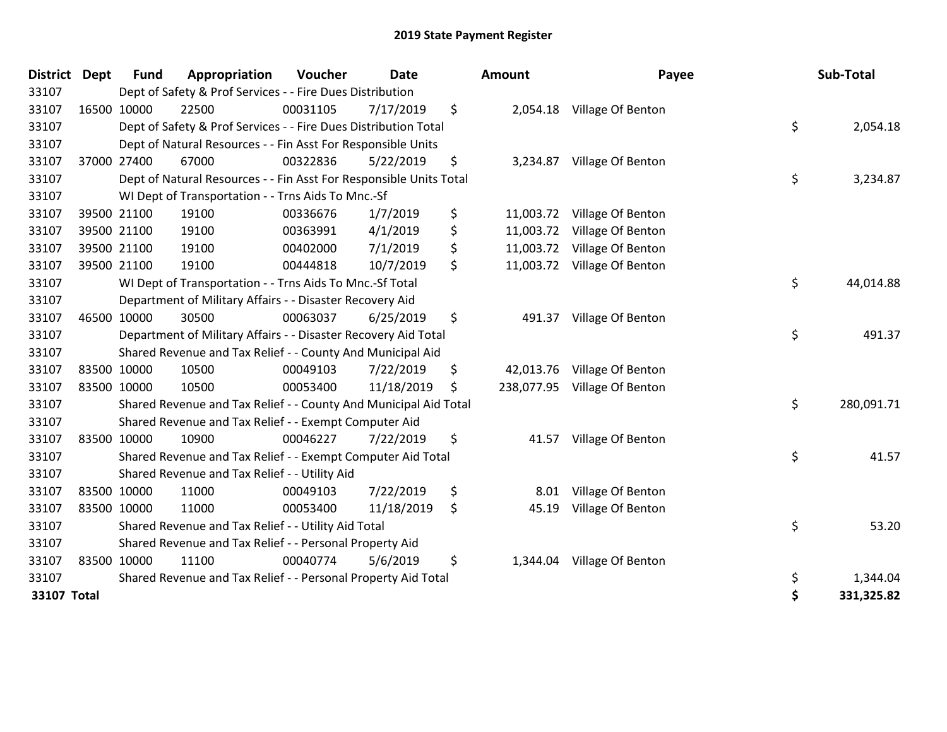| District Dept | <b>Fund</b> | Appropriation                                                      | <b>Voucher</b> | Date       | <b>Amount</b>    | Payee             | Sub-Total        |
|---------------|-------------|--------------------------------------------------------------------|----------------|------------|------------------|-------------------|------------------|
| 33107         |             | Dept of Safety & Prof Services - - Fire Dues Distribution          |                |            |                  |                   |                  |
| 33107         | 16500 10000 | 22500                                                              | 00031105       | 7/17/2019  | \$<br>2,054.18   | Village Of Benton |                  |
| 33107         |             | Dept of Safety & Prof Services - - Fire Dues Distribution Total    |                |            |                  |                   | \$<br>2,054.18   |
| 33107         |             | Dept of Natural Resources - - Fin Asst For Responsible Units       |                |            |                  |                   |                  |
| 33107         | 37000 27400 | 67000                                                              | 00322836       | 5/22/2019  | \$<br>3,234.87   | Village Of Benton |                  |
| 33107         |             | Dept of Natural Resources - - Fin Asst For Responsible Units Total |                |            |                  |                   | \$<br>3,234.87   |
| 33107         |             | WI Dept of Transportation - - Trns Aids To Mnc.-Sf                 |                |            |                  |                   |                  |
| 33107         | 39500 21100 | 19100                                                              | 00336676       | 1/7/2019   | \$<br>11,003.72  | Village Of Benton |                  |
| 33107         | 39500 21100 | 19100                                                              | 00363991       | 4/1/2019   | \$<br>11,003.72  | Village Of Benton |                  |
| 33107         | 39500 21100 | 19100                                                              | 00402000       | 7/1/2019   | \$<br>11,003.72  | Village Of Benton |                  |
| 33107         | 39500 21100 | 19100                                                              | 00444818       | 10/7/2019  | \$<br>11,003.72  | Village Of Benton |                  |
| 33107         |             | WI Dept of Transportation - - Trns Aids To Mnc.-Sf Total           |                |            |                  |                   | \$<br>44,014.88  |
| 33107         |             | Department of Military Affairs - - Disaster Recovery Aid           |                |            |                  |                   |                  |
| 33107         | 46500 10000 | 30500                                                              | 00063037       | 6/25/2019  | \$<br>491.37     | Village Of Benton |                  |
| 33107         |             | Department of Military Affairs - - Disaster Recovery Aid Total     |                |            |                  |                   | \$<br>491.37     |
| 33107         |             | Shared Revenue and Tax Relief - - County And Municipal Aid         |                |            |                  |                   |                  |
| 33107         | 83500 10000 | 10500                                                              | 00049103       | 7/22/2019  | \$<br>42,013.76  | Village Of Benton |                  |
| 33107         | 83500 10000 | 10500                                                              | 00053400       | 11/18/2019 | \$<br>238,077.95 | Village Of Benton |                  |
| 33107         |             | Shared Revenue and Tax Relief - - County And Municipal Aid Total   |                |            |                  |                   | \$<br>280,091.71 |
| 33107         |             | Shared Revenue and Tax Relief - - Exempt Computer Aid              |                |            |                  |                   |                  |
| 33107         | 83500 10000 | 10900                                                              | 00046227       | 7/22/2019  | \$<br>41.57      | Village Of Benton |                  |
| 33107         |             | Shared Revenue and Tax Relief - - Exempt Computer Aid Total        |                |            |                  |                   | \$<br>41.57      |
| 33107         |             | Shared Revenue and Tax Relief - - Utility Aid                      |                |            |                  |                   |                  |
| 33107         | 83500 10000 | 11000                                                              | 00049103       | 7/22/2019  | \$<br>8.01       | Village Of Benton |                  |
| 33107         | 83500 10000 | 11000                                                              | 00053400       | 11/18/2019 | \$<br>45.19      | Village Of Benton |                  |
| 33107         |             | Shared Revenue and Tax Relief - - Utility Aid Total                |                |            |                  |                   | \$<br>53.20      |
| 33107         |             | Shared Revenue and Tax Relief - - Personal Property Aid            |                |            |                  |                   |                  |
| 33107         | 83500 10000 | 11100                                                              | 00040774       | 5/6/2019   | \$<br>1,344.04   | Village Of Benton |                  |
| 33107         |             | Shared Revenue and Tax Relief - - Personal Property Aid Total      |                |            |                  |                   | \$<br>1,344.04   |
| 33107 Total   |             |                                                                    |                |            |                  |                   | \$<br>331,325.82 |
|               |             |                                                                    |                |            |                  |                   |                  |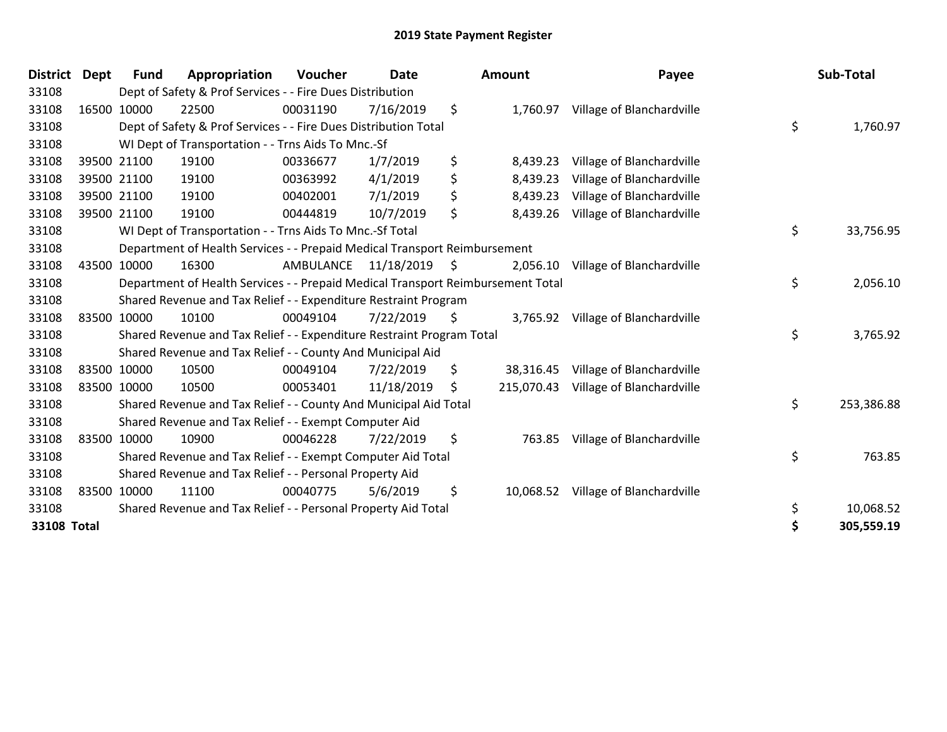| <b>District</b> | <b>Dept</b> | Fund        | Appropriation                                                                   | Voucher   | <b>Date</b>     |                     | Amount     | Payee                              | Sub-Total        |
|-----------------|-------------|-------------|---------------------------------------------------------------------------------|-----------|-----------------|---------------------|------------|------------------------------------|------------------|
| 33108           |             |             | Dept of Safety & Prof Services - - Fire Dues Distribution                       |           |                 |                     |            |                                    |                  |
| 33108           |             | 16500 10000 | 22500                                                                           | 00031190  | 7/16/2019       | \$                  |            | 1,760.97 Village of Blanchardville |                  |
| 33108           |             |             | Dept of Safety & Prof Services - - Fire Dues Distribution Total                 |           |                 |                     |            |                                    | \$<br>1,760.97   |
| 33108           |             |             | WI Dept of Transportation - - Trns Aids To Mnc.-Sf                              |           |                 |                     |            |                                    |                  |
| 33108           |             | 39500 21100 | 19100                                                                           | 00336677  | 1/7/2019        | \$                  | 8,439.23   | Village of Blanchardville          |                  |
| 33108           |             | 39500 21100 | 19100                                                                           | 00363992  | 4/1/2019        | \$                  | 8,439.23   | Village of Blanchardville          |                  |
| 33108           |             | 39500 21100 | 19100                                                                           | 00402001  | 7/1/2019        | \$                  | 8,439.23   | Village of Blanchardville          |                  |
| 33108           |             | 39500 21100 | 19100                                                                           | 00444819  | 10/7/2019       | \$                  | 8,439.26   | Village of Blanchardville          |                  |
| 33108           |             |             | WI Dept of Transportation - - Trns Aids To Mnc.-Sf Total                        |           |                 |                     |            |                                    | \$<br>33,756.95  |
| 33108           |             |             | Department of Health Services - - Prepaid Medical Transport Reimbursement       |           |                 |                     |            |                                    |                  |
| 33108           |             | 43500 10000 | 16300                                                                           | AMBULANCE | $11/18/2019$ \$ |                     | 2,056.10   | Village of Blanchardville          |                  |
| 33108           |             |             | Department of Health Services - - Prepaid Medical Transport Reimbursement Total |           |                 |                     |            |                                    | \$<br>2,056.10   |
| 33108           |             |             | Shared Revenue and Tax Relief - - Expenditure Restraint Program                 |           |                 |                     |            |                                    |                  |
| 33108           |             | 83500 10000 | 10100                                                                           | 00049104  | 7/22/2019       | $\ddot{\mathsf{s}}$ | 3,765.92   | Village of Blanchardville          |                  |
| 33108           |             |             | Shared Revenue and Tax Relief - - Expenditure Restraint Program Total           |           |                 |                     |            |                                    | \$<br>3,765.92   |
| 33108           |             |             | Shared Revenue and Tax Relief - - County And Municipal Aid                      |           |                 |                     |            |                                    |                  |
| 33108           |             | 83500 10000 | 10500                                                                           | 00049104  | 7/22/2019       | \$                  | 38,316.45  | Village of Blanchardville          |                  |
| 33108           |             | 83500 10000 | 10500                                                                           | 00053401  | 11/18/2019      | \$                  | 215,070.43 | Village of Blanchardville          |                  |
| 33108           |             |             | Shared Revenue and Tax Relief - - County And Municipal Aid Total                |           |                 |                     |            |                                    | \$<br>253,386.88 |
| 33108           |             |             | Shared Revenue and Tax Relief - - Exempt Computer Aid                           |           |                 |                     |            |                                    |                  |
| 33108           |             | 83500 10000 | 10900                                                                           | 00046228  | 7/22/2019       | \$                  | 763.85     | Village of Blanchardville          |                  |
| 33108           |             |             | Shared Revenue and Tax Relief - - Exempt Computer Aid Total                     |           |                 |                     |            |                                    | \$<br>763.85     |
| 33108           |             |             | Shared Revenue and Tax Relief - - Personal Property Aid                         |           |                 |                     |            |                                    |                  |
| 33108           |             | 83500 10000 | 11100                                                                           | 00040775  | 5/6/2019        | \$                  | 10,068.52  | Village of Blanchardville          |                  |
| 33108           |             |             | Shared Revenue and Tax Relief - - Personal Property Aid Total                   |           |                 |                     |            |                                    | \$<br>10,068.52  |
| 33108 Total     |             |             |                                                                                 |           |                 |                     |            |                                    | \$<br>305,559.19 |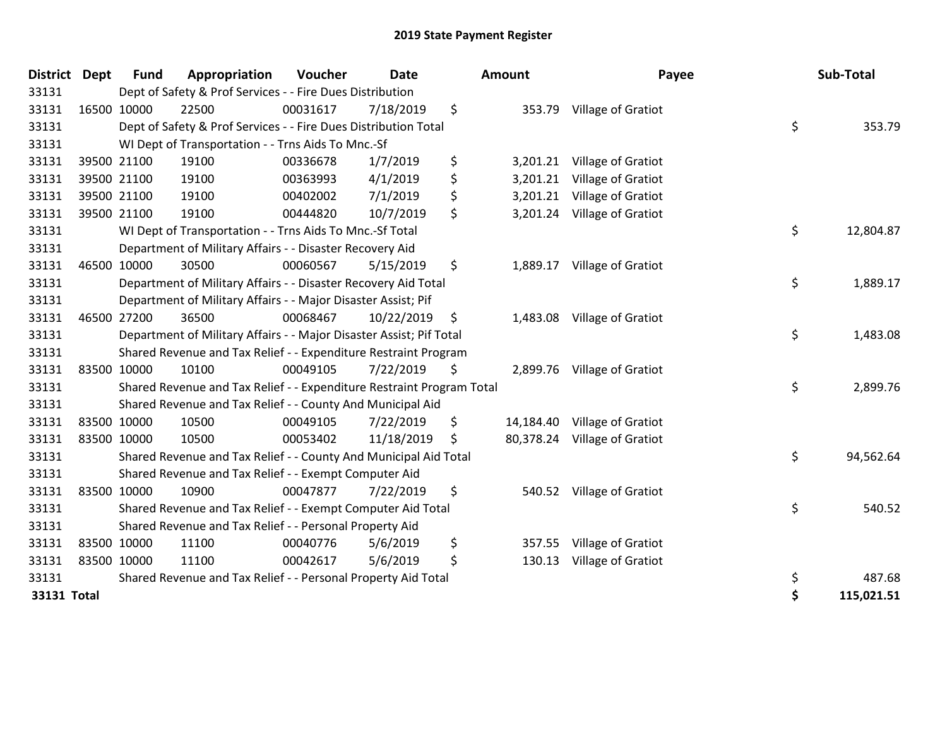| <b>District Dept</b> |             | <b>Fund</b> | Appropriation                                                         | Voucher  | <b>Date</b> | <b>Amount</b>   | Payee                        | Sub-Total        |
|----------------------|-------------|-------------|-----------------------------------------------------------------------|----------|-------------|-----------------|------------------------------|------------------|
| 33131                |             |             | Dept of Safety & Prof Services - - Fire Dues Distribution             |          |             |                 |                              |                  |
| 33131                |             | 16500 10000 | 22500                                                                 | 00031617 | 7/18/2019   | \$<br>353.79    | Village of Gratiot           |                  |
| 33131                |             |             | Dept of Safety & Prof Services - - Fire Dues Distribution Total       |          |             |                 |                              | \$<br>353.79     |
| 33131                |             |             | WI Dept of Transportation - - Trns Aids To Mnc.-Sf                    |          |             |                 |                              |                  |
| 33131                |             | 39500 21100 | 19100                                                                 | 00336678 | 1/7/2019    | \$<br>3,201.21  | Village of Gratiot           |                  |
| 33131                |             | 39500 21100 | 19100                                                                 | 00363993 | 4/1/2019    | \$<br>3,201.21  | Village of Gratiot           |                  |
| 33131                |             | 39500 21100 | 19100                                                                 | 00402002 | 7/1/2019    | \$<br>3,201.21  | Village of Gratiot           |                  |
| 33131                |             | 39500 21100 | 19100                                                                 | 00444820 | 10/7/2019   | \$<br>3,201.24  | Village of Gratiot           |                  |
| 33131                |             |             | WI Dept of Transportation - - Trns Aids To Mnc.-Sf Total              |          |             |                 |                              | \$<br>12,804.87  |
| 33131                |             |             | Department of Military Affairs - - Disaster Recovery Aid              |          |             |                 |                              |                  |
| 33131                |             | 46500 10000 | 30500                                                                 | 00060567 | 5/15/2019   | \$              | 1,889.17 Village of Gratiot  |                  |
| 33131                |             |             | Department of Military Affairs - - Disaster Recovery Aid Total        |          |             |                 |                              | \$<br>1,889.17   |
| 33131                |             |             | Department of Military Affairs - - Major Disaster Assist; Pif         |          |             |                 |                              |                  |
| 33131                |             | 46500 27200 | 36500                                                                 | 00068467 | 10/22/2019  | \$              | 1,483.08 Village of Gratiot  |                  |
| 33131                |             |             | Department of Military Affairs - - Major Disaster Assist; Pif Total   |          |             |                 |                              | \$<br>1,483.08   |
| 33131                |             |             | Shared Revenue and Tax Relief - - Expenditure Restraint Program       |          |             |                 |                              |                  |
| 33131                |             | 83500 10000 | 10100                                                                 | 00049105 | 7/22/2019   | \$<br>2,899.76  | Village of Gratiot           |                  |
| 33131                |             |             | Shared Revenue and Tax Relief - - Expenditure Restraint Program Total |          |             |                 |                              | \$<br>2,899.76   |
| 33131                |             |             | Shared Revenue and Tax Relief - - County And Municipal Aid            |          |             |                 |                              |                  |
| 33131                |             | 83500 10000 | 10500                                                                 | 00049105 | 7/22/2019   | \$<br>14,184.40 | Village of Gratiot           |                  |
| 33131                |             | 83500 10000 | 10500                                                                 | 00053402 | 11/18/2019  | \$              | 80,378.24 Village of Gratiot |                  |
| 33131                |             |             | Shared Revenue and Tax Relief - - County And Municipal Aid Total      |          |             |                 |                              | \$<br>94,562.64  |
| 33131                |             |             | Shared Revenue and Tax Relief - - Exempt Computer Aid                 |          |             |                 |                              |                  |
| 33131                |             | 83500 10000 | 10900                                                                 | 00047877 | 7/22/2019   | \$<br>540.52    | Village of Gratiot           |                  |
| 33131                |             |             | Shared Revenue and Tax Relief - - Exempt Computer Aid Total           |          |             |                 |                              | \$<br>540.52     |
| 33131                |             |             | Shared Revenue and Tax Relief - - Personal Property Aid               |          |             |                 |                              |                  |
| 33131                |             | 83500 10000 | 11100                                                                 | 00040776 | 5/6/2019    | \$<br>357.55    | Village of Gratiot           |                  |
| 33131                | 83500 10000 |             | 11100                                                                 | 00042617 | 5/6/2019    | \$<br>130.13    | Village of Gratiot           |                  |
| 33131                |             |             | Shared Revenue and Tax Relief - - Personal Property Aid Total         |          |             |                 |                              | \$<br>487.68     |
| 33131 Total          |             |             |                                                                       |          |             |                 |                              | \$<br>115,021.51 |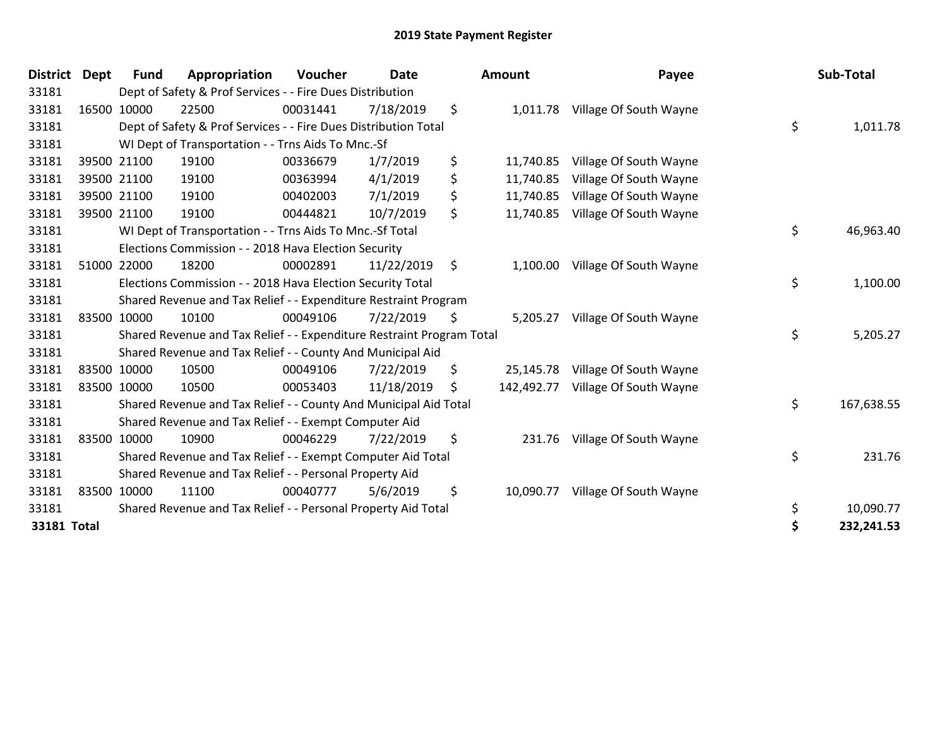| <b>District</b> | <b>Dept</b> | <b>Fund</b> | Appropriation                                                         | Voucher  | <b>Date</b> | <b>Amount</b>    | Payee                  | Sub-Total        |
|-----------------|-------------|-------------|-----------------------------------------------------------------------|----------|-------------|------------------|------------------------|------------------|
| 33181           |             |             | Dept of Safety & Prof Services - - Fire Dues Distribution             |          |             |                  |                        |                  |
| 33181           |             | 16500 10000 | 22500                                                                 | 00031441 | 7/18/2019   | \$<br>1,011.78   | Village Of South Wayne |                  |
| 33181           |             |             | Dept of Safety & Prof Services - - Fire Dues Distribution Total       |          |             |                  |                        | \$<br>1,011.78   |
| 33181           |             |             | WI Dept of Transportation - - Trns Aids To Mnc.-Sf                    |          |             |                  |                        |                  |
| 33181           |             | 39500 21100 | 19100                                                                 | 00336679 | 1/7/2019    | \$<br>11,740.85  | Village Of South Wayne |                  |
| 33181           |             | 39500 21100 | 19100                                                                 | 00363994 | 4/1/2019    | \$<br>11,740.85  | Village Of South Wayne |                  |
| 33181           |             | 39500 21100 | 19100                                                                 | 00402003 | 7/1/2019    | \$<br>11,740.85  | Village Of South Wayne |                  |
| 33181           |             | 39500 21100 | 19100                                                                 | 00444821 | 10/7/2019   | \$<br>11,740.85  | Village Of South Wayne |                  |
| 33181           |             |             | WI Dept of Transportation - - Trns Aids To Mnc.-Sf Total              |          |             |                  |                        | \$<br>46,963.40  |
| 33181           |             |             | Elections Commission - - 2018 Hava Election Security                  |          |             |                  |                        |                  |
| 33181           |             | 51000 22000 | 18200                                                                 | 00002891 | 11/22/2019  | \$<br>1,100.00   | Village Of South Wayne |                  |
| 33181           |             |             | Elections Commission - - 2018 Hava Election Security Total            |          |             |                  |                        | \$<br>1,100.00   |
| 33181           |             |             | Shared Revenue and Tax Relief - - Expenditure Restraint Program       |          |             |                  |                        |                  |
| 33181           |             | 83500 10000 | 10100                                                                 | 00049106 | 7/22/2019   | \$<br>5,205.27   | Village Of South Wayne |                  |
| 33181           |             |             | Shared Revenue and Tax Relief - - Expenditure Restraint Program Total |          |             |                  |                        | \$<br>5,205.27   |
| 33181           |             |             | Shared Revenue and Tax Relief - - County And Municipal Aid            |          |             |                  |                        |                  |
| 33181           |             | 83500 10000 | 10500                                                                 | 00049106 | 7/22/2019   | \$<br>25,145.78  | Village Of South Wayne |                  |
| 33181           |             | 83500 10000 | 10500                                                                 | 00053403 | 11/18/2019  | \$<br>142,492.77 | Village Of South Wayne |                  |
| 33181           |             |             | Shared Revenue and Tax Relief - - County And Municipal Aid Total      |          |             |                  |                        | \$<br>167,638.55 |
| 33181           |             |             | Shared Revenue and Tax Relief - - Exempt Computer Aid                 |          |             |                  |                        |                  |
| 33181           |             | 83500 10000 | 10900                                                                 | 00046229 | 7/22/2019   | \$<br>231.76     | Village Of South Wayne |                  |
| 33181           |             |             | Shared Revenue and Tax Relief - - Exempt Computer Aid Total           |          |             |                  |                        | \$<br>231.76     |
| 33181           |             |             | Shared Revenue and Tax Relief - - Personal Property Aid               |          |             |                  |                        |                  |
| 33181           |             | 83500 10000 | 11100                                                                 | 00040777 | 5/6/2019    | \$<br>10,090.77  | Village Of South Wayne |                  |
| 33181           |             |             | Shared Revenue and Tax Relief - - Personal Property Aid Total         |          |             |                  |                        | \$<br>10,090.77  |
| 33181 Total     |             |             |                                                                       |          |             |                  |                        | \$<br>232,241.53 |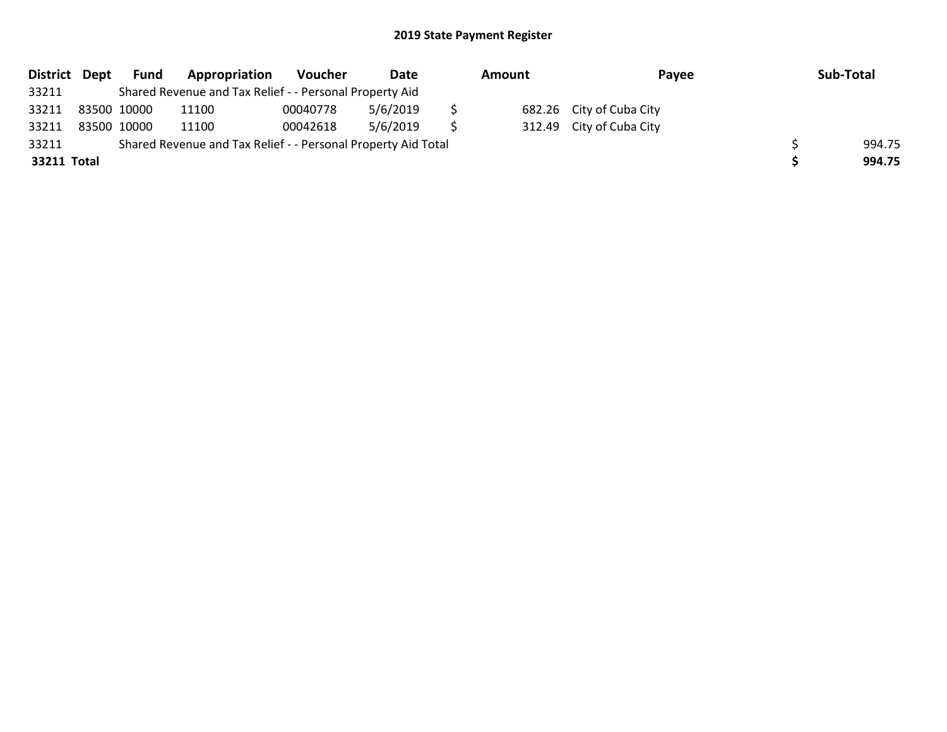|             | District Dept | Fund | Appropriation                                                 | Voucher  | Date     | Amount |  | Pavee                    | Sub-Total |
|-------------|---------------|------|---------------------------------------------------------------|----------|----------|--------|--|--------------------------|-----------|
| 33211       |               |      | Shared Revenue and Tax Relief - - Personal Property Aid       |          |          |        |  |                          |           |
| 33211       | 83500 10000   |      | 11100                                                         | 00040778 | 5/6/2019 |        |  | 682.26 City of Cuba City |           |
| 33211       | 83500 10000   |      | 11100                                                         | 00042618 | 5/6/2019 |        |  | 312.49 City of Cuba City |           |
| 33211       |               |      | Shared Revenue and Tax Relief - - Personal Property Aid Total |          |          |        |  |                          | 994.75    |
| 33211 Total |               |      |                                                               |          |          |        |  |                          | 994.75    |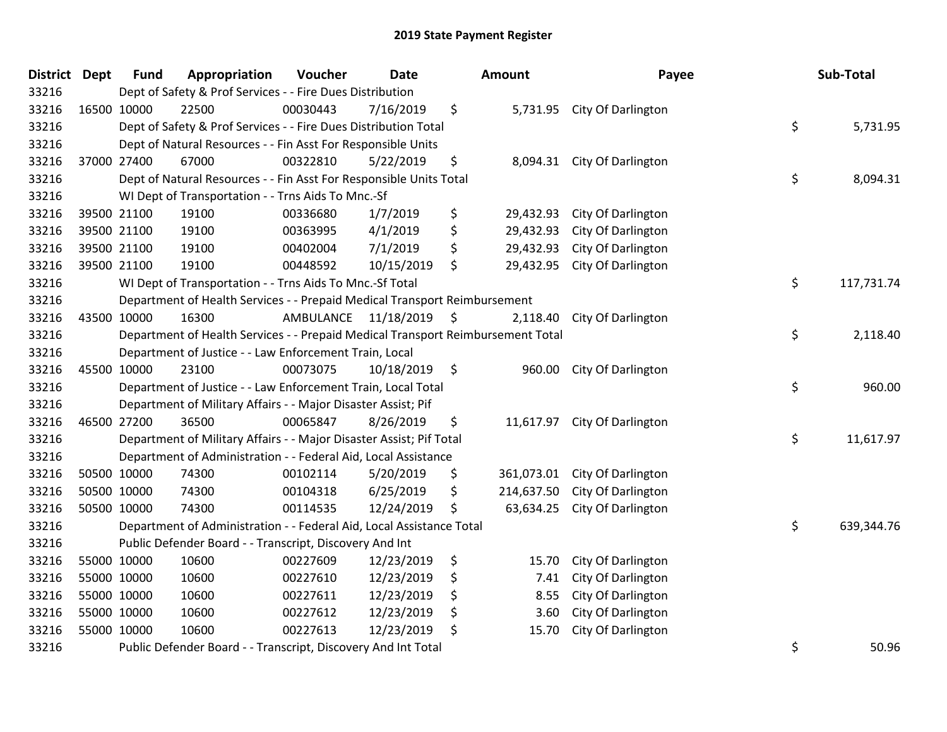| District Dept |             | <b>Fund</b> | Appropriation                                                                   | Voucher   | <b>Date</b>   |    | <b>Amount</b> | Payee                         |    | Sub-Total  |
|---------------|-------------|-------------|---------------------------------------------------------------------------------|-----------|---------------|----|---------------|-------------------------------|----|------------|
| 33216         |             |             | Dept of Safety & Prof Services - - Fire Dues Distribution                       |           |               |    |               |                               |    |            |
| 33216         | 16500 10000 |             | 22500                                                                           | 00030443  | 7/16/2019     | \$ |               | 5,731.95 City Of Darlington   |    |            |
| 33216         |             |             | Dept of Safety & Prof Services - - Fire Dues Distribution Total                 |           |               |    |               |                               | \$ | 5,731.95   |
| 33216         |             |             | Dept of Natural Resources - - Fin Asst For Responsible Units                    |           |               |    |               |                               |    |            |
| 33216         |             | 37000 27400 | 67000                                                                           | 00322810  | 5/22/2019     | \$ | 8,094.31      | City Of Darlington            |    |            |
| 33216         |             |             | Dept of Natural Resources - - Fin Asst For Responsible Units Total              |           |               |    |               |                               | \$ | 8,094.31   |
| 33216         |             |             | WI Dept of Transportation - - Trns Aids To Mnc.-Sf                              |           |               |    |               |                               |    |            |
| 33216         |             | 39500 21100 | 19100                                                                           | 00336680  | 1/7/2019      | \$ | 29,432.93     | City Of Darlington            |    |            |
| 33216         |             | 39500 21100 | 19100                                                                           | 00363995  | 4/1/2019      | \$ | 29,432.93     | City Of Darlington            |    |            |
| 33216         |             | 39500 21100 | 19100                                                                           | 00402004  | 7/1/2019      | \$ | 29,432.93     | City Of Darlington            |    |            |
| 33216         |             | 39500 21100 | 19100                                                                           | 00448592  | 10/15/2019    | \$ | 29,432.95     | City Of Darlington            |    |            |
| 33216         |             |             | WI Dept of Transportation - - Trns Aids To Mnc.-Sf Total                        |           |               |    |               |                               | \$ | 117,731.74 |
| 33216         |             |             | Department of Health Services - - Prepaid Medical Transport Reimbursement       |           |               |    |               |                               |    |            |
| 33216         | 43500 10000 |             | 16300                                                                           | AMBULANCE | 11/18/2019 \$ |    | 2,118.40      | City Of Darlington            |    |            |
| 33216         |             |             | Department of Health Services - - Prepaid Medical Transport Reimbursement Total |           |               |    |               |                               | \$ | 2,118.40   |
| 33216         |             |             | Department of Justice - - Law Enforcement Train, Local                          |           |               |    |               |                               |    |            |
| 33216         | 45500 10000 |             | 23100                                                                           | 00073075  | 10/18/2019    | \$ | 960.00        | City Of Darlington            |    |            |
| 33216         |             |             | Department of Justice - - Law Enforcement Train, Local Total                    |           |               |    |               |                               | \$ | 960.00     |
| 33216         |             |             | Department of Military Affairs - - Major Disaster Assist; Pif                   |           |               |    |               |                               |    |            |
| 33216         | 46500 27200 |             | 36500                                                                           | 00065847  | 8/26/2019     | \$ |               | 11,617.97 City Of Darlington  |    |            |
| 33216         |             |             | Department of Military Affairs - - Major Disaster Assist; Pif Total             |           |               |    |               |                               | \$ | 11,617.97  |
| 33216         |             |             | Department of Administration - - Federal Aid, Local Assistance                  |           |               |    |               |                               |    |            |
| 33216         | 50500 10000 |             | 74300                                                                           | 00102114  | 5/20/2019     | \$ |               | 361,073.01 City Of Darlington |    |            |
| 33216         | 50500 10000 |             | 74300                                                                           | 00104318  | 6/25/2019     | \$ | 214,637.50    | City Of Darlington            |    |            |
| 33216         |             | 50500 10000 | 74300                                                                           | 00114535  | 12/24/2019    | \$ | 63,634.25     | City Of Darlington            |    |            |
| 33216         |             |             | Department of Administration - - Federal Aid, Local Assistance Total            |           |               |    |               |                               | \$ | 639,344.76 |
| 33216         |             |             | Public Defender Board - - Transcript, Discovery And Int                         |           |               |    |               |                               |    |            |
| 33216         | 55000 10000 |             | 10600                                                                           | 00227609  | 12/23/2019    | \$ | 15.70         | City Of Darlington            |    |            |
| 33216         | 55000 10000 |             | 10600                                                                           | 00227610  | 12/23/2019    | \$ | 7.41          | City Of Darlington            |    |            |
| 33216         | 55000 10000 |             | 10600                                                                           | 00227611  | 12/23/2019    | \$ | 8.55          | City Of Darlington            |    |            |
| 33216         |             | 55000 10000 | 10600                                                                           | 00227612  | 12/23/2019    | \$ | 3.60          | City Of Darlington            |    |            |
| 33216         |             | 55000 10000 | 10600                                                                           | 00227613  | 12/23/2019    | \$ | 15.70         | City Of Darlington            |    |            |
| 33216         |             |             | Public Defender Board - - Transcript, Discovery And Int Total                   |           |               |    |               |                               | \$ | 50.96      |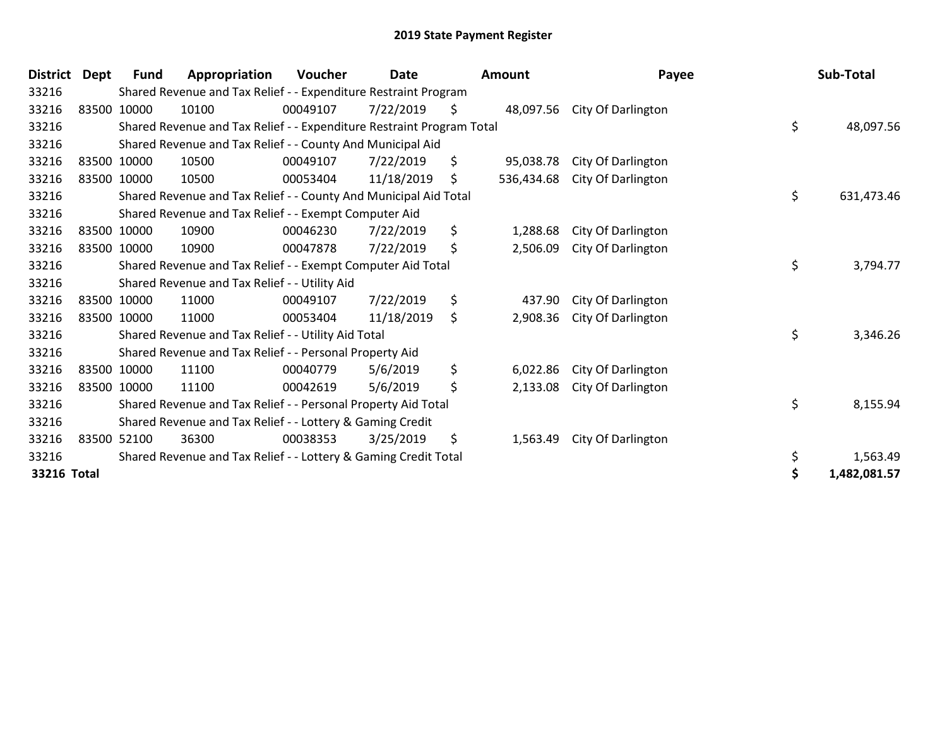| <b>District</b> | <b>Dept</b> | Fund        | Appropriation                                                         | Voucher  | Date       |    | Amount     | Payee                        | Sub-Total        |
|-----------------|-------------|-------------|-----------------------------------------------------------------------|----------|------------|----|------------|------------------------------|------------------|
| 33216           |             |             | Shared Revenue and Tax Relief - - Expenditure Restraint Program       |          |            |    |            |                              |                  |
| 33216           |             | 83500 10000 | 10100                                                                 | 00049107 | 7/22/2019  | Ş. |            | 48,097.56 City Of Darlington |                  |
| 33216           |             |             | Shared Revenue and Tax Relief - - Expenditure Restraint Program Total |          |            |    |            |                              | \$<br>48,097.56  |
| 33216           |             |             | Shared Revenue and Tax Relief - - County And Municipal Aid            |          |            |    |            |                              |                  |
| 33216           |             | 83500 10000 | 10500                                                                 | 00049107 | 7/22/2019  | \$ | 95,038.78  | City Of Darlington           |                  |
| 33216           |             | 83500 10000 | 10500                                                                 | 00053404 | 11/18/2019 | \$ | 536,434.68 | City Of Darlington           |                  |
| 33216           |             |             | Shared Revenue and Tax Relief - - County And Municipal Aid Total      |          |            |    |            |                              | \$<br>631,473.46 |
| 33216           |             |             | Shared Revenue and Tax Relief - - Exempt Computer Aid                 |          |            |    |            |                              |                  |
| 33216           |             | 83500 10000 | 10900                                                                 | 00046230 | 7/22/2019  | \$ | 1,288.68   | City Of Darlington           |                  |
| 33216           |             | 83500 10000 | 10900                                                                 | 00047878 | 7/22/2019  | \$ | 2,506.09   | City Of Darlington           |                  |
| 33216           |             |             | Shared Revenue and Tax Relief - - Exempt Computer Aid Total           |          |            |    |            |                              | \$<br>3,794.77   |
| 33216           |             |             | Shared Revenue and Tax Relief - - Utility Aid                         |          |            |    |            |                              |                  |
| 33216           |             | 83500 10000 | 11000                                                                 | 00049107 | 7/22/2019  | \$ | 437.90     | City Of Darlington           |                  |
| 33216           |             | 83500 10000 | 11000                                                                 | 00053404 | 11/18/2019 | \$ | 2,908.36   | City Of Darlington           |                  |
| 33216           |             |             | Shared Revenue and Tax Relief - - Utility Aid Total                   |          |            |    |            |                              | \$<br>3,346.26   |
| 33216           |             |             | Shared Revenue and Tax Relief - - Personal Property Aid               |          |            |    |            |                              |                  |
| 33216           |             | 83500 10000 | 11100                                                                 | 00040779 | 5/6/2019   | \$ | 6,022.86   | City Of Darlington           |                  |
| 33216           |             | 83500 10000 | 11100                                                                 | 00042619 | 5/6/2019   | \$ | 2,133.08   | City Of Darlington           |                  |
| 33216           |             |             | Shared Revenue and Tax Relief - - Personal Property Aid Total         |          |            |    |            |                              | \$<br>8,155.94   |
| 33216           |             |             | Shared Revenue and Tax Relief - - Lottery & Gaming Credit             |          |            |    |            |                              |                  |
| 33216           |             | 83500 52100 | 36300                                                                 | 00038353 | 3/25/2019  | \$ | 1,563.49   | City Of Darlington           |                  |
| 33216           |             |             | Shared Revenue and Tax Relief - - Lottery & Gaming Credit Total       |          |            |    |            |                              | \$<br>1,563.49   |
| 33216 Total     |             |             |                                                                       |          |            |    |            |                              | 1,482,081.57     |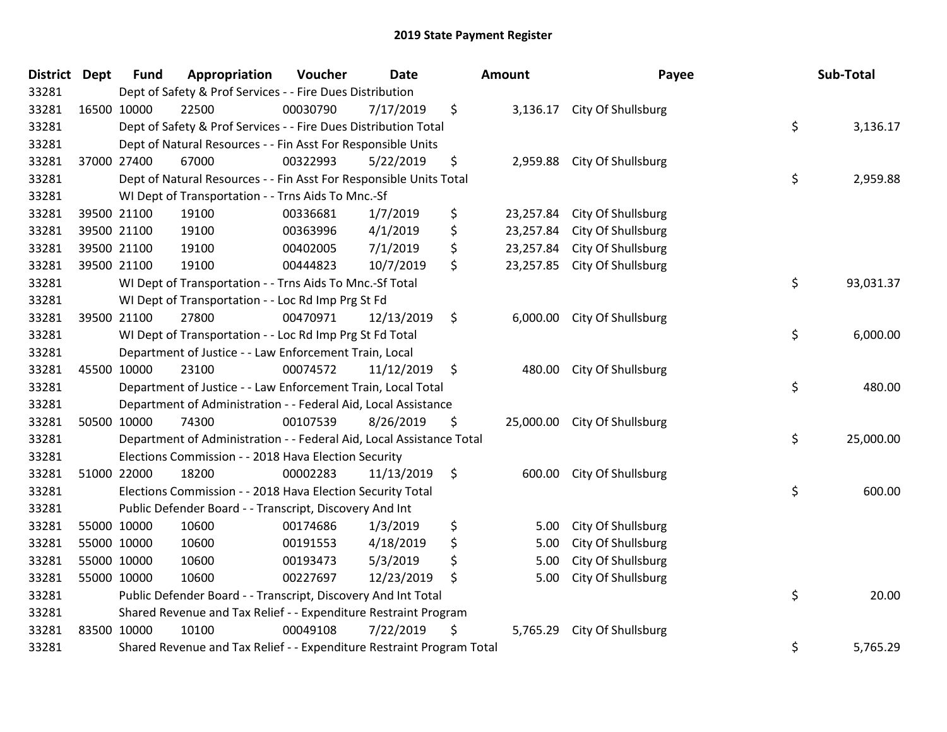| District Dept |             | <b>Fund</b> | Appropriation                                                         | Voucher  | <b>Date</b> |               | <b>Amount</b> | Payee                        |    | Sub-Total |
|---------------|-------------|-------------|-----------------------------------------------------------------------|----------|-------------|---------------|---------------|------------------------------|----|-----------|
| 33281         |             |             | Dept of Safety & Prof Services - - Fire Dues Distribution             |          |             |               |               |                              |    |           |
| 33281         |             | 16500 10000 | 22500                                                                 | 00030790 | 7/17/2019   | \$            |               | 3,136.17 City Of Shullsburg  |    |           |
| 33281         |             |             | Dept of Safety & Prof Services - - Fire Dues Distribution Total       |          |             |               |               |                              | \$ | 3,136.17  |
| 33281         |             |             | Dept of Natural Resources - - Fin Asst For Responsible Units          |          |             |               |               |                              |    |           |
| 33281         |             | 37000 27400 | 67000                                                                 | 00322993 | 5/22/2019   | \$            |               | 2,959.88 City Of Shullsburg  |    |           |
| 33281         |             |             | Dept of Natural Resources - - Fin Asst For Responsible Units Total    |          |             |               |               |                              | \$ | 2,959.88  |
| 33281         |             |             | WI Dept of Transportation - - Trns Aids To Mnc.-Sf                    |          |             |               |               |                              |    |           |
| 33281         |             | 39500 21100 | 19100                                                                 | 00336681 | 1/7/2019    | \$            | 23,257.84     | City Of Shullsburg           |    |           |
| 33281         |             | 39500 21100 | 19100                                                                 | 00363996 | 4/1/2019    | \$            | 23,257.84     | City Of Shullsburg           |    |           |
| 33281         |             | 39500 21100 | 19100                                                                 | 00402005 | 7/1/2019    | \$            | 23,257.84     | City Of Shullsburg           |    |           |
| 33281         |             | 39500 21100 | 19100                                                                 | 00444823 | 10/7/2019   | \$            | 23,257.85     | City Of Shullsburg           |    |           |
| 33281         |             |             | WI Dept of Transportation - - Trns Aids To Mnc.-Sf Total              |          |             |               |               |                              | \$ | 93,031.37 |
| 33281         |             |             | WI Dept of Transportation - - Loc Rd Imp Prg St Fd                    |          |             |               |               |                              |    |           |
| 33281         |             | 39500 21100 | 27800                                                                 | 00470971 | 12/13/2019  | \$            |               | 6,000.00 City Of Shullsburg  |    |           |
| 33281         |             |             | WI Dept of Transportation - - Loc Rd Imp Prg St Fd Total              |          |             |               |               |                              | \$ | 6,000.00  |
| 33281         |             |             | Department of Justice - - Law Enforcement Train, Local                |          |             |               |               |                              |    |           |
| 33281         | 45500 10000 |             | 23100                                                                 | 00074572 | 11/12/2019  | \$            | 480.00        | City Of Shullsburg           |    |           |
| 33281         |             |             | Department of Justice - - Law Enforcement Train, Local Total          |          |             |               |               |                              | \$ | 480.00    |
| 33281         |             |             | Department of Administration - - Federal Aid, Local Assistance        |          |             |               |               |                              |    |           |
| 33281         |             | 50500 10000 | 74300                                                                 | 00107539 | 8/26/2019   | \$            |               | 25,000.00 City Of Shullsburg |    |           |
| 33281         |             |             | Department of Administration - - Federal Aid, Local Assistance Total  |          |             |               |               |                              | \$ | 25,000.00 |
| 33281         |             |             | Elections Commission - - 2018 Hava Election Security                  |          |             |               |               |                              |    |           |
| 33281         |             | 51000 22000 | 18200                                                                 | 00002283 | 11/13/2019  | $\ddot{\phi}$ |               | 600.00 City Of Shullsburg    |    |           |
| 33281         |             |             | Elections Commission - - 2018 Hava Election Security Total            |          |             |               |               |                              | \$ | 600.00    |
| 33281         |             |             | Public Defender Board - - Transcript, Discovery And Int               |          |             |               |               |                              |    |           |
| 33281         |             | 55000 10000 | 10600                                                                 | 00174686 | 1/3/2019    | \$            | 5.00          | City Of Shullsburg           |    |           |
| 33281         |             | 55000 10000 | 10600                                                                 | 00191553 | 4/18/2019   | \$            | 5.00          | City Of Shullsburg           |    |           |
| 33281         | 55000 10000 |             | 10600                                                                 | 00193473 | 5/3/2019    | \$            | 5.00          | City Of Shullsburg           |    |           |
| 33281         |             | 55000 10000 | 10600                                                                 | 00227697 | 12/23/2019  | \$            | 5.00          | City Of Shullsburg           |    |           |
| 33281         |             |             | Public Defender Board - - Transcript, Discovery And Int Total         |          |             |               |               |                              | \$ | 20.00     |
| 33281         |             |             | Shared Revenue and Tax Relief - - Expenditure Restraint Program       |          |             |               |               |                              |    |           |
| 33281         | 83500 10000 |             | 10100                                                                 | 00049108 | 7/22/2019   | \$            | 5,765.29      | City Of Shullsburg           |    |           |
| 33281         |             |             | Shared Revenue and Tax Relief - - Expenditure Restraint Program Total |          |             |               |               |                              | \$ | 5,765.29  |